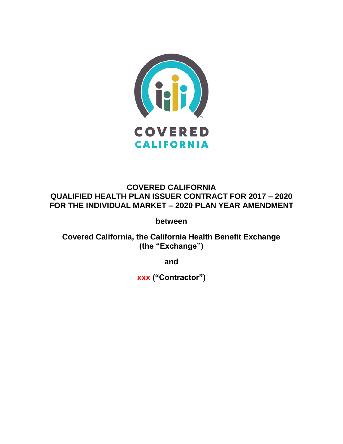

# **COVERED CALIFORNIA QUALIFIED HEALTH PLAN ISSUER CONTRACT FOR 2017 – 2020 FOR THE INDIVIDUAL MARKET – 2020 PLAN YEAR AMENDMENT**

**between**

**Covered California, the California Health Benefit Exchange (the "Exchange")**

**and**

**xxx ("Contractor")**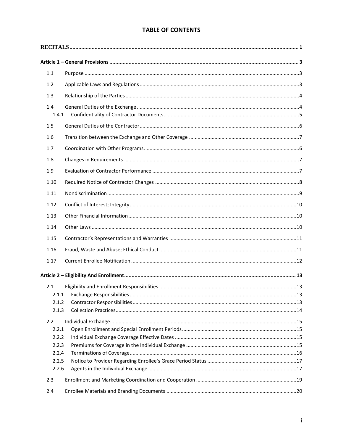# **TABLE OF CONTENTS**

| 1.1          |  |  |
|--------------|--|--|
| 1.2          |  |  |
| 1.3          |  |  |
| 1.4<br>1.4.1 |  |  |
| 1.5          |  |  |
| 1.6          |  |  |
| 1.7          |  |  |
| 1.8          |  |  |
| 1.9          |  |  |
| 1.10         |  |  |
| 1.11         |  |  |
| 1.12         |  |  |
| 1.13         |  |  |
| 1.14         |  |  |
| 1.15         |  |  |
| 1.16         |  |  |
| 1.17         |  |  |
|              |  |  |
|              |  |  |
| 2.1          |  |  |
|              |  |  |
| 2.1.2        |  |  |
| 2.1.3        |  |  |
| 2.2          |  |  |
| 2.2.1        |  |  |
| 2.2.2        |  |  |
| 2.2.3        |  |  |
| 2.2.4        |  |  |
| 2.2.5        |  |  |
| 2.2.6        |  |  |
| 2.3          |  |  |
| 2.4          |  |  |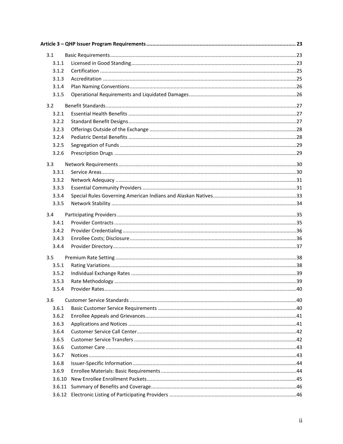| 3.1    |  |
|--------|--|
| 3.1.1  |  |
| 3.1.2  |  |
| 3.1.3  |  |
| 3.1.4  |  |
| 3.1.5  |  |
| 3.2    |  |
| 3.2.1  |  |
| 3.2.2  |  |
| 3.2.3  |  |
| 3.2.4  |  |
| 3.2.5  |  |
| 3.2.6  |  |
| 3.3    |  |
| 3.3.1  |  |
| 3.3.2  |  |
| 3.3.3  |  |
| 3.3.4  |  |
| 3.3.5  |  |
| 3.4    |  |
| 3.4.1  |  |
| 3.4.2  |  |
| 3.4.3  |  |
| 3.4.4  |  |
| 3.5    |  |
| 3.5.1  |  |
| 3.5.2  |  |
| 3.5.3  |  |
| 3.5.4  |  |
| 3.6    |  |
| 3.6.1  |  |
| 3.6.2  |  |
| 3.6.3  |  |
| 3.6.4  |  |
| 3.6.5  |  |
| 3.6.6  |  |
| 3.6.7  |  |
| 3.6.8  |  |
| 3.6.9  |  |
| 3.6.10 |  |
|        |  |
|        |  |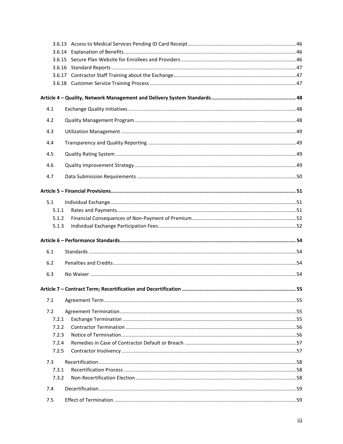| 4.1   |  |
|-------|--|
| 4.2   |  |
| 4.3   |  |
| 4.4   |  |
| 4.5   |  |
| 4.6   |  |
| 4.7   |  |
|       |  |
| 5.1   |  |
| 5.1.1 |  |
| 5.1.2 |  |
| 5.1.3 |  |
|       |  |
| 6.1   |  |
| 6.2   |  |
| 6.3   |  |
|       |  |
| 7.1   |  |
| 7.2   |  |
| 7.2.1 |  |
| 7.2.2 |  |
| 7.2.3 |  |
| 7.2.4 |  |
| 7.2.5 |  |
| 7.3   |  |
| 7.3.1 |  |
| 7.3.2 |  |
| 7.4   |  |
| 7.5   |  |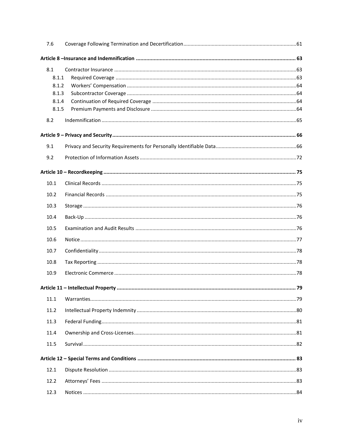| 7.6   |  |
|-------|--|
|       |  |
| 8.1   |  |
| 8.1.1 |  |
| 8.1.2 |  |
| 8.1.3 |  |
| 8.1.4 |  |
| 8.1.5 |  |
| 8.2   |  |
|       |  |
| 9.1   |  |
| 9.2   |  |
|       |  |
| 10.1  |  |
| 10.2  |  |
| 10.3  |  |
| 10.4  |  |
| 10.5  |  |
| 10.6  |  |
| 10.7  |  |
| 10.8  |  |
| 10.9  |  |
|       |  |
| 11.1  |  |
| 11.2  |  |
| 11.3  |  |
| 11.4  |  |
| 11.5  |  |
|       |  |
| 12.1  |  |
| 12.2  |  |
| 12.3  |  |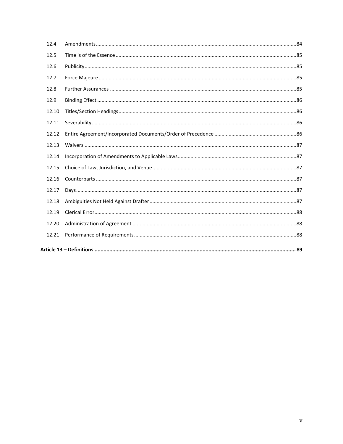| 12.4  |  |
|-------|--|
| 12.5  |  |
| 12.6  |  |
| 12.7  |  |
| 12.8  |  |
| 12.9  |  |
| 12.10 |  |
| 12.11 |  |
| 12.12 |  |
| 12.13 |  |
| 12.14 |  |
| 12.15 |  |
| 12.16 |  |
| 12.17 |  |
| 12.18 |  |
| 12.19 |  |
| 12.20 |  |
| 12.21 |  |
|       |  |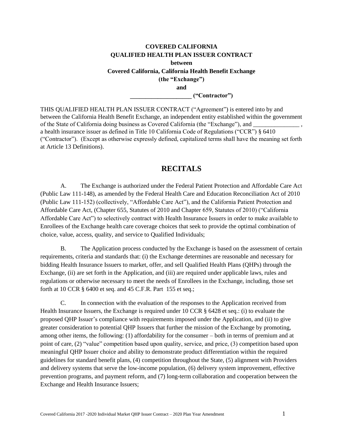# **COVERED CALIFORNIA QUALIFIED HEALTH PLAN ISSUER CONTRACT between Covered California, California Health Benefit Exchange (the "Exchange") and \_\_\_\_\_\_\_\_\_\_\_\_\_\_\_\_\_\_\_\_ ("Contractor")**

THIS QUALIFIED HEALTH PLAN ISSUER CONTRACT ("Agreement") is entered into by and between the California Health Benefit Exchange, an independent entity established within the government of the State of California doing business as Covered California (the "Exchange"), and a health insurance issuer as defined in Title 10 California Code of Regulations ("CCR") § 6410 ("Contractor"). (Except as otherwise expressly defined, capitalized terms shall have the meaning set forth at Article 13 Definitions).

# **RECITALS**

<span id="page-7-0"></span>A. The Exchange is authorized under the Federal Patient Protection and Affordable Care Act (Public Law 111-148), as amended by the Federal Health Care and Education Reconciliation Act of 2010 (Public Law 111-152) (collectively, "Affordable Care Act"), and the California Patient Protection and Affordable Care Act, (Chapter 655, Statutes of 2010 and Chapter 659, Statutes of 2010) ("California Affordable Care Act") to selectively contract with Health Insurance Issuers in order to make available to Enrollees of the Exchange health care coverage choices that seek to provide the optimal combination of choice, value, access, quality, and service to Qualified Individuals;

B. The Application process conducted by the Exchange is based on the assessment of certain requirements, criteria and standards that: (i) the Exchange determines are reasonable and necessary for bidding Health Insurance Issuers to market, offer, and sell Qualified Health Plans (QHPs) through the Exchange, (ii) are set forth in the Application, and (iii) are required under applicable laws, rules and regulations or otherwise necessary to meet the needs of Enrollees in the Exchange, including, those set forth at 10 CCR § 6400 et seq. and 45 C.F.R. Part 155 et seq.;

C. In connection with the evaluation of the responses to the Application received from Health Insurance Issuers, the Exchange is required under 10 CCR § 6428 et seq.: (i) to evaluate the proposed QHP Issuer's compliance with requirements imposed under the Application, and (ii) to give greater consideration to potential QHP Issuers that further the mission of the Exchange by promoting, among other items, the following: (1) affordability for the consumer – both in terms of premium and at point of care, (2) "value" competition based upon quality, service, and price, (3) competition based upon meaningful QHP Issuer choice and ability to demonstrate product differentiation within the required guidelines for standard benefit plans, (4) competition throughout the State, (5) alignment with Providers and delivery systems that serve the low-income population, (6) delivery system improvement, effective prevention programs, and payment reform, and (7) long-term collaboration and cooperation between the Exchange and Health Insurance Issuers;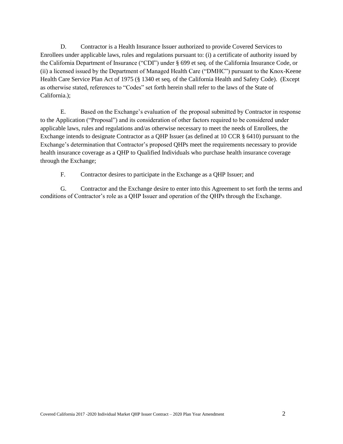D. Contractor is a Health Insurance Issuer authorized to provide Covered Services to Enrollees under applicable laws, rules and regulations pursuant to: (i) a certificate of authority issued by the California Department of Insurance ("CDI") under § 699 et seq. of the California Insurance Code, or (ii) a licensed issued by the Department of Managed Health Care ("DMHC") pursuant to the Knox-Keene Health Care Service Plan Act of 1975 (§ 1340 et seq. of the California Health and Safety Code). (Except as otherwise stated, references to "Codes" set forth herein shall refer to the laws of the State of California.);

E. Based on the Exchange's evaluation of the proposal submitted by Contractor in response to the Application ("Proposal") and its consideration of other factors required to be considered under applicable laws, rules and regulations and/as otherwise necessary to meet the needs of Enrollees, the Exchange intends to designate Contractor as a QHP Issuer (as defined at 10 CCR § 6410) pursuant to the Exchange's determination that Contractor's proposed QHPs meet the requirements necessary to provide health insurance coverage as a QHP to Qualified Individuals who purchase health insurance coverage through the Exchange;

F. Contractor desires to participate in the Exchange as a QHP Issuer; and

G. Contractor and the Exchange desire to enter into this Agreement to set forth the terms and conditions of Contractor's role as a QHP Issuer and operation of the QHPs through the Exchange.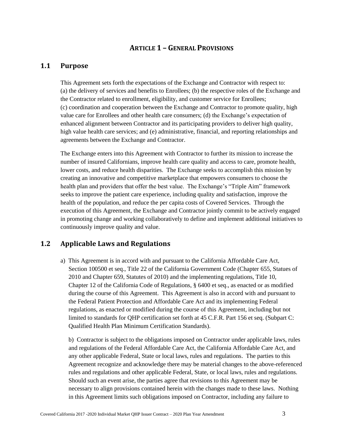# **ARTICLE 1 – GENERAL PROVISIONS**

## <span id="page-9-1"></span><span id="page-9-0"></span>**1.1 Purpose**

This Agreement sets forth the expectations of the Exchange and Contractor with respect to: (a) the delivery of services and benefits to Enrollees; (b) the respective roles of the Exchange and the Contractor related to enrollment, eligibility, and customer service for Enrollees; (c) coordination and cooperation between the Exchange and Contractor to promote quality, high value care for Enrollees and other health care consumers; (d) the Exchange's expectation of enhanced alignment between Contractor and its participating providers to deliver high quality, high value health care services; and (e) administrative, financial, and reporting relationships and agreements between the Exchange and Contractor.

The Exchange enters into this Agreement with Contractor to further its mission to increase the number of insured Californians, improve health care quality and access to care, promote health, lower costs, and reduce health disparities. The Exchange seeks to accomplish this mission by creating an innovative and competitive marketplace that empowers consumers to choose the health plan and providers that offer the best value. The Exchange's "Triple Aim" framework seeks to improve the patient care experience, including quality and satisfaction, improve the health of the population, and reduce the per capita costs of Covered Services. Through the execution of this Agreement, the Exchange and Contractor jointly commit to be actively engaged in promoting change and working collaboratively to define and implement additional initiatives to continuously improve quality and value.

## <span id="page-9-2"></span>**1.2 Applicable Laws and Regulations**

a) This Agreement is in accord with and pursuant to the California Affordable Care Act, Section 100500 et seq., Title 22 of the California Government Code (Chapter 655, Statues of 2010 and Chapter 659, Statutes of 2010) and the implementing regulations, Title 10, Chapter 12 of the California Code of Regulations, § 6400 et seq., as enacted or as modified during the course of this Agreement. This Agreement is also in accord with and pursuant to the Federal Patient Protection and Affordable Care Act and its implementing Federal regulations, as enacted or modified during the course of this Agreement, including but not limited to standards for QHP certification set forth at 45 C.F.R. Part 156 et seq. (Subpart C: Qualified Health Plan Minimum Certification Standards).

b) Contractor is subject to the obligations imposed on Contractor under applicable laws, rules and regulations of the Federal Affordable Care Act, the California Affordable Care Act, and any other applicable Federal, State or local laws, rules and regulations. The parties to this Agreement recognize and acknowledge there may be material changes to the above-referenced rules and regulations and other applicable Federal, State, or local laws, rules and regulations. Should such an event arise, the parties agree that revisions to this Agreement may be necessary to align provisions contained herein with the changes made to these laws. Nothing in this Agreement limits such obligations imposed on Contractor, including any failure to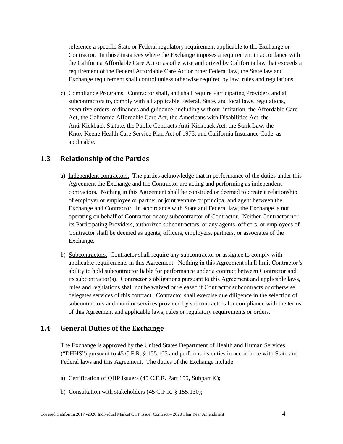reference a specific State or Federal regulatory requirement applicable to the Exchange or Contractor. In those instances where the Exchange imposes a requirement in accordance with the California Affordable Care Act or as otherwise authorized by California law that exceeds a requirement of the Federal Affordable Care Act or other Federal law, the State law and Exchange requirement shall control unless otherwise required by law, rules and regulations.

c) Compliance Programs. Contractor shall, and shall require Participating Providers and all subcontractors to, comply with all applicable Federal, State, and local laws, regulations, executive orders, ordinances and guidance, including without limitation, the Affordable Care Act, the California Affordable Care Act, the Americans with Disabilities Act, the Anti-Kickback Statute, the Public Contracts Anti-Kickback Act, the Stark Law, the Knox-Keene Health Care Service Plan Act of 1975, and California Insurance Code, as applicable.

# <span id="page-10-0"></span>**1.3 Relationship of the Parties**

- a) Independent contractors. The parties acknowledge that in performance of the duties under this Agreement the Exchange and the Contractor are acting and performing as independent contractors. Nothing in this Agreement shall be construed or deemed to create a relationship of employer or employee or partner or joint venture or principal and agent between the Exchange and Contractor. In accordance with State and Federal law, the Exchange is not operating on behalf of Contractor or any subcontractor of Contractor. Neither Contractor nor its Participating Providers, authorized subcontractors, or any agents, officers, or employees of Contractor shall be deemed as agents, officers, employers, partners, or associates of the Exchange.
- b) Subcontractors. Contractor shall require any subcontractor or assignee to comply with applicable requirements in this Agreement. Nothing in this Agreement shall limit Contractor's ability to hold subcontractor liable for performance under a contract between Contractor and its subcontractor(s). Contractor's obligations pursuant to this Agreement and applicable laws, rules and regulations shall not be waived or released if Contractor subcontracts or otherwise delegates services of this contract. Contractor shall exercise due diligence in the selection of subcontractors and monitor services provided by subcontractors for compliance with the terms of this Agreement and applicable laws, rules or regulatory requirements or orders.

# <span id="page-10-1"></span>**1.4 General Duties of the Exchange**

The Exchange is approved by the United States Department of Health and Human Services ("DHHS") pursuant to 45 C.F.R. § 155.105 and performs its duties in accordance with State and Federal laws and this Agreement. The duties of the Exchange include:

- a) Certification of QHP Issuers (45 C.F.R. Part 155, Subpart K);
- b) Consultation with stakeholders (45 C.F.R. § 155.130);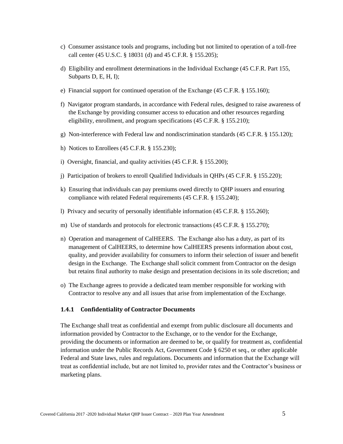- c) Consumer assistance tools and programs, including but not limited to operation of a toll-free call center (45 U.S.C. § 18031 (d) and 45 C.F.R. § 155.205);
- d) Eligibility and enrollment determinations in the Individual Exchange (45 C.F.R. Part 155, Subparts D, E, H, I);
- e) Financial support for continued operation of the Exchange (45 C.F.R. § 155.160);
- f) Navigator program standards, in accordance with Federal rules, designed to raise awareness of the Exchange by providing consumer access to education and other resources regarding eligibility, enrollment, and program specifications (45 C.F.R. § 155.210);
- g) Non-interference with Federal law and nondiscrimination standards (45 C.F.R. § 155.120);
- h) Notices to Enrollees (45 C.F.R. § 155.230);
- i) Oversight, financial, and quality activities (45 C.F.R. § 155.200);
- j) Participation of brokers to enroll Qualified Individuals in QHPs (45 C.F.R. § 155.220);
- k) Ensuring that individuals can pay premiums owed directly to QHP issuers and ensuring compliance with related Federal requirements (45 C.F.R. § 155.240);
- l) Privacy and security of personally identifiable information (45 C.F.R. § 155.260);
- m) Use of standards and protocols for electronic transactions (45 C.F.R. § 155.270);
- n) Operation and management of CalHEERS. The Exchange also has a duty, as part of its management of CalHEERS, to determine how CalHEERS presents information about cost, quality, and provider availability for consumers to inform their selection of issuer and benefit design in the Exchange. The Exchange shall solicit comment from Contractor on the design but retains final authority to make design and presentation decisions in its sole discretion; and
- o) The Exchange agrees to provide a dedicated team member responsible for working with Contractor to resolve any and all issues that arise from implementation of the Exchange.

#### <span id="page-11-0"></span>**1.4.1 Confidentiality of Contractor Documents**

The Exchange shall treat as confidential and exempt from public disclosure all documents and information provided by Contractor to the Exchange, or to the vendor for the Exchange, providing the documents or information are deemed to be, or qualify for treatment as, confidential information under the Public Records Act, Government Code § 6250 et seq., or other applicable Federal and State laws, rules and regulations. Documents and information that the Exchange will treat as confidential include, but are not limited to, provider rates and the Contractor's business or marketing plans.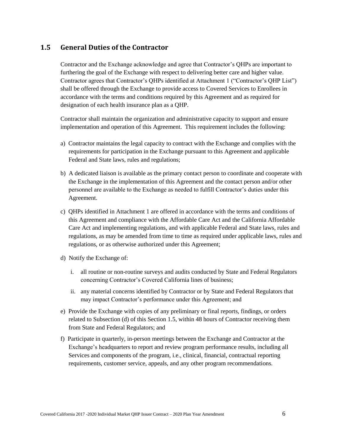# <span id="page-12-0"></span>**1.5 General Duties of the Contractor**

Contractor and the Exchange acknowledge and agree that Contractor's QHPs are important to furthering the goal of the Exchange with respect to delivering better care and higher value. Contractor agrees that Contractor's QHPs identified at Attachment 1 ("Contractor's QHP List") shall be offered through the Exchange to provide access to Covered Services to Enrollees in accordance with the terms and conditions required by this Agreement and as required for designation of each health insurance plan as a QHP.

Contractor shall maintain the organization and administrative capacity to support and ensure implementation and operation of this Agreement. This requirement includes the following:

- a) Contractor maintains the legal capacity to contract with the Exchange and complies with the requirements for participation in the Exchange pursuant to this Agreement and applicable Federal and State laws, rules and regulations;
- b) A dedicated liaison is available as the primary contact person to coordinate and cooperate with the Exchange in the implementation of this Agreement and the contact person and/or other personnel are available to the Exchange as needed to fulfill Contractor's duties under this Agreement.
- c) QHPs identified in Attachment 1 are offered in accordance with the terms and conditions of this Agreement and compliance with the Affordable Care Act and the California Affordable Care Act and implementing regulations, and with applicable Federal and State laws, rules and regulations, as may be amended from time to time as required under applicable laws, rules and regulations, or as otherwise authorized under this Agreement;
- d) Notify the Exchange of:
	- i. all routine or non-routine surveys and audits conducted by State and Federal Regulators concerning Contractor's Covered California lines of business;
	- ii. any material concerns identified by Contractor or by State and Federal Regulators that may impact Contractor's performance under this Agreement; and
- e) Provide the Exchange with copies of any preliminary or final reports, findings, or orders related to Subsection (d) of this Section 1.5, within 48 hours of Contractor receiving them from State and Federal Regulators; and
- f) Participate in quarterly, in-person meetings between the Exchange and Contractor at the Exchange's headquarters to report and review program performance results, including all Services and components of the program, i.e., clinical, financial, contractual reporting requirements, customer service, appeals, and any other program recommendations.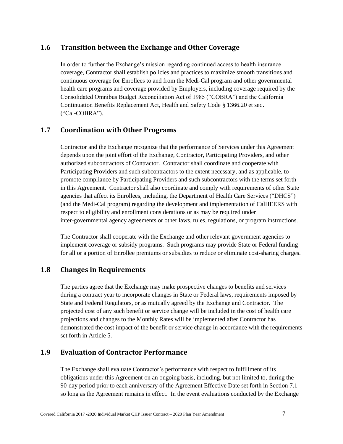# <span id="page-13-0"></span>**1.6 Transition between the Exchange and Other Coverage**

In order to further the Exchange's mission regarding continued access to health insurance coverage, Contractor shall establish policies and practices to maximize smooth transitions and continuous coverage for Enrollees to and from the Medi-Cal program and other governmental health care programs and coverage provided by Employers, including coverage required by the Consolidated Omnibus Budget Reconciliation Act of 1985 ("COBRA") and the California Continuation Benefits Replacement Act, Health and Safety Code § 1366.20 et seq. ("Cal-COBRA").

# **1.7 Coordination with Other Programs**

Contractor and the Exchange recognize that the performance of Services under this Agreement depends upon the joint effort of the Exchange, Contractor, Participating Providers, and other authorized subcontractors of Contractor. Contractor shall coordinate and cooperate with Participating Providers and such subcontractors to the extent necessary, and as applicable, to promote compliance by Participating Providers and such subcontractors with the terms set forth in this Agreement. Contractor shall also coordinate and comply with requirements of other State agencies that affect its Enrollees, including, the Department of Health Care Services ("DHCS") (and the Medi-Cal program) regarding the development and implementation of CalHEERS with respect to eligibility and enrollment considerations or as may be required under inter-governmental agency agreements or other laws, rules, regulations, or program instructions.

<span id="page-13-1"></span>The Contractor shall cooperate with the Exchange and other relevant government agencies to implement coverage or subsidy programs. Such programs may provide State or Federal funding for all or a portion of Enrollee premiums or subsidies to reduce or eliminate cost-sharing charges.

# **1.8 Changes in Requirements**

The parties agree that the Exchange may make prospective changes to benefits and services during a contract year to incorporate changes in State or Federal laws, requirements imposed by State and Federal Regulators, or as mutually agreed by the Exchange and Contractor. The projected cost of any such benefit or service change will be included in the cost of health care projections and changes to the Monthly Rates will be implemented after Contractor has demonstrated the cost impact of the benefit or service change in accordance with the requirements set forth in Article 5.

# <span id="page-13-2"></span>**1.9 Evaluation of Contractor Performance**

The Exchange shall evaluate Contractor's performance with respect to fulfillment of its obligations under this Agreement on an ongoing basis, including, but not limited to, during the 90-day period prior to each anniversary of the Agreement Effective Date set forth in Section 7.1 so long as the Agreement remains in effect. In the event evaluations conducted by the Exchange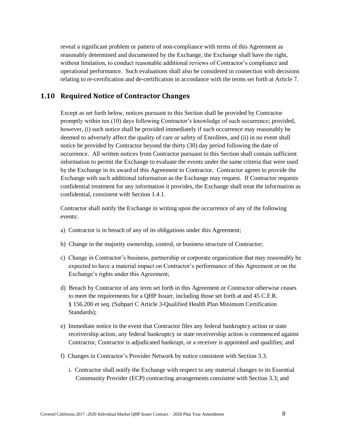reveal a significant problem or pattern of non-compliance with terms of this Agreement as reasonably determined and documented by the Exchange, the Exchange shall have the right, without limitation, to conduct reasonable additional reviews of Contractor's compliance and operational performance. Such evaluations shall also be considered in connection with decisions relating to re-certification and de-certification in accordance with the terms set forth at Article 7.

## <span id="page-14-0"></span>**1.10 Required Notice of Contractor Changes**

Except as set forth below, notices pursuant to this Section shall be provided by Contractor promptly within ten (10) days following Contractor's knowledge of such occurrence; provided, however, (i) such notice shall be provided immediately if such occurrence may reasonably be deemed to adversely affect the quality of care or safety of Enrollees, and (ii) in no event shall notice be provided by Contractor beyond the thirty (30) day period following the date of occurrence. All written notices from Contractor pursuant to this Section shall contain sufficient information to permit the Exchange to evaluate the events under the same criteria that were used by the Exchange in its award of this Agreement to Contractor. Contractor agrees to provide the Exchange with such additional information as the Exchange may request. If Contractor requests confidential treatment for any information it provides, the Exchange shall treat the information as confidential, consistent with Section 1.4.1.

Contractor shall notify the Exchange in writing upon the occurrence of any of the following events:

- a) Contractor is in breach of any of its obligations under this Agreement;
- b) Change in the majority ownership, control, or business structure of Contractor;
- c) Change in Contractor's business, partnership or corporate organization that may reasonably be expected to have a material impact on Contractor's performance of this Agreement or on the Exchange's rights under this Agreement;
- d) Breach by Contractor of any term set forth in this Agreement or Contractor otherwise ceases to meet the requirements for a QHP Issuer, including those set forth at and 45 C.F.R. § 156.200 et seq. (Subpart C Article 3-Qualified Health Plan Minimum Certification Standards);
- e) Immediate notice in the event that Contractor files any federal bankruptcy action or state receivership action, any federal bankruptcy or state receivership action is commenced against Contractor, Contractor is adjudicated bankrupt, or a receiver is appointed and qualifies; and
- f) Changes in Contractor's Provider Network by notice consistent with Section 3.3.
	- i. Contractor shall notify the Exchange with respect to any material changes to its Essential Community Provider (ECP) contracting arrangements consistent with Section 3.3; and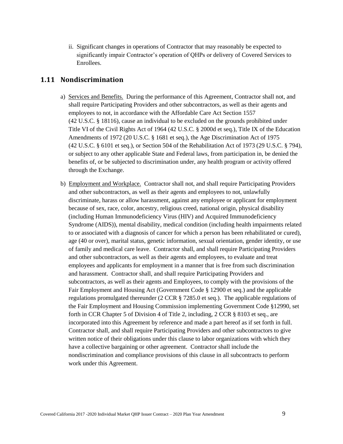ii. Significant changes in operations of Contractor that may reasonably be expected to significantly impair Contractor's operation of QHPs or delivery of Covered Services to Enrollees.

## <span id="page-15-0"></span>**1.11 Nondiscrimination**

- a) Services and Benefits. During the performance of this Agreement, Contractor shall not, and shall require Participating Providers and other subcontractors, as well as their agents and employees to not, in accordance with the Affordable Care Act Section 1557 (42 U.S.C. § 18116), cause an individual to be excluded on the grounds prohibited under Title VI of the Civil Rights Act of 1964 (42 U.S.C. § 2000d et seq.), Title IX of the Education Amendments of 1972 (20 U.S.C. § 1681 et seq.), the Age Discrimination Act of 1975 (42 U.S.C. § 6101 et seq.), or Section 504 of the Rehabilitation Act of 1973 (29 U.S.C. § 794), or subject to any other applicable State and Federal laws, from participation in, be denied the benefits of, or be subjected to discrimination under, any health program or activity offered through the Exchange.
- b) Employment and Workplace. Contractor shall not, and shall require Participating Providers and other subcontractors, as well as their agents and employees to not, unlawfully discriminate, harass or allow harassment, against any employee or applicant for employment because of sex, race, color, ancestry, religious creed, national origin, physical disability (including Human Immunodeficiency Virus (HIV) and Acquired Immunodeficiency Syndrome (AIDS)), mental disability, medical condition (including health impairments related to or associated with a diagnosis of cancer for which a person has been rehabilitated or cured), age (40 or over), marital status, genetic information, sexual orientation, gender identity, or use of family and medical care leave. Contractor shall, and shall require Participating Providers and other subcontractors, as well as their agents and employees, to evaluate and treat employees and applicants for employment in a manner that is free from such discrimination and harassment. Contractor shall, and shall require Participating Providers and subcontractors, as well as their agents and Employees, to comply with the provisions of the Fair Employment and Housing Act (Government Code § 12900 et seq.) and the applicable regulations promulgated thereunder (2 CCR § 7285.0 et seq.). The applicable regulations of the Fair Employment and Housing Commission implementing Government Code §12990, set forth in CCR Chapter 5 of Division 4 of Title 2, including, 2 CCR § 8103 et seq., are incorporated into this Agreement by reference and made a part hereof as if set forth in full. Contractor shall, and shall require Participating Providers and other subcontractors to give written notice of their obligations under this clause to labor organizations with which they have a collective bargaining or other agreement. Contractor shall include the nondiscrimination and compliance provisions of this clause in all subcontracts to perform work under this Agreement.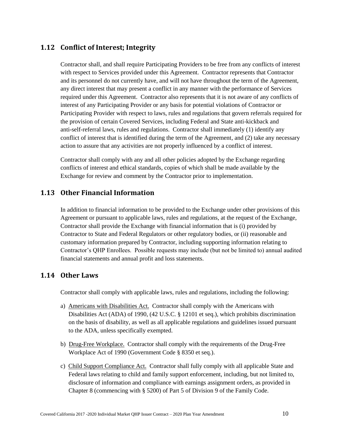# <span id="page-16-0"></span>**1.12 Conflict of Interest; Integrity**

Contractor shall, and shall require Participating Providers to be free from any conflicts of interest with respect to Services provided under this Agreement. Contractor represents that Contractor and its personnel do not currently have, and will not have throughout the term of the Agreement, any direct interest that may present a conflict in any manner with the performance of Services required under this Agreement. Contractor also represents that it is not aware of any conflicts of interest of any Participating Provider or any basis for potential violations of Contractor or Participating Provider with respect to laws, rules and regulations that govern referrals required for the provision of certain Covered Services, including Federal and State anti-kickback and anti-self-referral laws, rules and regulations. Contractor shall immediately (1) identify any conflict of interest that is identified during the term of the Agreement, and (2) take any necessary action to assure that any activities are not properly influenced by a conflict of interest.

Contractor shall comply with any and all other policies adopted by the Exchange regarding conflicts of interest and ethical standards, copies of which shall be made available by the Exchange for review and comment by the Contractor prior to implementation.

# <span id="page-16-1"></span>**1.13 Other Financial Information**

In addition to financial information to be provided to the Exchange under other provisions of this Agreement or pursuant to applicable laws, rules and regulations, at the request of the Exchange, Contractor shall provide the Exchange with financial information that is (i) provided by Contractor to State and Federal Regulators or other regulatory bodies, or (ii) reasonable and customary information prepared by Contractor, including supporting information relating to Contractor's QHP Enrollees. Possible requests may include (but not be limited to) annual audited financial statements and annual profit and loss statements.

## <span id="page-16-2"></span>**1.14 Other Laws**

Contractor shall comply with applicable laws, rules and regulations, including the following:

- a) Americans with Disabilities Act. Contractor shall comply with the Americans with Disabilities Act (ADA) of 1990, (42 U.S.C. § 12101 et seq.), which prohibits discrimination on the basis of disability, as well as all applicable regulations and guidelines issued pursuant to the ADA, unless specifically exempted.
- b) Drug-Free Workplace. Contractor shall comply with the requirements of the Drug-Free Workplace Act of 1990 (Government Code § 8350 et seq.).
- c) Child Support Compliance Act. Contractor shall fully comply with all applicable State and Federal laws relating to child and family support enforcement, including, but not limited to, disclosure of information and compliance with earnings assignment orders, as provided in Chapter 8 (commencing with § 5200) of Part 5 of Division 9 of the Family Code.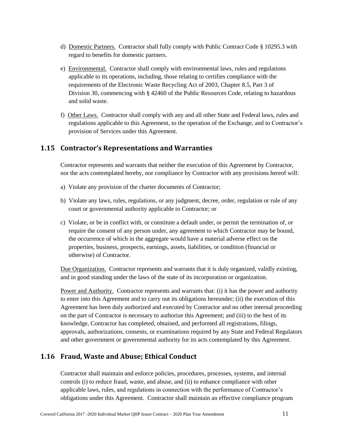- d) Domestic Partners. Contractor shall fully comply with Public Contract Code § 10295.3 with regard to benefits for domestic partners.
- e) Environmental. Contractor shall comply with environmental laws, rules and regulations applicable to its operations, including, those relating to certifies compliance with the requirements of the Electronic Waste Recycling Act of 2003, Chapter 8.5, Part 3 of Division 30, commencing with § 42460 of the Public Resources Code, relating to hazardous and solid waste.
- f) Other Laws. Contractor shall comply with any and all other State and Federal laws, rules and regulations applicable to this Agreement, to the operation of the Exchange, and to Contractor's provision of Services under this Agreement.

# <span id="page-17-0"></span>**1.15 Contractor's Representations and Warranties**

Contractor represents and warrants that neither the execution of this Agreement by Contractor, nor the acts contemplated hereby, nor compliance by Contractor with any provisions hereof will:

- a) Violate any provision of the charter documents of Contractor;
- b) Violate any laws, rules, regulations, or any judgment, decree, order, regulation or rule of any court or governmental authority applicable to Contractor; or
- c) Violate, or be in conflict with, or constitute a default under, or permit the termination of, or require the consent of any person under, any agreement to which Contractor may be bound, the occurrence of which in the aggregate would have a material adverse effect on the properties, business, prospects, earnings, assets, liabilities, or condition (financial or otherwise) of Contractor.

Due Organization. Contractor represents and warrants that it is duly organized, validly existing, and in good standing under the laws of the state of its incorporation or organization.

Power and Authority. Contractor represents and warrants that: (i) it has the power and authority to enter into this Agreement and to carry out its obligations hereunder; (ii) the execution of this Agreement has been duly authorized and executed by Contractor and no other internal proceeding on the part of Contractor is necessary to authorize this Agreement; and (iii) to the best of its knowledge, Contractor has completed, obtained, and performed all registrations, filings, approvals, authorizations, consents, or examinations required by any State and Federal Regulators and other government or governmental authority for its acts contemplated by this Agreement.

# <span id="page-17-1"></span>**1.16 Fraud, Waste and Abuse; Ethical Conduct**

Contractor shall maintain and enforce policies, procedures, processes, systems, and internal controls (i) to reduce fraud, waste, and abuse, and (ii) to enhance compliance with other applicable laws, rules, and regulations in connection with the performance of Contractor's obligations under this Agreement. Contractor shall maintain an effective compliance program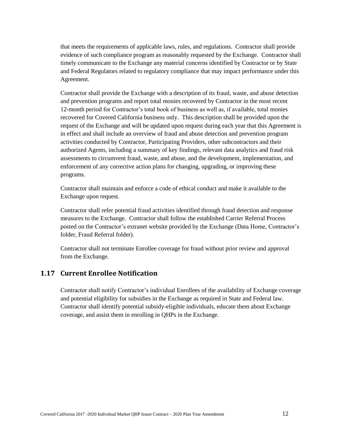that meets the requirements of applicable laws, rules, and regulations. Contractor shall provide evidence of such compliance program as reasonably requested by the Exchange. Contractor shall timely communicate to the Exchange any material concerns identified by Contractor or by State and Federal Regulators related to regulatory compliance that may impact performance under this Agreement.

Contractor shall provide the Exchange with a description of its fraud, waste, and abuse detection and prevention programs and report total monies recovered by Contractor in the most recent 12-month period for Contractor's total book of business as well as, if available, total monies recovered for Covered California business only. This description shall be provided upon the request of the Exchange and will be updated upon request during each year that this Agreement is in effect and shall include an overview of fraud and abuse detection and prevention program activities conducted by Contractor, Participating Providers, other subcontractors and their authorized Agents, including a summary of key findings, relevant data analytics and fraud risk assessments to circumvent fraud, waste, and abuse, and the development, implementation, and enforcement of any corrective action plans for changing, upgrading, or improving these programs.

Contractor shall maintain and enforce a code of ethical conduct and make it available to the Exchange upon request.

Contractor shall refer potential fraud activities identified through fraud detection and response measures to the Exchange. Contractor shall follow the established Carrier Referral Process posted on the Contractor's extranet website provided by the Exchange (Data Home, Contractor's folder, Fraud Referral folder).

Contractor shall not terminate Enrollee coverage for fraud without prior review and approval from the Exchange.

# <span id="page-18-0"></span>**1.17 Current Enrollee Notification**

Contractor shall notify Contractor's individual Enrollees of the availability of Exchange coverage and potential eligibility for subsidies in the Exchange as required in State and Federal law. Contractor shall identify potential subsidy-eligible individuals, educate them about Exchange coverage, and assist them in enrolling in QHPs in the Exchange.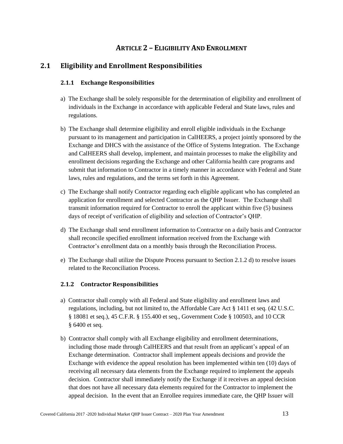# **ARTICLE 2 – ELIGIBILITY AND ENROLLMENT**

# <span id="page-19-2"></span><span id="page-19-1"></span><span id="page-19-0"></span>**2.1 Eligibility and Enrollment Responsibilities**

## **2.1.1 Exchange Responsibilities**

- a) The Exchange shall be solely responsible for the determination of eligibility and enrollment of individuals in the Exchange in accordance with applicable Federal and State laws, rules and regulations.
- b) The Exchange shall determine eligibility and enroll eligible individuals in the Exchange pursuant to its management and participation in CalHEERS, a project jointly sponsored by the Exchange and DHCS with the assistance of the Office of Systems Integration. The Exchange and CalHEERS shall develop, implement, and maintain processes to make the eligibility and enrollment decisions regarding the Exchange and other California health care programs and submit that information to Contractor in a timely manner in accordance with Federal and State laws, rules and regulations, and the terms set forth in this Agreement.
- c) The Exchange shall notify Contractor regarding each eligible applicant who has completed an application for enrollment and selected Contractor as the QHP Issuer. The Exchange shall transmit information required for Contractor to enroll the applicant within five (5) business days of receipt of verification of eligibility and selection of Contractor's QHP.
- d) The Exchange shall send enrollment information to Contractor on a daily basis and Contractor shall reconcile specified enrollment information received from the Exchange with Contractor's enrollment data on a monthly basis through the Reconciliation Process.
- e) The Exchange shall utilize the Dispute Process pursuant to Section 2.1.2 d) to resolve issues related to the Reconciliation Process.

## <span id="page-19-3"></span>**2.1.2 Contractor Responsibilities**

- a) Contractor shall comply with all Federal and State eligibility and enrollment laws and regulations, including, but not limited to, the Affordable Care Act § 1411 et seq. (42 U.S.C. § 18081 et seq.), 45 C.F.R. § 155.400 et seq., Government Code § 100503, and 10 CCR § 6400 et seq.
- b) Contractor shall comply with all Exchange eligibility and enrollment determinations, including those made through CalHEERS and that result from an applicant's appeal of an Exchange determination. Contractor shall implement appeals decisions and provide the Exchange with evidence the appeal resolution has been implemented within ten (10) days of receiving all necessary data elements from the Exchange required to implement the appeals decision. Contractor shall immediately notify the Exchange if it receives an appeal decision that does not have all necessary data elements required for the Contractor to implement the appeal decision. In the event that an Enrollee requires immediate care, the QHP Issuer will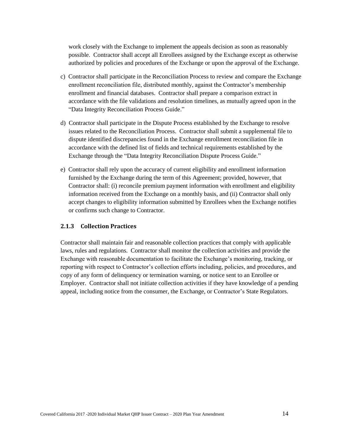work closely with the Exchange to implement the appeals decision as soon as reasonably possible. Contractor shall accept all Enrollees assigned by the Exchange except as otherwise authorized by policies and procedures of the Exchange or upon the approval of the Exchange.

- c) Contractor shall participate in the Reconciliation Process to review and compare the Exchange enrollment reconciliation file, distributed monthly, against the Contractor's membership enrollment and financial databases. Contractor shall prepare a comparison extract in accordance with the file validations and resolution timelines, as mutually agreed upon in the "Data Integrity Reconciliation Process Guide."
- d) Contractor shall participate in the Dispute Process established by the Exchange to resolve issues related to the Reconciliation Process. Contractor shall submit a supplemental file to dispute identified discrepancies found in the Exchange enrollment reconciliation file in accordance with the defined list of fields and technical requirements established by the Exchange through the "Data Integrity Reconciliation Dispute Process Guide."
- e) Contractor shall rely upon the accuracy of current eligibility and enrollment information furnished by the Exchange during the term of this Agreement; provided, however, that Contractor shall: (i) reconcile premium payment information with enrollment and eligibility information received from the Exchange on a monthly basis, and (ii) Contractor shall only accept changes to eligibility information submitted by Enrollees when the Exchange notifies or confirms such change to Contractor.

## <span id="page-20-0"></span>**2.1.3 Collection Practices**

Contractor shall maintain fair and reasonable collection practices that comply with applicable laws, rules and regulations. Contractor shall monitor the collection activities and provide the Exchange with reasonable documentation to facilitate the Exchange's monitoring, tracking, or reporting with respect to Contractor's collection efforts including, policies, and procedures, and copy of any form of delinquency or termination warning, or notice sent to an Enrollee or Employer. Contractor shall not initiate collection activities if they have knowledge of a pending appeal, including notice from the consumer, the Exchange, or Contractor's State Regulators.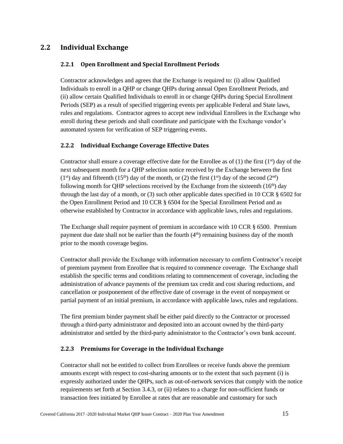# <span id="page-21-1"></span><span id="page-21-0"></span>**2.2 Individual Exchange**

## **2.2.1 Open Enrollment and Special Enrollment Periods**

Contractor acknowledges and agrees that the Exchange is required to: (i) allow Qualified Individuals to enroll in a QHP or change QHPs during annual Open Enrollment Periods, and (ii) allow certain Qualified Individuals to enroll in or change QHPs during Special Enrollment Periods (SEP) as a result of specified triggering events per applicable Federal and State laws, rules and regulations. Contractor agrees to accept new individual Enrollees in the Exchange who enroll during these periods and shall coordinate and participate with the Exchange vendor's automated system for verification of SEP triggering events.

## <span id="page-21-2"></span>**2.2.2 Individual Exchange Coverage Effective Dates**

Contractor shall ensure a coverage effective date for the Enrollee as of  $(1)$  the first  $(1^{st})$  day of the next subsequent month for a QHP selection notice received by the Exchange between the first  $(1<sup>st</sup>)$  day and fifteenth  $(15<sup>th</sup>)$  day of the month, or (2) the first  $(1<sup>st</sup>)$  day of the second  $(2<sup>nd</sup>)$ following month for OHP selections received by the Exchange from the sixteenth  $(16<sup>th</sup>)$  day through the last day of a month, or (3) such other applicable dates specified in 10 CCR § 6502 for the Open Enrollment Period and 10 CCR § 6504 for the Special Enrollment Period and as otherwise established by Contractor in accordance with applicable laws, rules and regulations.

The Exchange shall require payment of premium in accordance with 10 CCR § 6500. Premium payment due date shall not be earlier than the fourth  $(4<sup>th</sup>)$  remaining business day of the month prior to the month coverage begins.

Contractor shall provide the Exchange with information necessary to confirm Contractor's receipt of premium payment from Enrollee that is required to commence coverage. The Exchange shall establish the specific terms and conditions relating to commencement of coverage, including the administration of advance payments of the premium tax credit and cost sharing reductions, and cancellation or postponement of the effective date of coverage in the event of nonpayment or partial payment of an initial premium, in accordance with applicable laws, rules and regulations.

The first premium binder payment shall be either paid directly to the Contractor or processed through a third-party administrator and deposited into an account owned by the third-party administrator and settled by the third-party administrator to the Contractor's own bank account.

## <span id="page-21-3"></span>**2.2.3 Premiums for Coverage in the Individual Exchange**

Contractor shall not be entitled to collect from Enrollees or receive funds above the premium amounts except with respect to cost-sharing amounts or to the extent that such payment (i) is expressly authorized under the QHPs, such as out-of-network services that comply with the notice requirements set forth at Section 3.4.3, or (ii) relates to a charge for non-sufficient funds or transaction fees initiated by Enrollee at rates that are reasonable and customary for such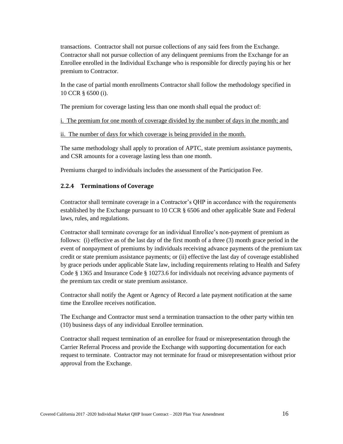transactions. Contractor shall not pursue collections of any said fees from the Exchange. Contractor shall not pursue collection of any delinquent premiums from the Exchange for an Enrollee enrolled in the Individual Exchange who is responsible for directly paying his or her premium to Contractor.

In the case of partial month enrollments Contractor shall follow the methodology specified in 10 CCR § 6500 (i).

The premium for coverage lasting less than one month shall equal the product of:

i. The premium for one month of coverage divided by the number of days in the month; and

ii. The number of days for which coverage is being provided in the month.

The same methodology shall apply to proration of APTC, state premium assistance payments, and CSR amounts for a coverage lasting less than one month.

Premiums charged to individuals includes the assessment of the Participation Fee.

## <span id="page-22-0"></span>**2.2.4 Terminations of Coverage**

Contractor shall terminate coverage in a Contractor's QHP in accordance with the requirements established by the Exchange pursuant to 10 CCR § 6506 and other applicable State and Federal laws, rules, and regulations.

Contractor shall terminate coverage for an individual Enrollee's non-payment of premium as follows: (i) effective as of the last day of the first month of a three (3) month grace period in the event of nonpayment of premiums by individuals receiving advance payments of the premium tax credit or state premium assistance payments; or (ii) effective the last day of coverage established by grace periods under applicable State law, including requirements relating to Health and Safety Code § 1365 and Insurance Code § 10273.6 for individuals not receiving advance payments of the premium tax credit or state premium assistance.

Contractor shall notify the Agent or Agency of Record a late payment notification at the same time the Enrollee receives notification.

The Exchange and Contractor must send a termination transaction to the other party within ten (10) business days of any individual Enrollee termination.

Contractor shall request termination of an enrollee for fraud or misrepresentation through the Carrier Referral Process and provide the Exchange with supporting documentation for each request to terminate. Contractor may not terminate for fraud or misrepresentation without prior approval from the Exchange.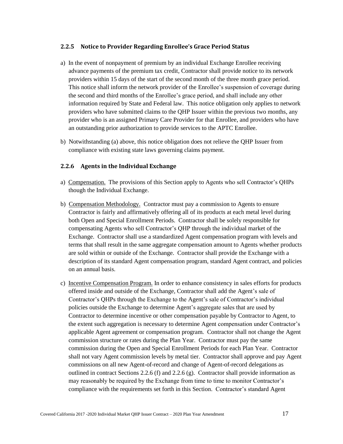### <span id="page-23-0"></span>**2.2.5 Notice to Provider Regarding Enrollee's Grace Period Status**

- a) In the event of nonpayment of premium by an individual Exchange Enrollee receiving advance payments of the premium tax credit, Contractor shall provide notice to its network providers within 15 days of the start of the second month of the three month grace period. This notice shall inform the network provider of the Enrollee's suspension of coverage during the second and third months of the Enrollee's grace period, and shall include any other information required by State and Federal law. This notice obligation only applies to network providers who have submitted claims to the QHP Issuer within the previous two months, any provider who is an assigned Primary Care Provider for that Enrollee, and providers who have an outstanding prior authorization to provide services to the APTC Enrollee.
- b) Notwithstanding (a) above, this notice obligation does not relieve the QHP Issuer from compliance with existing state laws governing claims payment.

## <span id="page-23-1"></span>**2.2.6 Agents in the Individual Exchange**

- a) Compensation. The provisions of this Section apply to Agents who sell Contractor's QHPs though the Individual Exchange.
- b) Compensation Methodology. Contractor must pay a commission to Agents to ensure Contractor is fairly and affirmatively offering all of its products at each metal level during both Open and Special Enrollment Periods. Contractor shall be solely responsible for compensating Agents who sell Contractor's QHP through the individual market of the Exchange. Contractor shall use a standardized Agent compensation program with levels and terms that shall result in the same aggregate compensation amount to Agents whether products are sold within or outside of the Exchange. Contractor shall provide the Exchange with a description of its standard Agent compensation program, standard Agent contract, and policies on an annual basis.
- c) Incentive Compensation Program. In order to enhance consistency in sales efforts for products offered inside and outside of the Exchange, Contractor shall add the Agent's sale of Contractor's QHPs through the Exchange to the Agent's sale of Contractor's individual policies outside the Exchange to determine Agent's aggregate sales that are used by Contractor to determine incentive or other compensation payable by Contractor to Agent, to the extent such aggregation is necessary to determine Agent compensation under Contractor's applicable Agent agreement or compensation program. Contractor shall not change the Agent commission structure or rates during the Plan Year. Contractor must pay the same commission during the Open and Special Enrollment Periods for each Plan Year. Contractor shall not vary Agent commission levels by metal tier. Contractor shall approve and pay Agent commissions on all new Agent-of-record and change of Agent-of-record delegations as outlined in contract Sections 2.2.6 (f) and 2.2.6 (g). Contractor shall provide information as may reasonably be required by the Exchange from time to time to monitor Contractor's compliance with the requirements set forth in this Section. Contractor's standard Agent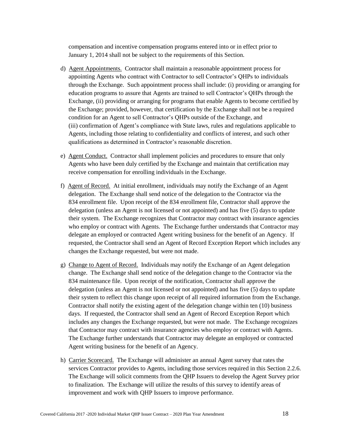compensation and incentive compensation programs entered into or in effect prior to January 1, 2014 shall not be subject to the requirements of this Section.

- d) Agent Appointments. Contractor shall maintain a reasonable appointment process for appointing Agents who contract with Contractor to sell Contractor's QHPs to individuals through the Exchange. Such appointment process shall include: (i) providing or arranging for education programs to assure that Agents are trained to sell Contractor's QHPs through the Exchange, (ii) providing or arranging for programs that enable Agents to become certified by the Exchange; provided, however, that certification by the Exchange shall not be a required condition for an Agent to sell Contractor's QHPs outside of the Exchange, and (iii) confirmation of Agent's compliance with State laws, rules and regulations applicable to Agents, including those relating to confidentiality and conflicts of interest, and such other qualifications as determined in Contractor's reasonable discretion.
- e) Agent Conduct. Contractor shall implement policies and procedures to ensure that only Agents who have been duly certified by the Exchange and maintain that certification may receive compensation for enrolling individuals in the Exchange.
- f) Agent of Record. At initial enrollment, individuals may notify the Exchange of an Agent delegation. The Exchange shall send notice of the delegation to the Contractor via the 834 enrollment file. Upon receipt of the 834 enrollment file, Contractor shall approve the delegation (unless an Agent is not licensed or not appointed) and has five (5) days to update their system. The Exchange recognizes that Contractor may contract with insurance agencies who employ or contract with Agents. The Exchange further understands that Contractor may delegate an employed or contracted Agent writing business for the benefit of an Agency. If requested, the Contractor shall send an Agent of Record Exception Report which includes any changes the Exchange requested, but were not made.
- g) Change to Agent of Record. Individuals may notify the Exchange of an Agent delegation change. The Exchange shall send notice of the delegation change to the Contractor via the 834 maintenance file. Upon receipt of the notification, Contractor shall approve the delegation (unless an Agent is not licensed or not appointed) and has five (5) days to update their system to reflect this change upon receipt of all required information from the Exchange. Contractor shall notify the existing agent of the delegation change within ten (10) business days. If requested, the Contractor shall send an Agent of Record Exception Report which includes any changes the Exchange requested, but were not made. The Exchange recognizes that Contractor may contract with insurance agencies who employ or contract with Agents. The Exchange further understands that Contractor may delegate an employed or contracted Agent writing business for the benefit of an Agency.
- h) Carrier Scorecard. The Exchange will administer an annual Agent survey that rates the services Contractor provides to Agents, including those services required in this Section 2.2.6. The Exchange will solicit comments from the QHP Issuers to develop the Agent Survey prior to finalization. The Exchange will utilize the results of this survey to identify areas of improvement and work with QHP Issuers to improve performance.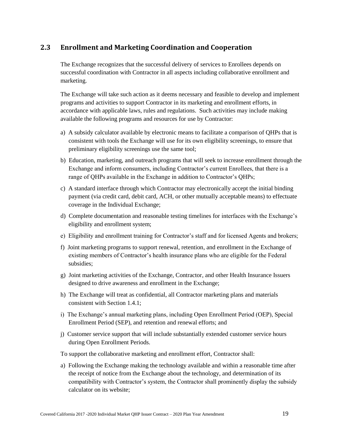# <span id="page-25-0"></span>**2.3 Enrollment and Marketing Coordination and Cooperation**

The Exchange recognizes that the successful delivery of services to Enrollees depends on successful coordination with Contractor in all aspects including collaborative enrollment and marketing.

The Exchange will take such action as it deems necessary and feasible to develop and implement programs and activities to support Contractor in its marketing and enrollment efforts, in accordance with applicable laws, rules and regulations. Such activities may include making available the following programs and resources for use by Contractor:

- a) A subsidy calculator available by electronic means to facilitate a comparison of QHPs that is consistent with tools the Exchange will use for its own eligibility screenings, to ensure that preliminary eligibility screenings use the same tool;
- b) Education, marketing, and outreach programs that will seek to increase enrollment through the Exchange and inform consumers, including Contractor's current Enrollees, that there is a range of QHPs available in the Exchange in addition to Contractor's QHPs;
- c) A standard interface through which Contractor may electronically accept the initial binding payment (via credit card, debit card, ACH, or other mutually acceptable means) to effectuate coverage in the Individual Exchange;
- d) Complete documentation and reasonable testing timelines for interfaces with the Exchange's eligibility and enrollment system;
- e) Eligibility and enrollment training for Contractor's staff and for licensed Agents and brokers;
- f) Joint marketing programs to support renewal, retention, and enrollment in the Exchange of existing members of Contractor's health insurance plans who are eligible for the Federal subsidies;
- g) Joint marketing activities of the Exchange, Contractor, and other Health Insurance Issuers designed to drive awareness and enrollment in the Exchange;
- h) The Exchange will treat as confidential, all Contractor marketing plans and materials consistent with Section 1.4.1;
- i) The Exchange's annual marketing plans, including Open Enrollment Period (OEP), Special Enrollment Period (SEP), and retention and renewal efforts; and
- j) Customer service support that will include substantially extended customer service hours during Open Enrollment Periods.

To support the collaborative marketing and enrollment effort, Contractor shall:

a) Following the Exchange making the technology available and within a reasonable time after the receipt of notice from the Exchange about the technology, and determination of its compatibility with Contractor's system, the Contractor shall prominently display the subsidy calculator on its website;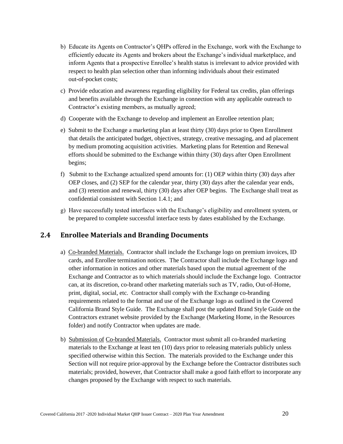- b) Educate its Agents on Contractor's QHPs offered in the Exchange, work with the Exchange to efficiently educate its Agents and brokers about the Exchange's individual marketplace, and inform Agents that a prospective Enrollee's health status is irrelevant to advice provided with respect to health plan selection other than informing individuals about their estimated out-of-pocket costs;
- c) Provide education and awareness regarding eligibility for Federal tax credits, plan offerings and benefits available through the Exchange in connection with any applicable outreach to Contractor's existing members, as mutually agreed;
- d) Cooperate with the Exchange to develop and implement an Enrollee retention plan;
- e) Submit to the Exchange a marketing plan at least thirty (30) days prior to Open Enrollment that details the anticipated budget, objectives, strategy, creative messaging, and ad placement by medium promoting acquisition activities. Marketing plans for Retention and Renewal efforts should be submitted to the Exchange within thirty (30) days after Open Enrollment begins;
- f) Submit to the Exchange actualized spend amounts for: (1) OEP within thirty (30) days after OEP closes, and (2) SEP for the calendar year, thirty (30) days after the calendar year ends, and (3) retention and renewal, thirty (30) days after OEP begins. The Exchange shall treat as confidential consistent with Section 1.4.1; and
- g) Have successfully tested interfaces with the Exchange's eligibility and enrollment system, or be prepared to complete successful interface tests by dates established by the Exchange.

# <span id="page-26-0"></span>**2.4 Enrollee Materials and Branding Documents**

- a) Co-branded Materials. Contractor shall include the Exchange logo on premium invoices, ID cards, and Enrollee termination notices. The Contractor shall include the Exchange logo and other information in notices and other materials based upon the mutual agreement of the Exchange and Contractor as to which materials should include the Exchange logo. Contractor can, at its discretion, co-brand other marketing materials such as TV, radio, Out-of-Home, print, digital, social, etc. Contractor shall comply with the Exchange co-branding requirements related to the format and use of the Exchange logo as outlined in the Covered California Brand Style Guide. The Exchange shall post the updated Brand Style Guide on the Contractors extranet website provided by the Exchange (Marketing Home, in the Resources folder) and notify Contractor when updates are made.
- b) Submission of Co-branded Materials. Contractor must submit all co-branded marketing materials to the Exchange at least ten (10) days prior to releasing materials publicly unless specified otherwise within this Section. The materials provided to the Exchange under this Section will not require prior-approval by the Exchange before the Contractor distributes such materials; provided, however, that Contractor shall make a good faith effort to incorporate any changes proposed by the Exchange with respect to such materials.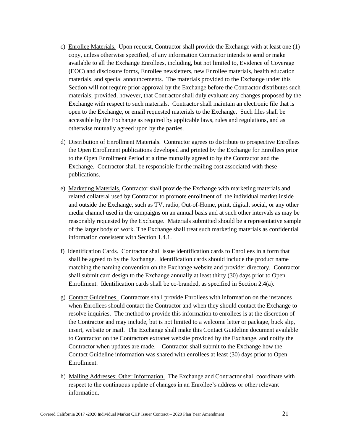- c) Enrollee Materials. Upon request, Contractor shall provide the Exchange with at least one (1) copy, unless otherwise specified, of any information Contractor intends to send or make available to all the Exchange Enrollees, including, but not limited to, Evidence of Coverage (EOC) and disclosure forms, Enrollee newsletters, new Enrollee materials, health education materials, and special announcements. The materials provided to the Exchange under this Section will not require prior-approval by the Exchange before the Contractor distributes such materials; provided, however, that Contractor shall duly evaluate any changes proposed by the Exchange with respect to such materials. Contractor shall maintain an electronic file that is open to the Exchange, or email requested materials to the Exchange. Such files shall be accessible by the Exchange as required by applicable laws, rules and regulations, and as otherwise mutually agreed upon by the parties.
- d) Distribution of Enrollment Materials. Contractor agrees to distribute to prospective Enrollees the Open Enrollment publications developed and printed by the Exchange for Enrollees prior to the Open Enrollment Period at a time mutually agreed to by the Contractor and the Exchange. Contractor shall be responsible for the mailing cost associated with these publications.
- e) Marketing Materials. Contractor shall provide the Exchange with marketing materials and related collateral used by Contractor to promote enrollment of the individual market inside and outside the Exchange, such as TV, radio, Out-of-Home, print, digital, social, or any other media channel used in the campaigns on an annual basis and at such other intervals as may be reasonably requested by the Exchange. Materials submitted should be a representative sample of the larger body of work. The Exchange shall treat such marketing materials as confidential information consistent with Section 1.4.1.
- f) Identification Cards. Contractor shall issue identification cards to Enrollees in a form that shall be agreed to by the Exchange. Identification cards should include the product name matching the naming convention on the Exchange website and provider directory. Contractor shall submit card design to the Exchange annually at least thirty (30) days prior to Open Enrollment. Identification cards shall be co-branded, as specified in Section 2.4(a).
- g) Contact Guidelines. Contractors shall provide Enrollees with information on the instances when Enrollees should contact the Contractor and when they should contact the Exchange to resolve inquiries. The method to provide this information to enrollees is at the discretion of the Contractor and may include, but is not limited to a welcome letter or package, buck slip, insert, website or mail. The Exchange shall make this Contact Guideline document available to Contractor on the Contractors extranet website provided by the Exchange, and notify the Contractor when updates are made. Contractor shall submit to the Exchange how the Contact Guideline information was shared with enrollees at least (30) days prior to Open Enrollment.
- h) Mailing Addresses; Other Information. The Exchange and Contractor shall coordinate with respect to the continuous update of changes in an Enrollee's address or other relevant information.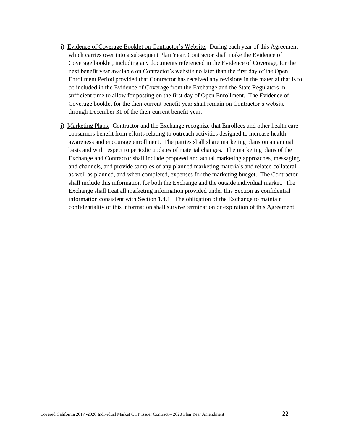- i) Evidence of Coverage Booklet on Contractor's Website. During each year of this Agreement which carries over into a subsequent Plan Year, Contractor shall make the Evidence of Coverage booklet, including any documents referenced in the Evidence of Coverage, for the next benefit year available on Contractor's website no later than the first day of the Open Enrollment Period provided that Contractor has received any revisions in the material that is to be included in the Evidence of Coverage from the Exchange and the State Regulators in sufficient time to allow for posting on the first day of Open Enrollment. The Evidence of Coverage booklet for the then-current benefit year shall remain on Contractor's website through December 31 of the then-current benefit year.
- j) Marketing Plans. Contractor and the Exchange recognize that Enrollees and other health care consumers benefit from efforts relating to outreach activities designed to increase health awareness and encourage enrollment. The parties shall share marketing plans on an annual basis and with respect to periodic updates of material changes. The marketing plans of the Exchange and Contractor shall include proposed and actual marketing approaches, messaging and channels, and provide samples of any planned marketing materials and related collateral as well as planned, and when completed, expenses for the marketing budget. The Contractor shall include this information for both the Exchange and the outside individual market. The Exchange shall treat all marketing information provided under this Section as confidential information consistent with Section 1.4.1. The obligation of the Exchange to maintain confidentiality of this information shall survive termination or expiration of this Agreement.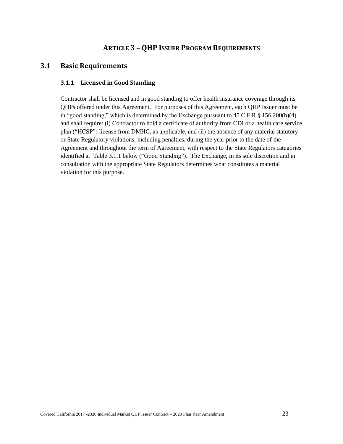# **ARTICLE 3 – QHP ISSUER PROGRAM REQUIREMENTS**

# <span id="page-29-2"></span><span id="page-29-1"></span><span id="page-29-0"></span>**3.1 Basic Requirements**

## **3.1.1 Licensed in Good Standing**

Contractor shall be licensed and in good standing to offer health insurance coverage through its QHPs offered under this Agreement. For purposes of this Agreement, each QHP Issuer must be in "good standing," which is determined by the Exchange pursuant to 45 C.F.R § 156.200(b)(4) and shall require: (i) Contractor to hold a certificate of authority from CDI or a health care service plan ("HCSP") license from DMHC, as applicable, and (ii) the absence of any material statutory or State Regulatory violations, including penalties, during the year prior to the date of the Agreement and throughout the term of Agreement, with respect to the State Regulators categories identified at Table 3.1.1 below ("Good Standing"). The Exchange, in its sole discretion and in consultation with the appropriate State Regulators determines what constitutes a material violation for this purpose.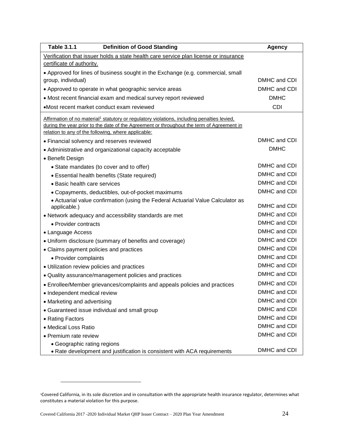| <b>Table 3.1.1</b><br><b>Definition of Good Standing</b>                                                | <b>Agency</b> |
|---------------------------------------------------------------------------------------------------------|---------------|
| Verification that issuer holds a state health care service plan license or insurance                    |               |
| certificate of authority.                                                                               |               |
| • Approved for lines of business sought in the Exchange (e.g. commercial, small                         |               |
| group, individual)                                                                                      | DMHC and CDI  |
| • Approved to operate in what geographic service areas                                                  | DMHC and CDI  |
| • Most recent financial exam and medical survey report reviewed                                         | <b>DMHC</b>   |
| •Most recent market conduct exam reviewed                                                               | <b>CDI</b>    |
| Affirmation of no material <sup>1</sup> statutory or regulatory violations, including penalties levied, |               |
| during the year prior to the date of the Agreement or throughout the term of Agreement in               |               |
| relation to any of the following, where applicable:                                                     |               |
| • Financial solvency and reserves reviewed                                                              | DMHC and CDI  |
| • Administrative and organizational capacity acceptable                                                 | <b>DMHC</b>   |
| • Benefit Design                                                                                        |               |
| • State mandates (to cover and to offer)                                                                | DMHC and CDI  |
| • Essential health benefits (State required)                                                            | DMHC and CDI  |
| • Basic health care services                                                                            | DMHC and CDI  |
| • Copayments, deductibles, out-of-pocket maximums                                                       | DMHC and CDI  |
| • Actuarial value confirmation (using the Federal Actuarial Value Calculator as<br>applicable.)         | DMHC and CDI  |
| • Network adequacy and accessibility standards are met                                                  | DMHC and CDI  |
| • Provider contracts                                                                                    | DMHC and CDI  |
| • Language Access                                                                                       | DMHC and CDI  |
| • Uniform disclosure (summary of benefits and coverage)                                                 | DMHC and CDI  |
| • Claims payment policies and practices                                                                 | DMHC and CDI  |
| • Provider complaints                                                                                   | DMHC and CDI  |
| • Utilization review policies and practices                                                             | DMHC and CDI  |
| • Quality assurance/management policies and practices                                                   | DMHC and CDI  |
| • Enrollee/Member grievances/complaints and appeals policies and practices                              | DMHC and CDI  |
| · Independent medical review                                                                            | DMHC and CDI  |
| • Marketing and advertising                                                                             | DMHC and CDI  |
| • Guaranteed issue individual and small group                                                           | DMHC and CDI  |
| • Rating Factors                                                                                        | DMHC and CDI  |
| • Medical Loss Ratio                                                                                    | DMHC and CDI  |
| • Premium rate review                                                                                   | DMHC and CDI  |
| • Geographic rating regions                                                                             |               |
| • Rate development and justification is consistent with ACA requirements                                | DMHC and CDI  |

l

<sup>1</sup>Covered California, in its sole discretion and in consultation with the appropriate health insurance regulator, determines what constitutes a material violation for this purpose.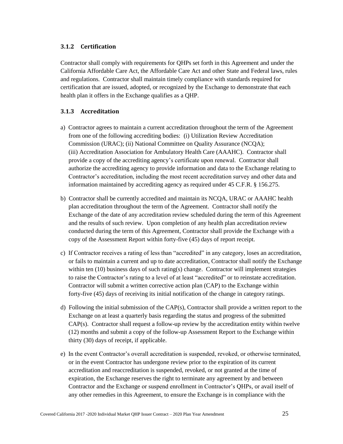## <span id="page-31-0"></span>**3.1.2 Certification**

Contractor shall comply with requirements for QHPs set forth in this Agreement and under the California Affordable Care Act, the Affordable Care Act and other State and Federal laws, rules and regulations*.* Contractor shall maintain timely compliance with standards required for certification that are issued, adopted, or recognized by the Exchange to demonstrate that each health plan it offers in the Exchange qualifies as a QHP.

## <span id="page-31-1"></span>**3.1.3 Accreditation**

- a) Contractor agrees to maintain a current accreditation throughout the term of the Agreement from one of the following accrediting bodies: (i) Utilization Review Accreditation Commission (URAC); (ii) National Committee on Quality Assurance (NCQA); (iii) Accreditation Association for Ambulatory Health Care (AAAHC). Contractor shall provide a copy of the accrediting agency's certificate upon renewal. Contractor shall authorize the accrediting agency to provide information and data to the Exchange relating to Contractor's accreditation, including the most recent accreditation survey and other data and information maintained by accrediting agency as required under 45 C.F.R. § 156.275.
- b) Contractor shall be currently accredited and maintain its NCQA, URAC or AAAHC health plan accreditation throughout the term of the Agreement. Contractor shall notify the Exchange of the date of any accreditation review scheduled during the term of this Agreement and the results of such review. Upon completion of any health plan accreditation review conducted during the term of this Agreement, Contractor shall provide the Exchange with a copy of the Assessment Report within forty-five (45) days of report receipt.
- c) If Contractor receives a rating of less than "accredited" in any category, loses an accreditation, or fails to maintain a current and up to date accreditation, Contractor shall notify the Exchange within ten  $(10)$  business days of such rating(s) change. Contractor will implement strategies to raise the Contractor's rating to a level of at least "accredited" or to reinstate accreditation. Contractor will submit a written corrective action plan (CAP) to the Exchange within forty-five (45) days of receiving its initial notification of the change in category ratings.
- d) Following the initial submission of the  $CAP(s)$ , Contractor shall provide a written report to the Exchange on at least a quarterly basis regarding the status and progress of the submitted  $CAP(s)$ . Contractor shall request a follow-up review by the accreditation entity within twelve (12) months and submit a copy of the follow-up Assessment Report to the Exchange within thirty (30) days of receipt, if applicable.
- e) In the event Contractor's overall accreditation is suspended, revoked, or otherwise terminated, or in the event Contractor has undergone review prior to the expiration of its current accreditation and reaccreditation is suspended, revoked, or not granted at the time of expiration, the Exchange reserves the right to terminate any agreement by and between Contractor and the Exchange or suspend enrollment in Contractor's QHPs, or avail itself of any other remedies in this Agreement, to ensure the Exchange is in compliance with the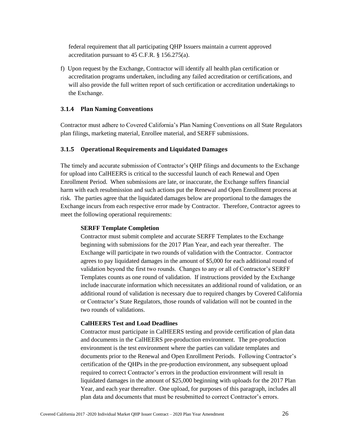federal requirement that all participating QHP Issuers maintain a current approved accreditation pursuant to 45 C.F.R. § 156.275(a).

f) Upon request by the Exchange, Contractor will identify all health plan certification or accreditation programs undertaken, including any failed accreditation or certifications, and will also provide the full written report of such certification or accreditation undertakings to the Exchange.

#### <span id="page-32-0"></span>**3.1.4 Plan Naming Conventions**

Contractor must adhere to Covered California's Plan Naming Conventions on all State Regulators plan filings, marketing material, Enrollee material, and SERFF submissions.

## <span id="page-32-1"></span>**3.1.5 Operational Requirements and Liquidated Damages**

The timely and accurate submission of Contractor's QHP filings and documents to the Exchange for upload into CalHEERS is critical to the successful launch of each Renewal and Open Enrollment Period. When submissions are late, or inaccurate, the Exchange suffers financial harm with each resubmission and such actions put the Renewal and Open Enrollment process at risk. The parties agree that the liquidated damages below are proportional to the damages the Exchange incurs from each respective error made by Contractor. Therefore, Contractor agrees to meet the following operational requirements:

### **SERFF Template Completion**

Contractor must submit complete and accurate SERFF Templates to the Exchange beginning with submissions for the 2017 Plan Year, and each year thereafter. The Exchange will participate in two rounds of validation with the Contractor. Contractor agrees to pay liquidated damages in the amount of \$5,000 for each additional round of validation beyond the first two rounds. Changes to any or all of Contractor's SERFF Templates counts as one round of validation. If instructions provided by the Exchange include inaccurate information which necessitates an additional round of validation, or an additional round of validation is necessary due to required changes by Covered California or Contractor's State Regulators, those rounds of validation will not be counted in the two rounds of validations.

#### **CalHEERS Test and Load Deadlines**

Contractor must participate in CalHEERS testing and provide certification of plan data and documents in the CalHEERS pre-production environment. The pre-production environment is the test environment where the parties can validate templates and documents prior to the Renewal and Open Enrollment Periods. Following Contractor's certification of the QHPs in the pre-production environment, any subsequent upload required to correct Contractor's errors in the production environment will result in liquidated damages in the amount of \$25,000 beginning with uploads for the 2017 Plan Year, and each year thereafter. One upload, for purposes of this paragraph, includes all plan data and documents that must be resubmitted to correct Contractor's errors.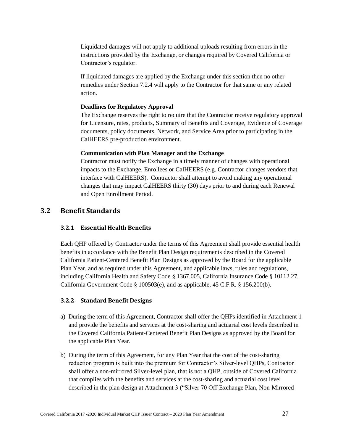Liquidated damages will not apply to additional uploads resulting from errors in the instructions provided by the Exchange, or changes required by Covered California or Contractor's regulator.

If liquidated damages are applied by the Exchange under this section then no other remedies under Section 7.2.4 will apply to the Contractor for that same or any related action.

#### **Deadlines for Regulatory Approval**

The Exchange reserves the right to require that the Contractor receive regulatory approval for Licensure, rates, products, Summary of Benefits and Coverage, Evidence of Coverage documents, policy documents, Network, and Service Area prior to participating in the CalHEERS pre-production environment.

#### **Communication with Plan Manager and the Exchange**

Contractor must notify the Exchange in a timely manner of changes with operational impacts to the Exchange, Enrollees or CalHEERS (e.g. Contractor changes vendors that interface with CalHEERS). Contractor shall attempt to avoid making any operational changes that may impact CalHEERS thirty (30) days prior to and during each Renewal and Open Enrollment Period.

# <span id="page-33-1"></span><span id="page-33-0"></span>**3.2 Benefit Standards**

## **3.2.1 Essential Health Benefits**

Each QHP offered by Contractor under the terms of this Agreement shall provide essential health benefits in accordance with the Benefit Plan Design requirements described in the Covered California Patient-Centered Benefit Plan Designs as approved by the Board for the applicable Plan Year, and as required under this Agreement, and applicable laws, rules and regulations, including California Health and Safety Code § 1367.005, California Insurance Code § 10112.27, California Government Code § 100503(e), and as applicable, 45 C.F.R. § 156.200(b).

## <span id="page-33-2"></span>**3.2.2 Standard Benefit Designs**

- a) During the term of this Agreement, Contractor shall offer the QHPs identified in Attachment 1 and provide the benefits and services at the cost-sharing and actuarial cost levels described in the Covered California Patient-Centered Benefit Plan Designs as approved by the Board for the applicable Plan Year.
- b) During the term of this Agreement, for any Plan Year that the cost of the cost-sharing reduction program is built into the premium for Contractor's Silver-level QHPs, Contractor shall offer a non-mirrored Silver-level plan, that is not a QHP, outside of Covered California that complies with the benefits and services at the cost-sharing and actuarial cost level described in the plan design at Attachment 3 ("Silver 70 Off-Exchange Plan, Non-Mirrored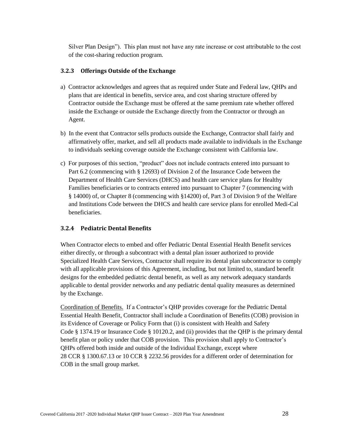Silver Plan Design"). This plan must not have any rate increase or cost attributable to the cost of the cost-sharing reduction program.

## <span id="page-34-0"></span>**3.2.3 Offerings Outside of the Exchange**

- a) Contractor acknowledges and agrees that as required under State and Federal law, QHPs and plans that are identical in benefits, service area, and cost sharing structure offered by Contractor outside the Exchange must be offered at the same premium rate whether offered inside the Exchange or outside the Exchange directly from the Contractor or through an Agent.
- b) In the event that Contractor sells products outside the Exchange, Contractor shall fairly and affirmatively offer, market, and sell all products made available to individuals in the Exchange to individuals seeking coverage outside the Exchange consistent with California law.
- c) For purposes of this section, "product" does not include contracts entered into pursuant to Part 6.2 (commencing with § 12693) of Division 2 of the Insurance Code between the Department of Health Care Services (DHCS) and health care service plans for Healthy Families beneficiaries or to contracts entered into pursuant to Chapter 7 (commencing with § 14000) of, or Chapter 8 (commencing with §14200) of, Part 3 of Division 9 of the Welfare and Institutions Code between the DHCS and health care service plans for enrolled Medi-Cal beneficiaries.

## <span id="page-34-1"></span>**3.2.4 Pediatric Dental Benefits**

When Contractor elects to embed and offer Pediatric Dental Essential Health Benefit services either directly, or through a subcontract with a dental plan issuer authorized to provide Specialized Health Care Services, Contractor shall require its dental plan subcontractor to comply with all applicable provisions of this Agreement, including, but not limited to, standard benefit designs for the embedded pediatric dental benefit, as well as any network adequacy standards applicable to dental provider networks and any pediatric dental quality measures as determined by the Exchange.

Coordination of Benefits. If a Contractor's QHP provides coverage for the Pediatric Dental Essential Health Benefit, Contractor shall include a Coordination of Benefits (COB) provision in its Evidence of Coverage or Policy Form that (i) is consistent with Health and Safety Code § 1374.19 or Insurance Code § 10120.2, and (ii) provides that the QHP is the primary dental benefit plan or policy under that COB provision. This provision shall apply to Contractor's QHPs offered both inside and outside of the Individual Exchange, except where 28 CCR § 1300.67.13 or 10 CCR § 2232.56 provides for a different order of determination for COB in the small group market.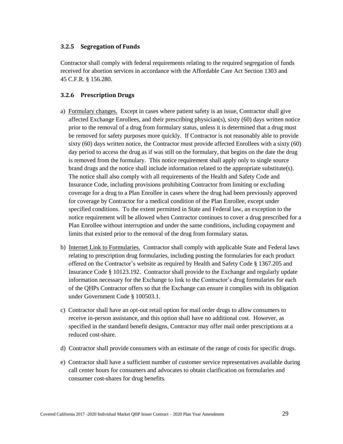### <span id="page-35-0"></span>**3.2.5 Segregation of Funds**

Contractor shall comply with federal requirements relating to the required segregation of funds received for abortion services in accordance with the Affordable Care Act Section 1303 and 45 C.F.R. § 156.280.

### <span id="page-35-1"></span>**3.2.6 Prescription Drugs**

- a) Formulary changes. Except in cases where patient safety is an issue, Contractor shall give affected Exchange Enrollees, and their prescribing physician(s), sixty (60) days written notice prior to the removal of a drug from formulary status, unless it is determined that a drug must be removed for safety purposes more quickly. If Contractor is not reasonably able to provide sixty (60) days written notice, the Contractor must provide affected Enrollees with a sixty (60) day period to access the drug as if was still on the formulary, that begins on the date the drug is removed from the formulary. This notice requirement shall apply only to single source brand drugs and the notice shall include information related to the appropriate substitute(s). The notice shall also comply with all requirements of the Health and Safety Code and Insurance Code, including provisions prohibiting Contractor from limiting or excluding coverage for a drug to a Plan Enrollee in cases where the drug had been previously approved for coverage by Contractor for a medical condition of the Plan Enrollee, except under specified conditions. To the extent permitted in State and Federal law, an exception to the notice requirement will be allowed when Contractor continues to cover a drug prescribed for a Plan Enrollee without interruption and under the same conditions, including copayment and limits that existed prior to the removal of the drug from formulary status.
- b) Internet Link to Formularies. Contractor shall comply with applicable State and Federal laws relating to prescription drug formularies, including posting the formularies for each product offered on the Contractor's website as required by Health and Safety Code § 1367.205 and Insurance Code § 10123.192. Contractor shall provide to the Exchange and regularly update information necessary for the Exchange to link to the Contractor's drug formularies for each of the QHPs Contractor offers so that the Exchange can ensure it complies with its obligation under Government Code § 100503.1.
- c) Contractor shall have an opt-out retail option for mail order drugs to allow consumers to receive in-person assistance, and this option shall have no additional cost. However, as specified in the standard benefit designs, Contractor may offer mail order prescriptions at a reduced cost-share.
- d) Contractor shall provide consumers with an estimate of the range of costs for specific drugs.
- e) Contractor shall have a sufficient number of customer service representatives available during call center hours for consumers and advocates to obtain clarification on formularies and consumer cost-shares for drug benefits.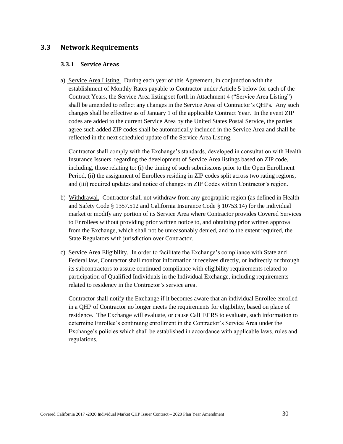## **3.3 Network Requirements**

#### **3.3.1 Service Areas**

a) Service Area Listing. During each year of this Agreement, in conjunction with the establishment of Monthly Rates payable to Contractor under Article 5 below for each of the Contract Years, the Service Area listing set forth in Attachment 4 ("Service Area Listing") shall be amended to reflect any changes in the Service Area of Contractor's QHPs. Any such changes shall be effective as of January 1 of the applicable Contract Year. In the event ZIP codes are added to the current Service Area by the United States Postal Service, the parties agree such added ZIP codes shall be automatically included in the Service Area and shall be reflected in the next scheduled update of the Service Area Listing.

Contractor shall comply with the Exchange's standards, developed in consultation with Health Insurance Issuers, regarding the development of Service Area listings based on ZIP code, including, those relating to: (i) the timing of such submissions prior to the Open Enrollment Period, (ii) the assignment of Enrollees residing in ZIP codes split across two rating regions, and (iii) required updates and notice of changes in ZIP Codes within Contractor's region.

- b) Withdrawal. Contractor shall not withdraw from any geographic region (as defined in Health and Safety Code § 1357.512 and California Insurance Code § 10753.14) for the individual market or modify any portion of its Service Area where Contractor provides Covered Services to Enrollees without providing prior written notice to, and obtaining prior written approval from the Exchange, which shall not be unreasonably denied, and to the extent required, the State Regulators with jurisdiction over Contractor.
- c) Service Area Eligibility. In order to facilitate the Exchange's compliance with State and Federal law, Contractor shall monitor information it receives directly, or indirectly or through its subcontractors to assure continued compliance with eligibility requirements related to participation of Qualified Individuals in the Individual Exchange, including requirements related to residency in the Contractor's service area.

Contractor shall notify the Exchange if it becomes aware that an individual Enrollee enrolled in a QHP of Contractor no longer meets the requirements for eligibility, based on place of residence. The Exchange will evaluate, or cause CalHEERS to evaluate, such information to determine Enrollee's continuing enrollment in the Contractor's Service Area under the Exchange's policies which shall be established in accordance with applicable laws, rules and regulations.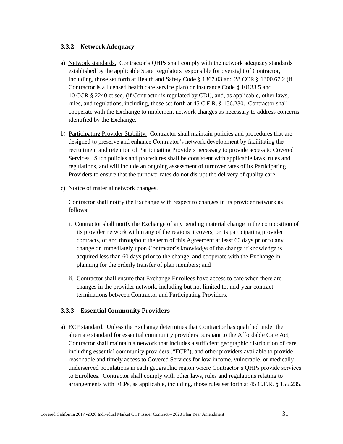### **3.3.2 Network Adequacy**

- a) Network standards. Contractor's QHPs shall comply with the network adequacy standards established by the applicable State Regulators responsible for oversight of Contractor, including, those set forth at Health and Safety Code § 1367.03 and 28 CCR § 1300.67.2 (if Contractor is a licensed health care service plan) or Insurance Code § 10133.5 and 10 CCR § 2240 et seq. (if Contractor is regulated by CDI), and, as applicable, other laws, rules, and regulations, including, those set forth at 45 C.F.R. § 156.230. Contractor shall cooperate with the Exchange to implement network changes as necessary to address concerns identified by the Exchange.
- b) Participating Provider Stability. Contractor shall maintain policies and procedures that are designed to preserve and enhance Contractor's network development by facilitating the recruitment and retention of Participating Providers necessary to provide access to Covered Services. Such policies and procedures shall be consistent with applicable laws, rules and regulations, and will include an ongoing assessment of turnover rates of its Participating Providers to ensure that the turnover rates do not disrupt the delivery of quality care.
- c) Notice of material network changes.

Contractor shall notify the Exchange with respect to changes in its provider network as follows:

- i. Contractor shall notify the Exchange of any pending material change in the composition of its provider network within any of the regions it covers, or its participating provider contracts, of and throughout the term of this Agreement at least 60 days prior to any change or immediately upon Contractor's knowledge of the change if knowledge is acquired less than 60 days prior to the change, and cooperate with the Exchange in planning for the orderly transfer of plan members; and
- ii. Contractor shall ensure that Exchange Enrollees have access to care when there are changes in the provider network, including but not limited to, mid-year contract terminations between Contractor and Participating Providers.

#### **3.3.3 Essential Community Providers**

a) ECP standard. Unless the Exchange determines that Contractor has qualified under the alternate standard for essential community providers pursuant to the Affordable Care Act, Contractor shall maintain a network that includes a sufficient geographic distribution of care, including essential community providers ("ECP"), and other providers available to provide reasonable and timely access to Covered Services for low-income, vulnerable, or medically underserved populations in each geographic region where Contractor's QHPs provide services to Enrollees. Contractor shall comply with other laws, rules and regulations relating to arrangements with ECPs, as applicable, including, those rules set forth at 45 C.F.R. § 156.235.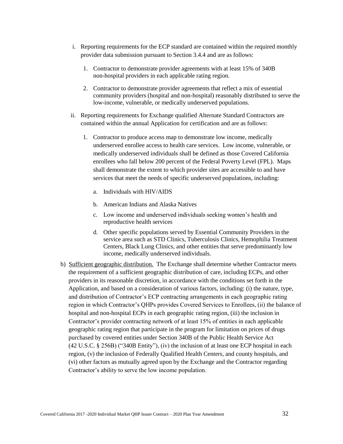- i. Reporting requirements for the ECP standard are contained within the required monthly provider data submission pursuant to Section 3.4.4 and are as follows:
	- 1. Contractor to demonstrate provider agreements with at least 15% of 340B non-hospital providers in each applicable rating region.
	- 2. Contractor to demonstrate provider agreements that reflect a mix of essential community providers (hospital and non-hospital) reasonably distributed to serve the low-income, vulnerable, or medically underserved populations.
- ii. Reporting requirements for Exchange qualified Alternate Standard Contractors are contained within the annual Application for certification and are as follows:
	- 1. Contractor to produce access map to demonstrate low income, medically underserved enrollee access to health care services. Low income, vulnerable, or medically underserved individuals shall be defined as those Covered California enrollees who fall below 200 percent of the Federal Poverty Level (FPL). Maps shall demonstrate the extent to which provider sites are accessible to and have services that meet the needs of specific underserved populations, including:
		- a. Individuals with HIV/AIDS
		- b. American Indians and Alaska Natives
		- c. Low income and underserved individuals seeking women's health and reproductive health services
		- d. Other specific populations served by Essential Community Providers in the service area such as STD Clinics, Tuberculosis Clinics, Hemophilia Treatment Centers, Black Lung Clinics, and other entities that serve predominantly low income, medically underserved individuals.
- b) Sufficient geographic distribution. The Exchange shall determine whether Contractor meets the requirement of a sufficient geographic distribution of care, including ECPs, and other providers in its reasonable discretion, in accordance with the conditions set forth in the Application, and based on a consideration of various factors, including: (i) the nature, type, and distribution of Contractor's ECP contracting arrangements in each geographic rating region in which Contractor's QHPs provides Covered Services to Enrollees, (ii) the balance of hospital and non-hospital ECPs in each geographic rating region, (iii) the inclusion in Contractor's provider contracting network of at least 15% of entities in each applicable geographic rating region that participate in the program for limitation on prices of drugs purchased by covered entities under Section 340B of the Public Health Service Act (42 U.S.C. § 256B) ("340B Entity"), (iv) the inclusion of at least one ECP hospital in each region, (v) the inclusion of Federally Qualified Health Centers, and county hospitals, and (vi) other factors as mutually agreed upon by the Exchange and the Contractor regarding Contractor's ability to serve the low income population.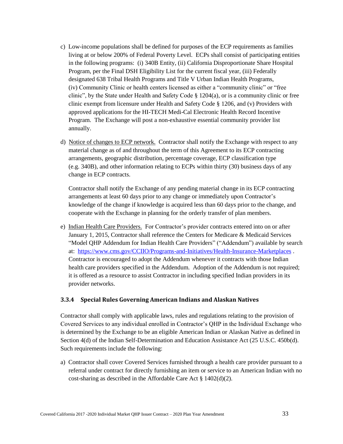- c) Low-income populations shall be defined for purposes of the ECP requirements as families living at or below 200% of Federal Poverty Level. ECPs shall consist of participating entities in the following programs: (i) 340B Entity, (ii) California Disproportionate Share Hospital Program, per the Final DSH Eligibility List for the current fiscal year, (iii) Federally designated 638 Tribal Health Programs and Title V Urban Indian Health Programs, (iv) Community Clinic or health centers licensed as either a "community clinic" or "free clinic", by the State under Health and Safety Code § 1204(a), or is a community clinic or free clinic exempt from licensure under Health and Safety Code § 1206, and (v) Providers with approved applications for the HI-TECH Medi-Cal Electronic Health Record Incentive Program. The Exchange will post a non-exhaustive essential community provider list annually.
- d) Notice of changes to ECP network. Contractor shall notify the Exchange with respect to any material change as of and throughout the term of this Agreement to its ECP contracting arrangements, geographic distribution, percentage coverage, ECP classification type (e.g. 340B), and other information relating to ECPs within thirty (30) business days of any change in ECP contracts.

Contractor shall notify the Exchange of any pending material change in its ECP contracting arrangements at least 60 days prior to any change or immediately upon Contractor's knowledge of the change if knowledge is acquired less than 60 days prior to the change, and cooperate with the Exchange in planning for the orderly transfer of plan members.

e) Indian Health Care Providers. For Contractor's provider contracts entered into on or after January 1, 2015, Contractor shall reference the Centers for Medicare & Medicaid Services "Model QHP Addendum for Indian Health Care Providers" ("Addendum") available by search at: <https://www.cms.gov/CCIIO/Programs-and-Initiatives/Health-Insurance-Marketplaces> . Contractor is encouraged to adopt the Addendum whenever it contracts with those Indian health care providers specified in the Addendum. Adoption of the Addendum is not required; it is offered as a resource to assist Contractor in including specified Indian providers in its provider networks.

### **3.3.4 Special Rules Governing American Indians and Alaskan Natives**

Contractor shall comply with applicable laws, rules and regulations relating to the provision of Covered Services to any individual enrolled in Contractor's QHP in the Individual Exchange who is determined by the Exchange to be an eligible American Indian or Alaskan Native as defined in Section 4(d) of the Indian Self-Determination and Education Assistance Act (25 U.S.C. 450b(d). Such requirements include the following:

a) Contractor shall cover Covered Services furnished through a health care provider pursuant to a referral under contract for directly furnishing an item or service to an American Indian with no cost-sharing as described in the Affordable Care Act § 1402(d)(2).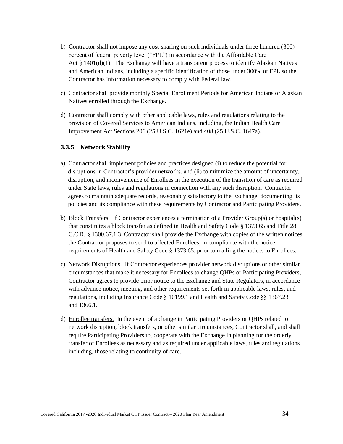- b) Contractor shall not impose any cost-sharing on such individuals under three hundred (300) percent of federal poverty level ("FPL") in accordance with the Affordable Care Act  $\S$  1401(d)(1). The Exchange will have a transparent process to identify Alaskan Natives and American Indians, including a specific identification of those under 300% of FPL so the Contractor has information necessary to comply with Federal law.
- c) Contractor shall provide monthly Special Enrollment Periods for American Indians or Alaskan Natives enrolled through the Exchange.
- d) Contractor shall comply with other applicable laws, rules and regulations relating to the provision of Covered Services to American Indians, including, the Indian Health Care Improvement Act Sections 206 (25 U.S.C. 1621e) and 408 (25 U.S.C. 1647a).

#### **3.3.5 Network Stability**

- a) Contractor shall implement policies and practices designed (i) to reduce the potential for disruptions in Contractor's provider networks, and (ii) to minimize the amount of uncertainty, disruption, and inconvenience of Enrollees in the execution of the transition of care as required under State laws, rules and regulations in connection with any such disruption. Contractor agrees to maintain adequate records, reasonably satisfactory to the Exchange, documenting its policies and its compliance with these requirements by Contractor and Participating Providers.
- b) Block Transfers. If Contractor experiences a termination of a Provider Group(s) or hospital(s) that constitutes a block transfer as defined in Health and Safety Code § 1373.65 and Title 28, C.C.R. § 1300.67.1.3, Contractor shall provide the Exchange with copies of the written notices the Contractor proposes to send to affected Enrollees, in compliance with the notice requirements of Health and Safety Code § 1373.65, prior to mailing the notices to Enrollees.
- c) Network Disruptions. If Contractor experiences provider network disruptions or other similar circumstances that make it necessary for Enrollees to change QHPs or Participating Providers, Contractor agrees to provide prior notice to the Exchange and State Regulators, in accordance with advance notice, meeting, and other requirements set forth in applicable laws, rules, and regulations, including Insurance Code § 10199.1 and Health and Safety Code §§ 1367.23 and 1366.1.
- d) Enrollee transfers. In the event of a change in Participating Providers or QHPs related to network disruption, block transfers, or other similar circumstances, Contractor shall, and shall require Participating Providers to, cooperate with the Exchange in planning for the orderly transfer of Enrollees as necessary and as required under applicable laws, rules and regulations including, those relating to continuity of care.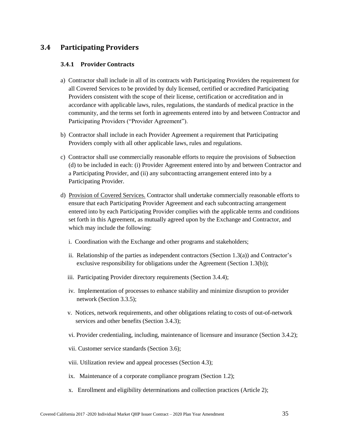# **3.4 Participating Providers**

#### **3.4.1 Provider Contracts**

- a) Contractor shall include in all of its contracts with Participating Providers the requirement for all Covered Services to be provided by duly licensed, certified or accredited Participating Providers consistent with the scope of their license, certification or accreditation and in accordance with applicable laws, rules, regulations, the standards of medical practice in the community, and the terms set forth in agreements entered into by and between Contractor and Participating Providers ("Provider Agreement").
- b) Contractor shall include in each Provider Agreement a requirement that Participating Providers comply with all other applicable laws, rules and regulations.
- c) Contractor shall use commercially reasonable efforts to require the provisions of Subsection (d) to be included in each: (i) Provider Agreement entered into by and between Contractor and a Participating Provider, and (ii) any subcontracting arrangement entered into by a Participating Provider.
- d) Provision of Covered Services. Contractor shall undertake commercially reasonable efforts to ensure that each Participating Provider Agreement and each subcontracting arrangement entered into by each Participating Provider complies with the applicable terms and conditions set forth in this Agreement, as mutually agreed upon by the Exchange and Contractor, and which may include the following:
	- i. Coordination with the Exchange and other programs and stakeholders;
	- ii. Relationship of the parties as independent contractors (Section 1.3(a)) and Contractor's exclusive responsibility for obligations under the Agreement (Section 1.3(b));
	- iii. Participating Provider directory requirements (Section 3.4.4);
	- iv. Implementation of processes to enhance stability and minimize disruption to provider network (Section 3.3.5);
	- v. Notices, network requirements, and other obligations relating to costs of out-of-network services and other benefits (Section 3.4.3);
	- vi. Provider credentialing, including, maintenance of licensure and insurance (Section 3.4.2);
	- vii. Customer service standards (Section 3.6);
	- viii. Utilization review and appeal processes (Section 4.3);
	- ix. Maintenance of a corporate compliance program (Section 1.2);
	- x. Enrollment and eligibility determinations and collection practices (Article 2);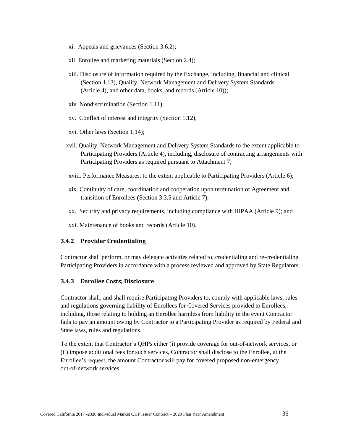- xi. Appeals and grievances (Section 3.6.2);
- xii. Enrollee and marketing materials (Section 2.4);
- xiii. Disclosure of information required by the Exchange, including, financial and clinical (Section 1.13), Quality, Network Management and Delivery System Standards (Article 4), and other data, books, and records (Article 10));
- xiv. Nondiscrimination (Section 1.11);
- xv. Conflict of interest and integrity (Section 1.12);
- xvi. Other laws (Section 1.14);
- xvii. Quality, Network Management and Delivery System Standards to the extent applicable to Participating Providers (Article 4), including, disclosure of contracting arrangements with Participating Providers as required pursuant to Attachment 7;
- xviii. Performance Measures, to the extent applicable to Participating Providers (Article 6);
- xix. Continuity of care, coordination and cooperation upon termination of Agreement and transition of Enrollees (Section 3.3.5 and Article 7);
- xx. Security and privacy requirements, including compliance with HIPAA (Article 9); and
- xxi. Maintenance of books and records (Article 10).

#### **3.4.2 Provider Credentialing**

Contractor shall perform, or may delegate activities related to, credentialing and re-credentialing Participating Providers in accordance with a process reviewed and approved by State Regulators.

#### **3.4.3 Enrollee Costs; Disclosure**

Contractor shall, and shall require Participating Providers to, comply with applicable laws, rules and regulations governing liability of Enrollees for Covered Services provided to Enrollees, including, those relating to holding an Enrollee harmless from liability in the event Contractor fails to pay an amount owing by Contractor to a Participating Provider as required by Federal and State laws, rules and regulations.

To the extent that Contractor's QHPs either (i) provide coverage for out-of-network services, or (ii) impose additional fees for such services, Contractor shall disclose to the Enrollee, at the Enrollee's request, the amount Contractor will pay for covered proposed non-emergency out-of-network services.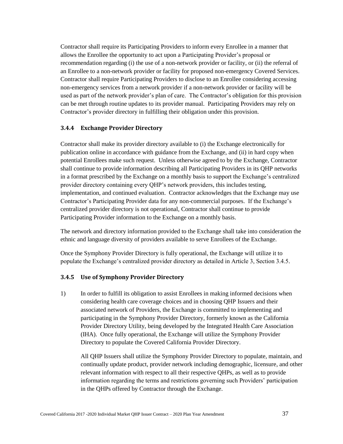Contractor shall require its Participating Providers to inform every Enrollee in a manner that allows the Enrollee the opportunity to act upon a Participating Provider's proposal or recommendation regarding (i) the use of a non-network provider or facility, or (ii) the referral of an Enrollee to a non-network provider or facility for proposed non-emergency Covered Services. Contractor shall require Participating Providers to disclose to an Enrollee considering accessing non-emergency services from a network provider if a non-network provider or facility will be used as part of the network provider's plan of care. The Contractor's obligation for this provision can be met through routine updates to its provider manual. Participating Providers may rely on Contractor's provider directory in fulfilling their obligation under this provision.

### **3.4.4 Exchange Provider Directory**

Contractor shall make its provider directory available to (i) the Exchange electronically for publication online in accordance with guidance from the Exchange, and (ii) in hard copy when potential Enrollees make such request. Unless otherwise agreed to by the Exchange, Contractor shall continue to provide information describing all Participating Providers in its QHP networks in a format prescribed by the Exchange on a monthly basis to support the Exchange's centralized provider directory containing every QHP's network providers, this includes testing, implementation, and continued evaluation. Contractor acknowledges that the Exchange may use Contractor's Participating Provider data for any non-commercial purposes. If the Exchange's centralized provider directory is not operational, Contractor shall continue to provide Participating Provider information to the Exchange on a monthly basis.

The network and directory information provided to the Exchange shall take into consideration the ethnic and language diversity of providers available to serve Enrollees of the Exchange.

Once the Symphony Provider Directory is fully operational, the Exchange will utilize it to populate the Exchange's centralized provider directory as detailed in Article 3, Section 3.4.5.

#### **3.4.5 Use of Symphony Provider Directory**

1) In order to fulfill its obligation to assist Enrollees in making informed decisions when considering health care coverage choices and in choosing QHP Issuers and their associated network of Providers, the Exchange is committed to implementing and participating in the Symphony Provider Directory, formerly known as the California Provider Directory Utility, being developed by the Integrated Health Care Association (IHA). Once fully operational, the Exchange will utilize the Symphony Provider Directory to populate the Covered California Provider Directory.

All QHP Issuers shall utilize the Symphony Provider Directory to populate, maintain, and continually update product, provider network including demographic, licensure, and other relevant information with respect to all their respective QHPs, as well as to provide information regarding the terms and restrictions governing such Providers' participation in the QHPs offered by Contractor through the Exchange.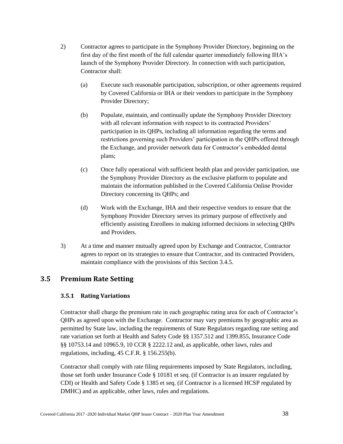- 2) Contractor agrees to participate in the Symphony Provider Directory, beginning on the first day of the first month of the full calendar quarter immediately following IHA's launch of the Symphony Provider Directory. In connection with such participation, Contractor shall:
	- (a) Execute such reasonable participation, subscription, or other agreements required by Covered California or IHA or their vendors to participate in the Symphony Provider Directory;
	- (b) Populate, maintain, and continually update the Symphony Provider Directory with all relevant information with respect to its contracted Providers' participation in its QHPs, including all information regarding the terms and restrictions governing such Providers' participation in the QHPs offered through the Exchange, and provider network data for Contractor's embedded dental plans;
	- (c) Once fully operational with sufficient health plan and provider participation, use the Symphony Provider Directory as the exclusive platform to populate and maintain the information published in the Covered California Online Provider Directory concerning its QHPs; and
	- (d) Work with the Exchange, IHA and their respective vendors to ensure that the Symphony Provider Directory serves its primary purpose of effectively and efficiently assisting Enrollees in making informed decisions in selecting QHPs and Providers.
- 3) At a time and manner mutually agreed upon by Exchange and Contractor, Contractor agrees to report on its strategies to ensure that Contractor, and its contracted Providers, maintain compliance with the provisions of this Section 3.4.5.

# **3.5 Premium Rate Setting**

### **3.5.1 Rating Variations**

Contractor shall charge the premium rate in each geographic rating area for each of Contractor's QHPs as agreed upon with the Exchange. Contractor may vary premiums by geographic area as permitted by State law, including the requirements of State Regulators regarding rate setting and rate variation set forth at Health and Safety Code §§ 1357.512 and 1399.855, Insurance Code §§ 10753.14 and 10965.9, 10 CCR § 2222.12 and, as applicable, other laws, rules and regulations, including, 45 C.F.R. § 156.255(b).

Contractor shall comply with rate filing requirements imposed by State Regulators, including, those set forth under Insurance Code § 10181 et seq. (if Contractor is an insurer regulated by CDI) or Health and Safety Code § 1385 et seq. (if Contractor is a licensed HCSP regulated by DMHC) and as applicable, other laws, rules and regulations.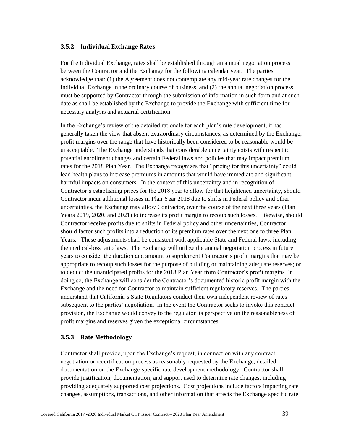#### **3.5.2 Individual Exchange Rates**

For the Individual Exchange, rates shall be established through an annual negotiation process between the Contractor and the Exchange for the following calendar year. The parties acknowledge that: (1) the Agreement does not contemplate any mid-year rate changes for the Individual Exchange in the ordinary course of business, and (2) the annual negotiation process must be supported by Contractor through the submission of information in such form and at such date as shall be established by the Exchange to provide the Exchange with sufficient time for necessary analysis and actuarial certification.

In the Exchange's review of the detailed rationale for each plan's rate development, it has generally taken the view that absent extraordinary circumstances, as determined by the Exchange, profit margins over the range that have historically been considered to be reasonable would be unacceptable. The Exchange understands that considerable uncertainty exists with respect to potential enrollment changes and certain Federal laws and policies that may impact premium rates for the 2018 Plan Year. The Exchange recognizes that "pricing for this uncertainty" could lead health plans to increase premiums in amounts that would have immediate and significant harmful impacts on consumers. In the context of this uncertainty and in recognition of Contractor's establishing prices for the 2018 year to allow for that heightened uncertainty, should Contractor incur additional losses in Plan Year 2018 due to shifts in Federal policy and other uncertainties, the Exchange may allow Contractor, over the course of the next three years (Plan Years 2019, 2020, and 2021) to increase its profit margin to recoup such losses. Likewise, should Contractor receive profits due to shifts in Federal policy and other uncertainties, Contractor should factor such profits into a reduction of its premium rates over the next one to three Plan Years. These adjustments shall be consistent with applicable State and Federal laws, including the medical-loss ratio laws. The Exchange will utilize the annual negotiation process in future years to consider the duration and amount to supplement Contractor's profit margins that may be appropriate to recoup such losses for the purpose of building or maintaining adequate reserves; or to deduct the unanticipated profits for the 2018 Plan Year from Contractor's profit margins. In doing so, the Exchange will consider the Contractor's documented historic profit margin with the Exchange and the need for Contractor to maintain sufficient regulatory reserves. The parties understand that California's State Regulators conduct their own independent review of rates subsequent to the parties' negotiation. In the event the Contractor seeks to invoke this contract provision, the Exchange would convey to the regulator its perspective on the reasonableness of profit margins and reserves given the exceptional circumstances.

#### **3.5.3 Rate Methodology**

Contractor shall provide, upon the Exchange's request, in connection with any contract negotiation or recertification process as reasonably requested by the Exchange, detailed documentation on the Exchange-specific rate development methodology. Contractor shall provide justification, documentation, and support used to determine rate changes, including providing adequately supported cost projections. Cost projections include factors impacting rate changes, assumptions, transactions, and other information that affects the Exchange specific rate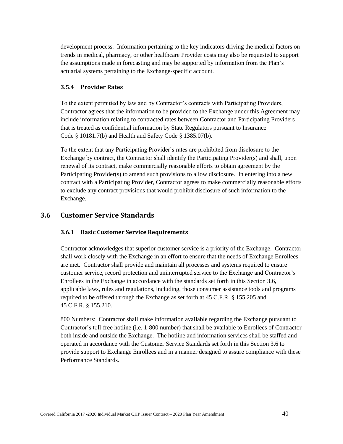development process. Information pertaining to the key indicators driving the medical factors on trends in medical, pharmacy, or other healthcare Provider costs may also be requested to support the assumptions made in forecasting and may be supported by information from the Plan's actuarial systems pertaining to the Exchange-specific account.

### **3.5.4 Provider Rates**

To the extent permitted by law and by Contractor's contracts with Participating Providers, Contractor agrees that the information to be provided to the Exchange under this Agreement may include information relating to contracted rates between Contractor and Participating Providers that is treated as confidential information by State Regulators pursuant to Insurance Code § 10181.7(b) and Health and Safety Code § 1385.07(b).

To the extent that any Participating Provider's rates are prohibited from disclosure to the Exchange by contract, the Contractor shall identify the Participating Provider(s) and shall, upon renewal of its contract, make commercially reasonable efforts to obtain agreement by the Participating Provider(s) to amend such provisions to allow disclosure. In entering into a new contract with a Participating Provider, Contractor agrees to make commercially reasonable efforts to exclude any contract provisions that would prohibit disclosure of such information to the Exchange.

# **3.6 Customer Service Standards**

### **3.6.1 Basic Customer Service Requirements**

Contractor acknowledges that superior customer service is a priority of the Exchange. Contractor shall work closely with the Exchange in an effort to ensure that the needs of Exchange Enrollees are met. Contractor shall provide and maintain all processes and systems required to ensure customer service, record protection and uninterrupted service to the Exchange and Contractor's Enrollees in the Exchange in accordance with the standards set forth in this Section 3.6, applicable laws, rules and regulations, including, those consumer assistance tools and programs required to be offered through the Exchange as set forth at 45 C.F.R. § 155.205 and 45 C.F.R. § 155.210.

800 Numbers: Contractor shall make information available regarding the Exchange pursuant to Contractor's toll-free hotline (i.e. 1-800 number) that shall be available to Enrollees of Contractor both inside and outside the Exchange. The hotline and information services shall be staffed and operated in accordance with the Customer Service Standards set forth in this Section 3.6 to provide support to Exchange Enrollees and in a manner designed to assure compliance with these Performance Standards.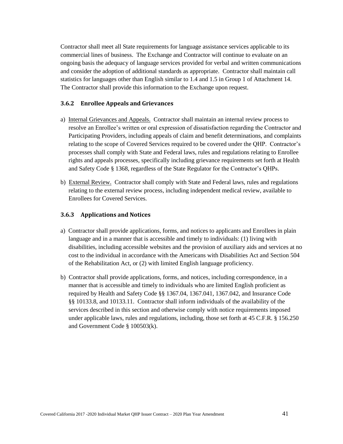Contractor shall meet all State requirements for language assistance services applicable to its commercial lines of business. The Exchange and Contractor will continue to evaluate on an ongoing basis the adequacy of language services provided for verbal and written communications and consider the adoption of additional standards as appropriate. Contractor shall maintain call statistics for languages other than English similar to 1.4 and 1.5 in Group 1 of Attachment 14. The Contractor shall provide this information to the Exchange upon request.

#### **3.6.2 Enrollee Appeals and Grievances**

- a) Internal Grievances and Appeals. Contractor shall maintain an internal review process to resolve an Enrollee's written or oral expression of dissatisfaction regarding the Contractor and Participating Providers, including appeals of claim and benefit determinations, and complaints relating to the scope of Covered Services required to be covered under the QHP. Contractor's processes shall comply with State and Federal laws, rules and regulations relating to Enrollee rights and appeals processes, specifically including grievance requirements set forth at Health and Safety Code § 1368, regardless of the State Regulator for the Contractor's QHPs.
- b) External Review. Contractor shall comply with State and Federal laws, rules and regulations relating to the external review process, including independent medical review, available to Enrollees for Covered Services.

#### **3.6.3 Applications and Notices**

- a) Contractor shall provide applications, forms, and notices to applicants and Enrollees in plain language and in a manner that is accessible and timely to individuals: (1) living with disabilities, including accessible websites and the provision of auxiliary aids and services at no cost to the individual in accordance with the Americans with Disabilities Act and Section 504 of the Rehabilitation Act, or (2) with limited English language proficiency.
- b) Contractor shall provide applications, forms, and notices, including correspondence, in a manner that is accessible and timely to individuals who are limited English proficient as required by Health and Safety Code §§ 1367.04, 1367.041, 1367.042, and Insurance Code §§ 10133.8, and 10133.11. Contractor shall inform individuals of the availability of the services described in this section and otherwise comply with notice requirements imposed under applicable laws, rules and regulations, including, those set forth at 45 C.F.R. § 156.250 and Government Code § 100503(k).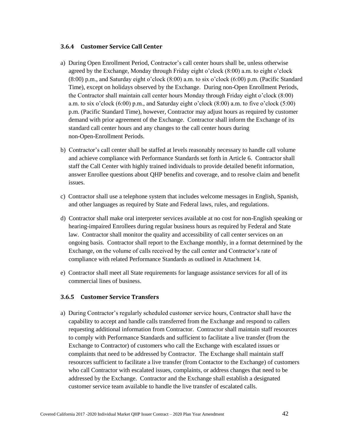### **3.6.4 Customer Service Call Center**

- a) During Open Enrollment Period, Contractor's call center hours shall be, unless otherwise agreed by the Exchange, Monday through Friday eight o'clock (8:00) a.m. to eight o'clock (8:00) p.m., and Saturday eight o'clock (8:00) a.m. to six o'clock (6:00) p.m. (Pacific Standard Time), except on holidays observed by the Exchange. During non-Open Enrollment Periods, the Contractor shall maintain call center hours Monday through Friday eight o'clock (8:00) a.m. to six o'clock (6:00) p.m., and Saturday eight o'clock (8:00) a.m. to five o'clock (5:00) p.m. (Pacific Standard Time), however, Contractor may adjust hours as required by customer demand with prior agreement of the Exchange. Contractor shall inform the Exchange of its standard call center hours and any changes to the call center hours during non-Open-Enrollment Periods.
- b) Contractor's call center shall be staffed at levels reasonably necessary to handle call volume and achieve compliance with Performance Standards set forth in Article 6. Contractor shall staff the Call Center with highly trained individuals to provide detailed benefit information, answer Enrollee questions about QHP benefits and coverage, and to resolve claim and benefit issues.
- c) Contractor shall use a telephone system that includes welcome messages in English, Spanish, and other languages as required by State and Federal laws, rules, and regulations.
- d) Contractor shall make oral interpreter services available at no cost for non-English speaking or hearing-impaired Enrollees during regular business hours as required by Federal and State law. Contractor shall monitor the quality and accessibility of call center services on an ongoing basis. Contractor shall report to the Exchange monthly, in a format determined by the Exchange, on the volume of calls received by the call center and Contractor's rate of compliance with related Performance Standards as outlined in Attachment 14.
- e) Contractor shall meet all State requirements for language assistance services for all of its commercial lines of business.

#### **3.6.5 Customer Service Transfers**

a) During Contractor's regularly scheduled customer service hours, Contractor shall have the capability to accept and handle calls transferred from the Exchange and respond to callers requesting additional information from Contractor. Contractor shall maintain staff resources to comply with Performance Standards and sufficient to facilitate a live transfer (from the Exchange to Contractor) of customers who call the Exchange with escalated issues or complaints that need to be addressed by Contractor. The Exchange shall maintain staff resources sufficient to facilitate a live transfer (from Contactor to the Exchange) of customers who call Contractor with escalated issues, complaints, or address changes that need to be addressed by the Exchange. Contractor and the Exchange shall establish a designated customer service team available to handle the live transfer of escalated calls.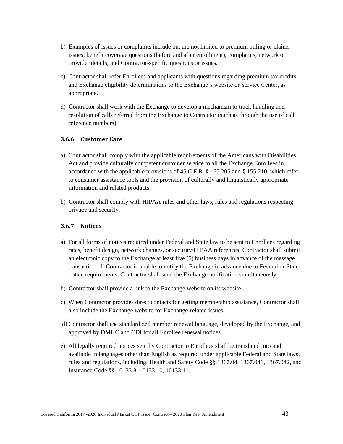- b) Examples of issues or complaints include but are not limited to premium billing or claims issues; benefit coverage questions (before and after enrollment); complaints; network or provider details; and Contractor-specific questions or issues.
- c) Contractor shall refer Enrollees and applicants with questions regarding premium tax credits and Exchange eligibility determinations to the Exchange's website or Service Center, as appropriate.
- d) Contractor shall work with the Exchange to develop a mechanism to track handling and resolution of calls referred from the Exchange to Contractor (such as through the use of call reference numbers).

### **3.6.6 Customer Care**

- a) Contractor shall comply with the applicable requirements of the Americans with Disabilities Act and provide culturally competent customer service to all the Exchange Enrollees in accordance with the applicable provisions of 45 C.F.R. § 155.205 and § 155.210, which refer to consumer assistance tools and the provision of culturally and linguistically appropriate information and related products.
- b) Contractor shall comply with HIPAA rules and other laws, rules and regulations respecting privacy and security.

### **3.6.7 Notices**

- a) For all forms of notices required under Federal and State law to be sent to Enrollees regarding rates, benefit design, network changes, or security/HIPAA references, Contractor shall submit an electronic copy to the Exchange at least five (5) business days in advance of the message transaction. If Contractor is unable to notify the Exchange in advance due to Federal or State notice requirements, Contractor shall send the Exchange notification simultaneously.
- b) Contractor shall provide a link to the Exchange website on its website.
- c) When Contractor provides direct contacts for getting membership assistance, Contractor shall also include the Exchange website for Exchange-related issues.
- d) Contractor shall use standardized member renewal language, developed by the Exchange, and approved by DMHC and CDI for all Enrollee renewal notices.
- e) All legally required notices sent by Contractor to Enrollees shall be translated into and available in languages other than English as required under applicable Federal and State laws, rules and regulations, including, Health and Safety Code §§ 1367.04, 1367.041, 1367.042, and Insurance Code §§ 10133.8, 10133.10, 10133.11.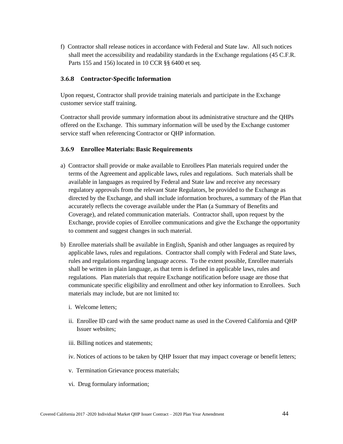f) Contractor shall release notices in accordance with Federal and State law. All such notices shall meet the accessibility and readability standards in the Exchange regulations (45 C.F.R. Parts 155 and 156) located in 10 CCR §§ 6400 et seq.

### **3.6.8 Contractor-Specific Information**

Upon request, Contractor shall provide training materials and participate in the Exchange customer service staff training.

Contractor shall provide summary information about its administrative structure and the QHPs offered on the Exchange. This summary information will be used by the Exchange customer service staff when referencing Contractor or QHP information.

#### **3.6.9 Enrollee Materials: Basic Requirements**

- a) Contractor shall provide or make available to Enrollees Plan materials required under the terms of the Agreement and applicable laws, rules and regulations. Such materials shall be available in languages as required by Federal and State law and receive any necessary regulatory approvals from the relevant State Regulators, be provided to the Exchange as directed by the Exchange, and shall include information brochures, a summary of the Plan that accurately reflects the coverage available under the Plan (a Summary of Benefits and Coverage), and related communication materials. Contractor shall, upon request by the Exchange, provide copies of Enrollee communications and give the Exchange the opportunity to comment and suggest changes in such material.
- b) Enrollee materials shall be available in English, Spanish and other languages as required by applicable laws, rules and regulations. Contractor shall comply with Federal and State laws, rules and regulations regarding language access. To the extent possible, Enrollee materials shall be written in plain language, as that term is defined in applicable laws, rules and regulations. Plan materials that require Exchange notification before usage are those that communicate specific eligibility and enrollment and other key information to Enrollees. Such materials may include, but are not limited to:
	- i. Welcome letters;
	- ii. Enrollee ID card with the same product name as used in the Covered California and QHP Issuer websites;
	- iii. Billing notices and statements;
	- iv. Notices of actions to be taken by QHP Issuer that may impact coverage or benefit letters;
	- v. Termination Grievance process materials;
	- vi. Drug formulary information;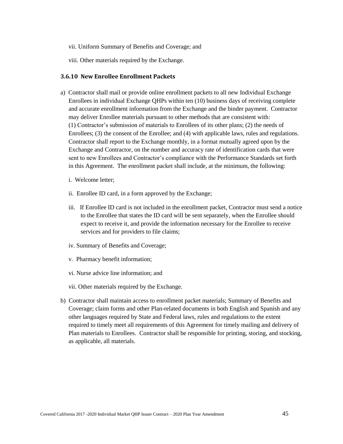- vii. Uniform Summary of Benefits and Coverage; and
- viii. Other materials required by the Exchange.

### **3.6.10 New Enrollee Enrollment Packets**

- a) Contractor shall mail or provide online enrollment packets to all new Individual Exchange Enrollees in individual Exchange QHPs within ten (10) business days of receiving complete and accurate enrollment information from the Exchange and the binder payment. Contractor may deliver Enrollee materials pursuant to other methods that are consistent with: (1) Contractor's submission of materials to Enrollees of its other plans; (2) the needs of Enrollees; (3) the consent of the Enrollee; and (4) with applicable laws, rules and regulations. Contractor shall report to the Exchange monthly, in a format mutually agreed upon by the Exchange and Contractor, on the number and accuracy rate of identification cards that were sent to new Enrollees and Contractor's compliance with the Performance Standards set forth in this Agreement. The enrollment packet shall include, at the minimum, the following:
	- i. Welcome letter;
	- ii. Enrollee ID card, in a form approved by the Exchange;
	- iii. If Enrollee ID card is not included in the enrollment packet, Contractor must send a notice to the Enrollee that states the ID card will be sent separately, when the Enrollee should expect to receive it, and provide the information necessary for the Enrollee to receive services and for providers to file claims;
	- iv. Summary of Benefits and Coverage;
	- v. Pharmacy benefit information;
	- vi. Nurse advice line information; and
	- vii. Other materials required by the Exchange.
- b) Contractor shall maintain access to enrollment packet materials; Summary of Benefits and Coverage; claim forms and other Plan-related documents in both English and Spanish and any other languages required by State and Federal laws, rules and regulations to the extent required to timely meet all requirements of this Agreement for timely mailing and delivery of Plan materials to Enrollees. Contractor shall be responsible for printing, storing, and stocking, as applicable, all materials.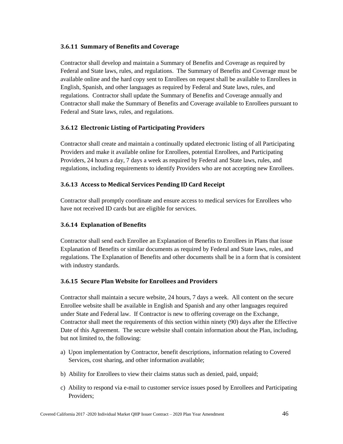### **3.6.11 Summary of Benefits and Coverage**

Contractor shall develop and maintain a Summary of Benefits and Coverage as required by Federal and State laws, rules, and regulations. The Summary of Benefits and Coverage must be available online and the hard copy sent to Enrollees on request shall be available to Enrollees in English, Spanish, and other languages as required by Federal and State laws, rules, and regulations. Contractor shall update the Summary of Benefits and Coverage annually and Contractor shall make the Summary of Benefits and Coverage available to Enrollees pursuant to Federal and State laws, rules, and regulations.

### **3.6.12 Electronic Listing of Participating Providers**

Contractor shall create and maintain a continually updated electronic listing of all Participating Providers and make it available online for Enrollees, potential Enrollees, and Participating Providers, 24 hours a day, 7 days a week as required by Federal and State laws, rules, and regulations, including requirements to identify Providers who are not accepting new Enrollees.

### **3.6.13 Access to Medical Services Pending ID Card Receipt**

Contractor shall promptly coordinate and ensure access to medical services for Enrollees who have not received ID cards but are eligible for services.

### **3.6.14 Explanation of Benefits**

Contractor shall send each Enrollee an Explanation of Benefits to Enrollees in Plans that issue Explanation of Benefits or similar documents as required by Federal and State laws, rules, and regulations. The Explanation of Benefits and other documents shall be in a form that is consistent with industry standards.

### **3.6.15 Secure Plan Website for Enrollees and Providers**

Contractor shall maintain a secure website, 24 hours, 7 days a week. All content on the secure Enrollee website shall be available in English and Spanish and any other languages required under State and Federal law. If Contractor is new to offering coverage on the Exchange, Contractor shall meet the requirements of this section within ninety (90) days after the Effective Date of this Agreement. The secure website shall contain information about the Plan, including, but not limited to, the following:

- a) Upon implementation by Contractor, benefit descriptions, information relating to Covered Services, cost sharing, and other information available;
- b) Ability for Enrollees to view their claims status such as denied, paid, unpaid;
- c) Ability to respond via e-mail to customer service issues posed by Enrollees and Participating Providers;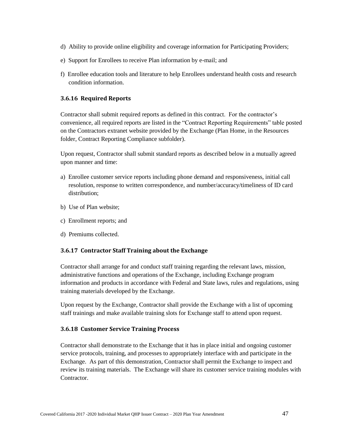- d) Ability to provide online eligibility and coverage information for Participating Providers;
- e) Support for Enrollees to receive Plan information by e-mail; and
- f) Enrollee education tools and literature to help Enrollees understand health costs and research condition information.

### **3.6.16 Required Reports**

Contractor shall submit required reports as defined in this contract. For the contractor's convenience, all required reports are listed in the "Contract Reporting Requirements" table posted on the Contractors extranet website provided by the Exchange (Plan Home, in the Resources folder, Contract Reporting Compliance subfolder).

Upon request, Contractor shall submit standard reports as described below in a mutually agreed upon manner and time:

- a) Enrollee customer service reports including phone demand and responsiveness, initial call resolution, response to written correspondence, and number/accuracy/timeliness of ID card distribution;
- b) Use of Plan website;
- c) Enrollment reports; and
- d) Premiums collected.

### **3.6.17 Contractor Staff Training about the Exchange**

Contractor shall arrange for and conduct staff training regarding the relevant laws, mission, administrative functions and operations of the Exchange, including Exchange program information and products in accordance with Federal and State laws, rules and regulations, using training materials developed by the Exchange.

Upon request by the Exchange, Contractor shall provide the Exchange with a list of upcoming staff trainings and make available training slots for Exchange staff to attend upon request.

#### **3.6.18 Customer Service Training Process**

Contractor shall demonstrate to the Exchange that it has in place initial and ongoing customer service protocols, training, and processes to appropriately interface with and participate in the Exchange. As part of this demonstration, Contractor shall permit the Exchange to inspect and review its training materials. The Exchange will share its customer service training modules with **Contractor**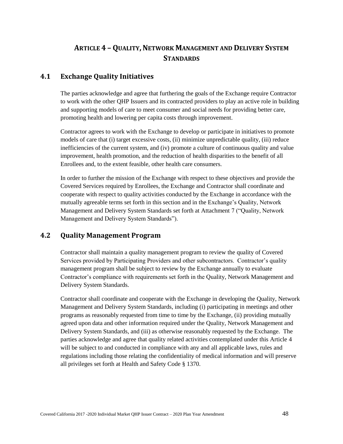# **ARTICLE 4 – QUALITY,NETWORK MANAGEMENT AND DELIVERY SYSTEM STANDARDS**

# **4.1 Exchange Quality Initiatives**

The parties acknowledge and agree that furthering the goals of the Exchange require Contractor to work with the other QHP Issuers and its contracted providers to play an active role in building and supporting models of care to meet consumer and social needs for providing better care, promoting health and lowering per capita costs through improvement.

Contractor agrees to work with the Exchange to develop or participate in initiatives to promote models of care that (i) target excessive costs, (ii) minimize unpredictable quality, (iii) reduce inefficiencies of the current system, and (iv) promote a culture of continuous quality and value improvement, health promotion, and the reduction of health disparities to the benefit of all Enrollees and, to the extent feasible, other health care consumers.

In order to further the mission of the Exchange with respect to these objectives and provide the Covered Services required by Enrollees, the Exchange and Contractor shall coordinate and cooperate with respect to quality activities conducted by the Exchange in accordance with the mutually agreeable terms set forth in this section and in the Exchange's Quality, Network Management and Delivery System Standards set forth at Attachment 7 ("Quality, Network Management and Delivery System Standards").

# **4.2 Quality Management Program**

Contractor shall maintain a quality management program to review the quality of Covered Services provided by Participating Providers and other subcontractors. Contractor's quality management program shall be subject to review by the Exchange annually to evaluate Contractor's compliance with requirements set forth in the Quality, Network Management and Delivery System Standards.

Contractor shall coordinate and cooperate with the Exchange in developing the Quality, Network Management and Delivery System Standards, including (i) participating in meetings and other programs as reasonably requested from time to time by the Exchange, (ii) providing mutually agreed upon data and other information required under the Quality, Network Management and Delivery System Standards, and (iii) as otherwise reasonably requested by the Exchange. The parties acknowledge and agree that quality related activities contemplated under this Article 4 will be subject to and conducted in compliance with any and all applicable laws, rules and regulations including those relating the confidentiality of medical information and will preserve all privileges set forth at Health and Safety Code § 1370.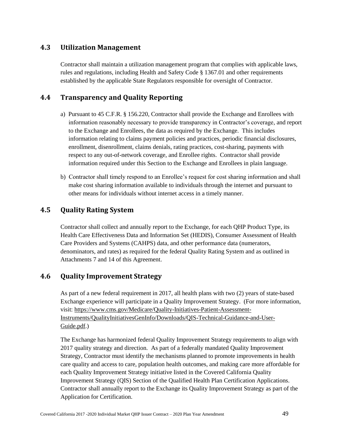# **4.3 Utilization Management**

Contractor shall maintain a utilization management program that complies with applicable laws, rules and regulations, including Health and Safety Code § 1367.01 and other requirements established by the applicable State Regulators responsible for oversight of Contractor.

# **4.4 Transparency and Quality Reporting**

- a) Pursuant to 45 C.F.R. § 156.220, Contractor shall provide the Exchange and Enrollees with information reasonably necessary to provide transparency in Contractor's coverage, and report to the Exchange and Enrollees, the data as required by the Exchange. This includes information relating to claims payment policies and practices, periodic financial disclosures, enrollment, disenrollment, claims denials, rating practices, cost-sharing, payments with respect to any out-of-network coverage, and Enrollee rights. Contractor shall provide information required under this Section to the Exchange and Enrollees in plain language.
- b) Contractor shall timely respond to an Enrollee's request for cost sharing information and shall make cost sharing information available to individuals through the internet and pursuant to other means for individuals without internet access in a timely manner.

# **4.5 Quality Rating System**

Contractor shall collect and annually report to the Exchange, for each QHP Product Type, its Health Care Effectiveness Data and Information Set (HEDIS), Consumer Assessment of Health Care Providers and Systems (CAHPS) data, and other performance data (numerators, denominators, and rates) as required for the federal Quality Rating System and as outlined in Attachments 7 and 14 of this Agreement.

# **4.6 Quality Improvement Strategy**

As part of a new federal requirement in 2017, all health plans with two (2) years of state-based Exchange experience will participate in a Quality Improvement Strategy. (For more information, visit: [https://www.cms.gov/Medicare/Quality-Initiatives-Patient-Assessment-](https://www.cms.gov/Medicare/Quality-Initiatives-Patient-Assessment-Instruments/QualityInitiativesGenInfo/Downloads/QIS-Technical-Guidance-and-User-Guide.pdf)[Instruments/QualityInitiativesGenInfo/Downloads/QIS-Technical-Guidance-and-User-](https://www.cms.gov/Medicare/Quality-Initiatives-Patient-Assessment-Instruments/QualityInitiativesGenInfo/Downloads/QIS-Technical-Guidance-and-User-Guide.pdf)[Guide.pdf.](https://www.cms.gov/Medicare/Quality-Initiatives-Patient-Assessment-Instruments/QualityInitiativesGenInfo/Downloads/QIS-Technical-Guidance-and-User-Guide.pdf))

The Exchange has harmonized federal Quality Improvement Strategy requirements to align with 2017 quality strategy and direction. As part of a federally mandated Quality Improvement Strategy, Contractor must identify the mechanisms planned to promote improvements in health care quality and access to care, population health outcomes, and making care more affordable for each Quality Improvement Strategy initiative listed in the Covered California Quality Improvement Strategy (QIS) Section of the Qualified Health Plan Certification Applications. Contractor shall annually report to the Exchange its Quality Improvement Strategy as part of the Application for Certification.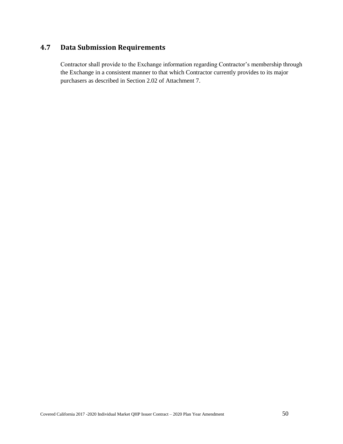# **4.7 Data Submission Requirements**

Contractor shall provide to the Exchange information regarding Contractor's membership through the Exchange in a consistent manner to that which Contractor currently provides to its major purchasers as described in Section 2.02 of Attachment 7.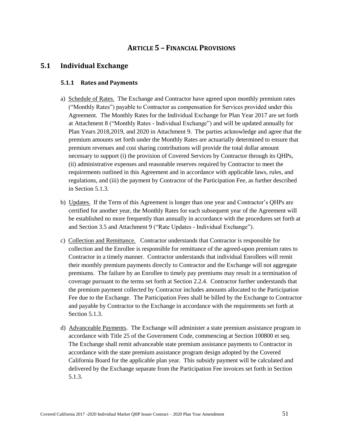# **ARTICLE 5 – FINANCIAL PROVISIONS**

### **5.1 Individual Exchange**

#### **5.1.1 Rates and Payments**

- a) Schedule of Rates. The Exchange and Contractor have agreed upon monthly premium rates ("Monthly Rates") payable to Contractor as compensation for Services provided under this Agreement. The Monthly Rates for the Individual Exchange for Plan Year 2017 are set forth at Attachment 8 ("Monthly Rates - Individual Exchange") and will be updated annually for Plan Years 2018,2019, and 2020 in Attachment 9. The parties acknowledge and agree that the premium amounts set forth under the Monthly Rates are actuarially determined to ensure that premium revenues and cost sharing contributions will provide the total dollar amount necessary to support (i) the provision of Covered Services by Contractor through its QHPs, (ii) administrative expenses and reasonable reserves required by Contractor to meet the requirements outlined in this Agreement and in accordance with applicable laws, rules, and regulations, and (iii) the payment by Contractor of the Participation Fee, as further described in Section 5.1.3.
- b) Updates. If the Term of this Agreement is longer than one year and Contractor's QHPs are certified for another year, the Monthly Rates for each subsequent year of the Agreement will be established no more frequently than annually in accordance with the procedures set forth at and Section 3.5 and Attachment 9 ("Rate Updates - Individual Exchange").
- c) Collection and Remittance. Contractor understands that Contractor is responsible for collection and the Enrollee is responsible for remittance of the agreed-upon premium rates to Contractor in a timely manner. Contractor understands that individual Enrollees will remit their monthly premium payments directly to Contractor and the Exchange will not aggregate premiums. The failure by an Enrollee to timely pay premiums may result in a termination of coverage pursuant to the terms set forth at Section 2.2.4. Contractor further understands that the premium payment collected by Contractor includes amounts allocated to the Participation Fee due to the Exchange. The Participation Fees shall be billed by the Exchange to Contractor and payable by Contractor to the Exchange in accordance with the requirements set forth at Section 5.1.3.
- d) Advanceable Payments. The Exchange will administer a state premium assistance program in accordance with Title 25 of the Government Code, commencing at Section 100800 et seq. The Exchange shall remit advanceable state premium assistance payments to Contractor in accordance with the state premium assistance program design adopted by the Covered California Board for the applicable plan year. This subsidy payment will be calculated and delivered by the Exchange separate from the Participation Fee invoices set forth in Section 5.1.3.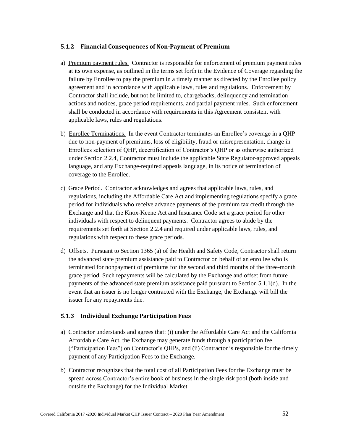### **5.1.2 Financial Consequences of Non-Payment of Premium**

- a) Premium payment rules. Contractor is responsible for enforcement of premium payment rules at its own expense, as outlined in the terms set forth in the Evidence of Coverage regarding the failure by Enrollee to pay the premium in a timely manner as directed by the Enrollee policy agreement and in accordance with applicable laws, rules and regulations. Enforcement by Contractor shall include, but not be limited to, chargebacks, delinquency and termination actions and notices, grace period requirements, and partial payment rules. Such enforcement shall be conducted in accordance with requirements in this Agreement consistent with applicable laws, rules and regulations.
- b) Enrollee Terminations. In the event Contractor terminates an Enrollee's coverage in a QHP due to non-payment of premiums, loss of eligibility, fraud or misrepresentation, change in Enrollees selection of QHP, decertification of Contractor's QHP or as otherwise authorized under Section 2.2.4, Contractor must include the applicable State Regulator-approved appeals language, and any Exchange-required appeals language, in its notice of termination of coverage to the Enrollee.
- c) Grace Period. Contractor acknowledges and agrees that applicable laws, rules, and regulations, including the Affordable Care Act and implementing regulations specify a grace period for individuals who receive advance payments of the premium tax credit through the Exchange and that the Knox-Keene Act and Insurance Code set a grace period for other individuals with respect to delinquent payments. Contractor agrees to abide by the requirements set forth at Section 2.2.4 and required under applicable laws, rules, and regulations with respect to these grace periods.
- d) Offsets. Pursuant to Section 1365 (a) of the Health and Safety Code, Contractor shall return the advanced state premium assistance paid to Contractor on behalf of an enrollee who is terminated for nonpayment of premiums for the second and third months of the three-month grace period. Such repayments will be calculated by the Exchange and offset from future payments of the advanced state premium assistance paid pursuant to Section 5.1.1(d). In the event that an issuer is no longer contracted with the Exchange, the Exchange will bill the issuer for any repayments due.

### **5.1.3 Individual Exchange Participation Fees**

- a) Contractor understands and agrees that: (i) under the Affordable Care Act and the California Affordable Care Act, the Exchange may generate funds through a participation fee ("Participation Fees") on Contractor's QHPs, and (ii) Contractor is responsible for the timely payment of any Participation Fees to the Exchange.
- b) Contractor recognizes that the total cost of all Participation Fees for the Exchange must be spread across Contractor's entire book of business in the single risk pool (both inside and outside the Exchange) for the Individual Market.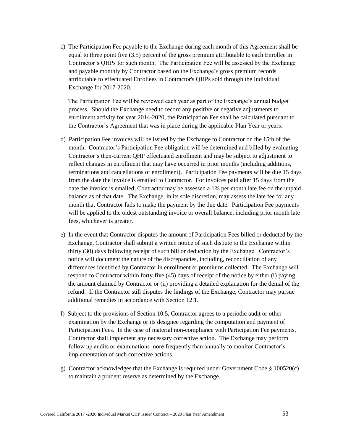c) The Participation Fee payable to the Exchange during each month of this Agreement shall be equal to three point five (3.5) percent of the gross premium attributable to each Enrollee in Contractor's QHPs for such month. The Participation Fee will be assessed by the Exchange and payable monthly by Contractor based on the Exchange's gross premium records attributable to effectuated Enrollees in Contractor's QHPs sold through the Individual Exchange for 2017-2020.

The Participation Fee will be reviewed each year as part of the Exchange's annual budget process. Should the Exchange need to record any positive or negative adjustments to enrollment activity for year 2014-2020, the Participation Fee shall be calculated pursuant to the Contractor's Agreement that was in place during the applicable Plan Year or years.

- d) Participation Fee invoices will be issued by the Exchange to Contractor on the 15th of the month. Contractor's Participation Fee obligation will be determined and billed by evaluating Contractor's then-current QHP effectuated enrollment and may be subject to adjustment to reflect changes in enrollment that may have occurred in prior months (including additions, terminations and cancellations of enrollment). Participation Fee payments will be due 15 days from the date the invoice is emailed to Contractor. For invoices paid after 15 days from the date the invoice is emailed, Contractor may be assessed a 1% per month late fee on the unpaid balance as of that date. The Exchange, in its sole discretion, may assess the late fee for any month that Contractor fails to make the payment by the due date. Participation Fee payments will be applied to the oldest outstanding invoice or overall balance, including prior month late fees, whichever is greater.
- e) In the event that Contractor disputes the amount of Participation Fees billed or deducted by the Exchange, Contractor shall submit a written notice of such dispute to the Exchange within thirty (30) days following receipt of such bill or deduction by the Exchange. Contractor's notice will document the nature of the discrepancies, including, reconciliation of any differences identified by Contractor in enrollment or premiums collected. The Exchange will respond to Contractor within forty-five (45) days of receipt of the notice by either (i) paying the amount claimed by Contractor or (ii) providing a detailed explanation for the denial of the refund. If the Contractor still disputes the findings of the Exchange, Contractor may pursue additional remedies in accordance with Section 12.1.
- f) Subject to the provisions of Section 10.5, Contractor agrees to a periodic audit or other examination by the Exchange or its designee regarding the computation and payment of Participation Fees. In the case of material non-compliance with Participation Fee payments, Contractor shall implement any necessary corrective action. The Exchange may perform follow up audits or examinations more frequently than annually to monitor Contractor's implementation of such corrective actions.
- g) Contractor acknowledges that the Exchange is required under Government Code § 100520(c) to maintain a prudent reserve as determined by the Exchange.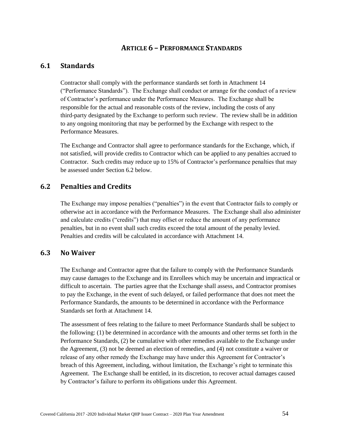# **ARTICLE 6 – PERFORMANCE STANDARDS**

# **6.1 Standards**

Contractor shall comply with the performance standards set forth in Attachment 14 ("Performance Standards"). The Exchange shall conduct or arrange for the conduct of a review of Contractor's performance under the Performance Measures. The Exchange shall be responsible for the actual and reasonable costs of the review, including the costs of any third-party designated by the Exchange to perform such review. The review shall be in addition to any ongoing monitoring that may be performed by the Exchange with respect to the Performance Measures.

The Exchange and Contractor shall agree to performance standards for the Exchange, which, if not satisfied, will provide credits to Contractor which can be applied to any penalties accrued to Contractor. Such credits may reduce up to 15% of Contractor's performance penalties that may be assessed under Section 6.2 below.

### **6.2 Penalties and Credits**

The Exchange may impose penalties ("penalties") in the event that Contractor fails to comply or otherwise act in accordance with the Performance Measures. The Exchange shall also administer and calculate credits ("credits") that may offset or reduce the amount of any performance penalties, but in no event shall such credits exceed the total amount of the penalty levied. Penalties and credits will be calculated in accordance with Attachment 14.

### **6.3 No Waiver**

The Exchange and Contractor agree that the failure to comply with the Performance Standards may cause damages to the Exchange and its Enrollees which may be uncertain and impractical or difficult to ascertain. The parties agree that the Exchange shall assess, and Contractor promises to pay the Exchange, in the event of such delayed, or failed performance that does not meet the Performance Standards, the amounts to be determined in accordance with the Performance Standards set forth at Attachment 14.

The assessment of fees relating to the failure to meet Performance Standards shall be subject to the following: (1) be determined in accordance with the amounts and other terms set forth in the Performance Standards, (2) be cumulative with other remedies available to the Exchange under the Agreement, (3) not be deemed an election of remedies, and (4) not constitute a waiver or release of any other remedy the Exchange may have under this Agreement for Contractor's breach of this Agreement, including, without limitation, the Exchange's right to terminate this Agreement. The Exchange shall be entitled, in its discretion, to recover actual damages caused by Contractor's failure to perform its obligations under this Agreement.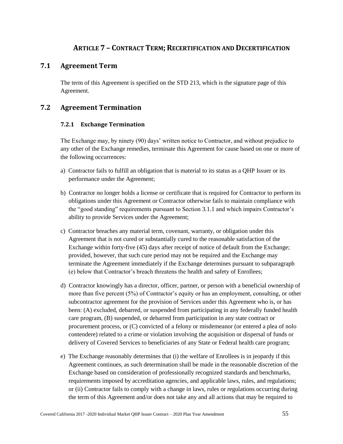# **ARTICLE 7 – CONTRACT TERM; RECERTIFICATION AND DECERTIFICATION**

# **7.1 Agreement Term**

The term of this Agreement is specified on the STD 213, which is the signature page of this Agreement.

# **7.2 Agreement Termination**

### **7.2.1 Exchange Termination**

The Exchange may, by ninety (90) days' written notice to Contractor, and without prejudice to any other of the Exchange remedies, terminate this Agreement for cause based on one or more of the following occurrences:

- a) Contractor fails to fulfill an obligation that is material to its status as a QHP Issuer or its performance under the Agreement;
- b) Contractor no longer holds a license or certificate that is required for Contractor to perform its obligations under this Agreement or Contractor otherwise fails to maintain compliance with the "good standing" requirements pursuant to Section 3.1.1 and which impairs Contractor's ability to provide Services under the Agreement;
- c) Contractor breaches any material term, covenant, warranty, or obligation under this Agreement that is not cured or substantially cured to the reasonable satisfaction of the Exchange within forty-five (45) days after receipt of notice of default from the Exchange; provided, however, that such cure period may not be required and the Exchange may terminate the Agreement immediately if the Exchange determines pursuant to subparagraph (e) below that Contractor's breach threatens the health and safety of Enrollees;
- d) Contractor knowingly has a director, officer, partner, or person with a beneficial ownership of more than five percent (5%) of Contractor's equity or has an employment, consulting, or other subcontractor agreement for the provision of Services under this Agreement who is, or has been: (A) excluded, debarred, or suspended from participating in any federally funded health care program, (B) suspended, or debarred from participation in any state contract or procurement process, or (C) convicted of a felony or misdemeanor (or entered a plea of nolo contendere) related to a crime or violation involving the acquisition or dispersal of funds or delivery of Covered Services to beneficiaries of any State or Federal health care program;
- e) The Exchange reasonably determines that (i) the welfare of Enrollees is in jeopardy if this Agreement continues, as such determination shall be made in the reasonable discretion of the Exchange based on consideration of professionally recognized standards and benchmarks, requirements imposed by accreditation agencies, and applicable laws, rules, and regulations; or (ii) Contractor fails to comply with a change in laws, rules or regulations occurring during the term of this Agreement and/or does not take any and all actions that may be required to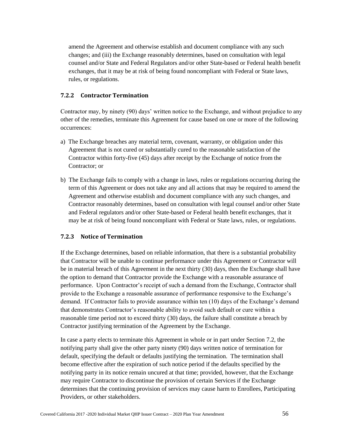amend the Agreement and otherwise establish and document compliance with any such changes; and (iii) the Exchange reasonably determines, based on consultation with legal counsel and/or State and Federal Regulators and/or other State-based or Federal health benefit exchanges, that it may be at risk of being found noncompliant with Federal or State laws, rules, or regulations.

### **7.2.2 Contractor Termination**

Contractor may, by ninety (90) days' written notice to the Exchange, and without prejudice to any other of the remedies, terminate this Agreement for cause based on one or more of the following occurrences:

- a) The Exchange breaches any material term, covenant, warranty, or obligation under this Agreement that is not cured or substantially cured to the reasonable satisfaction of the Contractor within forty-five (45) days after receipt by the Exchange of notice from the Contractor; or
- b) The Exchange fails to comply with a change in laws, rules or regulations occurring during the term of this Agreement or does not take any and all actions that may be required to amend the Agreement and otherwise establish and document compliance with any such changes, and Contractor reasonably determines, based on consultation with legal counsel and/or other State and Federal regulators and/or other State-based or Federal health benefit exchanges, that it may be at risk of being found noncompliant with Federal or State laws, rules, or regulations.

### **7.2.3 Notice of Termination**

If the Exchange determines, based on reliable information, that there is a substantial probability that Contractor will be unable to continue performance under this Agreement or Contractor will be in material breach of this Agreement in the next thirty (30) days, then the Exchange shall have the option to demand that Contractor provide the Exchange with a reasonable assurance of performance. Upon Contractor's receipt of such a demand from the Exchange, Contractor shall provide to the Exchange a reasonable assurance of performance responsive to the Exchange's demand. If Contractor fails to provide assurance within ten (10) days of the Exchange's demand that demonstrates Contractor's reasonable ability to avoid such default or cure within a reasonable time period not to exceed thirty (30) days, the failure shall constitute a breach by Contractor justifying termination of the Agreement by the Exchange.

In case a party elects to terminate this Agreement in whole or in part under Section 7.2, the notifying party shall give the other party ninety (90) days written notice of termination for default, specifying the default or defaults justifying the termination. The termination shall become effective after the expiration of such notice period if the defaults specified by the notifying party in its notice remain uncured at that time; provided, however, that the Exchange may require Contractor to discontinue the provision of certain Services if the Exchange determines that the continuing provision of services may cause harm to Enrollees, Participating Providers, or other stakeholders.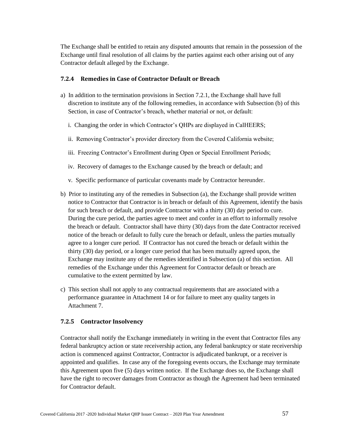The Exchange shall be entitled to retain any disputed amounts that remain in the possession of the Exchange until final resolution of all claims by the parties against each other arising out of any Contractor default alleged by the Exchange.

#### **7.2.4 Remedies in Case of Contractor Default or Breach**

- a) In addition to the termination provisions in Section 7.2.1, the Exchange shall have full discretion to institute any of the following remedies, in accordance with Subsection (b) of this Section, in case of Contractor's breach, whether material or not, or default:
	- i. Changing the order in which Contractor's QHPs are displayed in CalHEERS;
	- ii. Removing Contractor's provider directory from the Covered California website;
	- iii. Freezing Contractor's Enrollment during Open or Special Enrollment Periods;
	- iv. Recovery of damages to the Exchange caused by the breach or default; and
	- v. Specific performance of particular covenants made by Contractor hereunder.
- b) Prior to instituting any of the remedies in Subsection (a), the Exchange shall provide written notice to Contractor that Contractor is in breach or default of this Agreement, identify the basis for such breach or default, and provide Contractor with a thirty (30) day period to cure. During the cure period, the parties agree to meet and confer in an effort to informally resolve the breach or default. Contractor shall have thirty (30) days from the date Contractor received notice of the breach or default to fully cure the breach or default, unless the parties mutually agree to a longer cure period. If Contractor has not cured the breach or default within the thirty (30) day period, or a longer cure period that has been mutually agreed upon, the Exchange may institute any of the remedies identified in Subsection (a) of this section. All remedies of the Exchange under this Agreement for Contractor default or breach are cumulative to the extent permitted by law.
- c) This section shall not apply to any contractual requirements that are associated with a performance guarantee in Attachment 14 or for failure to meet any quality targets in Attachment 7.

#### **7.2.5 Contractor Insolvency**

Contractor shall notify the Exchange immediately in writing in the event that Contractor files any federal bankruptcy action or state receivership action, any federal bankruptcy or state receivership action is commenced against Contractor, Contractor is adjudicated bankrupt, or a receiver is appointed and qualifies. In case any of the foregoing events occurs, the Exchange may terminate this Agreement upon five (5) days written notice. If the Exchange does so, the Exchange shall have the right to recover damages from Contractor as though the Agreement had been terminated for Contractor default.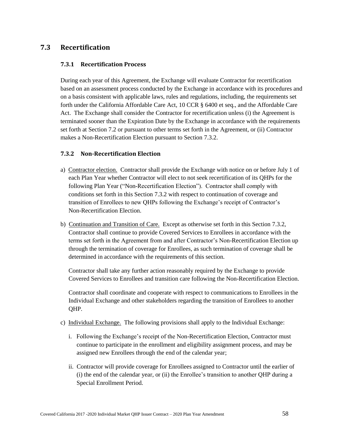# **7.3 Recertification**

### **7.3.1 Recertification Process**

During each year of this Agreement, the Exchange will evaluate Contractor for recertification based on an assessment process conducted by the Exchange in accordance with its procedures and on a basis consistent with applicable laws, rules and regulations, including, the requirements set forth under the California Affordable Care Act, 10 CCR § 6400 et seq., and the Affordable Care Act. The Exchange shall consider the Contractor for recertification unless (i) the Agreement is terminated sooner than the Expiration Date by the Exchange in accordance with the requirements set forth at Section 7.2 or pursuant to other terms set forth in the Agreement, or (ii) Contractor makes a Non-Recertification Election pursuant to Section 7.3.2.

### **7.3.2 Non-Recertification Election**

- a) Contractor election. Contractor shall provide the Exchange with notice on or before July 1 of each Plan Year whether Contractor will elect to not seek recertification of its QHPs for the following Plan Year ("Non-Recertification Election"). Contractor shall comply with conditions set forth in this Section 7.3.2 with respect to continuation of coverage and transition of Enrollees to new QHPs following the Exchange's receipt of Contractor's Non-Recertification Election.
- b) Continuation and Transition of Care. Except as otherwise set forth in this Section 7.3.2, Contractor shall continue to provide Covered Services to Enrollees in accordance with the terms set forth in the Agreement from and after Contractor's Non-Recertification Election up through the termination of coverage for Enrollees, as such termination of coverage shall be determined in accordance with the requirements of this section.

Contractor shall take any further action reasonably required by the Exchange to provide Covered Services to Enrollees and transition care following the Non-Recertification Election.

Contractor shall coordinate and cooperate with respect to communications to Enrollees in the Individual Exchange and other stakeholders regarding the transition of Enrollees to another QHP.

- c) Individual Exchange. The following provisions shall apply to the Individual Exchange:
	- i. Following the Exchange's receipt of the Non-Recertification Election, Contractor must continue to participate in the enrollment and eligibility assignment process, and may be assigned new Enrollees through the end of the calendar year;
	- ii. Contractor will provide coverage for Enrollees assigned to Contractor until the earlier of (i) the end of the calendar year, or (ii) the Enrollee's transition to another QHP during a Special Enrollment Period.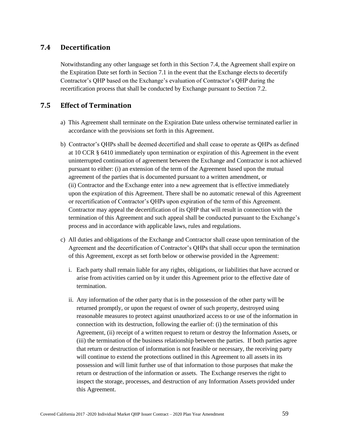## **7.4 Decertification**

Notwithstanding any other language set forth in this Section 7.4, the Agreement shall expire on the Expiration Date set forth in Section 7.1 in the event that the Exchange elects to decertify Contractor's QHP based on the Exchange's evaluation of Contractor's QHP during the recertification process that shall be conducted by Exchange pursuant to Section 7.2.

# **7.5 Effect of Termination**

- a) This Agreement shall terminate on the Expiration Date unless otherwise terminated earlier in accordance with the provisions set forth in this Agreement.
- b) Contractor's QHPs shall be deemed decertified and shall cease to operate as QHPs as defined at 10 CCR § 6410 immediately upon termination or expiration of this Agreement in the event uninterrupted continuation of agreement between the Exchange and Contractor is not achieved pursuant to either: (i) an extension of the term of the Agreement based upon the mutual agreement of the parties that is documented pursuant to a written amendment, or (ii) Contractor and the Exchange enter into a new agreement that is effective immediately upon the expiration of this Agreement. There shall be no automatic renewal of this Agreement or recertification of Contractor's QHPs upon expiration of the term of this Agreement. Contractor may appeal the decertification of its QHP that will result in connection with the termination of this Agreement and such appeal shall be conducted pursuant to the Exchange's process and in accordance with applicable laws, rules and regulations.
- c) All duties and obligations of the Exchange and Contractor shall cease upon termination of the Agreement and the decertification of Contractor's QHPs that shall occur upon the termination of this Agreement, except as set forth below or otherwise provided in the Agreement:
	- i. Each party shall remain liable for any rights, obligations, or liabilities that have accrued or arise from activities carried on by it under this Agreement prior to the effective date of termination.
	- ii. Any information of the other party that is in the possession of the other party will be returned promptly, or upon the request of owner of such property, destroyed using reasonable measures to protect against unauthorized access to or use of the information in connection with its destruction, following the earlier of: (i) the termination of this Agreement, (ii) receipt of a written request to return or destroy the Information Assets, or (iii) the termination of the business relationship between the parties. If both parties agree that return or destruction of information is not feasible or necessary, the receiving party will continue to extend the protections outlined in this Agreement to all assets in its possession and will limit further use of that information to those purposes that make the return or destruction of the information or assets. The Exchange reserves the right to inspect the storage, processes, and destruction of any Information Assets provided under this Agreement.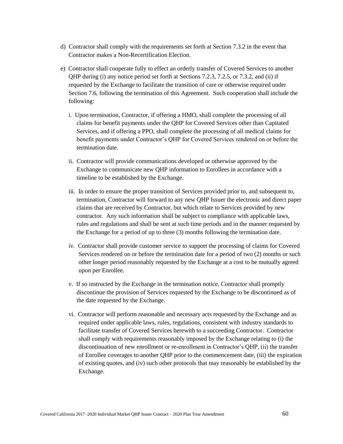- d) Contractor shall comply with the requirements set forth at Section 7.3.2 in the event that Contractor makes a Non-Recertification Election.
- e) Contractor shall cooperate fully to effect an orderly transfer of Covered Services to another QHP during (i) any notice period set forth at Sections 7.2.3, 7.2.5, or 7.3.2, and (ii) if requested by the Exchange to facilitate the transition of care or otherwise required under Section 7.6, following the termination of this Agreement. Such cooperation shall include the following:
	- i. Upon termination, Contractor, if offering a HMO, shall complete the processing of all claims for benefit payments under the QHP for Covered Services other than Capitated Services, and if offering a PPO, shall complete the processing of all medical claims for benefit payments under Contractor's QHP for Covered Services rendered on or before the termination date.
	- ii. Contractor will provide communications developed or otherwise approved by the Exchange to communicate new QHP information to Enrollees in accordance with a timeline to be established by the Exchange.
	- iii. In order to ensure the proper transition of Services provided prior to, and subsequent to, termination, Contractor will forward to any new QHP Issuer the electronic and direct paper claims that are received by Contractor, but which relate to Services provided by new contractor. Any such information shall be subject to compliance with applicable laws, rules and regulations and shall be sent at such time periods and in the manner requested by the Exchange for a period of up to three (3) months following the termination date.
	- iv. Contractor shall provide customer service to support the processing of claims for Covered Services rendered on or before the termination date for a period of two (2) months or such other longer period reasonably requested by the Exchange at a cost to be mutually agreed upon per Enrollee.
	- v. If so instructed by the Exchange in the termination notice, Contractor shall promptly discontinue the provision of Services requested by the Exchange to be discontinued as of the date requested by the Exchange.
	- vi. Contractor will perform reasonable and necessary acts requested by the Exchange and as required under applicable laws, rules, regulations, consistent with industry standards to facilitate transfer of Covered Services herewith to a succeeding Contractor. Contractor shall comply with requirements reasonably imposed by the Exchange relating to (i) the discontinuation of new enrollment or re-enrollment in Contractor's QHP, (ii) the transfer of Enrollee coverages to another QHP prior to the commencement date, (iii) the expiration of existing quotes, and (iv) such other protocols that may reasonably be established by the Exchange.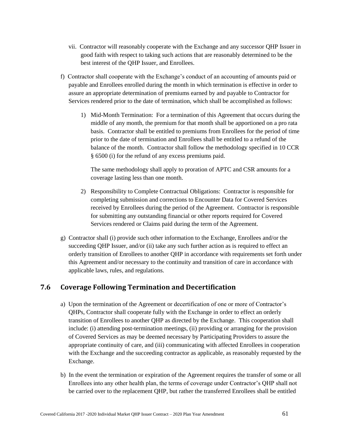- vii. Contractor will reasonably cooperate with the Exchange and any successor QHP Issuer in good faith with respect to taking such actions that are reasonably determined to be the best interest of the QHP Issuer, and Enrollees.
- f) Contractor shall cooperate with the Exchange's conduct of an accounting of amounts paid or payable and Enrollees enrolled during the month in which termination is effective in order to assure an appropriate determination of premiums earned by and payable to Contractor for Services rendered prior to the date of termination, which shall be accomplished as follows:
	- 1) Mid-Month Termination: For a termination of this Agreement that occurs during the middle of any month, the premium for that month shall be apportioned on a pro rata basis. Contractor shall be entitled to premiums from Enrollees for the period of time prior to the date of termination and Enrollees shall be entitled to a refund of the balance of the month. Contractor shall follow the methodology specified in 10 CCR § 6500 (i) for the refund of any excess premiums paid.

The same methodology shall apply to proration of APTC and CSR amounts for a coverage lasting less than one month.

- 2) Responsibility to Complete Contractual Obligations: Contractor is responsible for completing submission and corrections to Encounter Data for Covered Services received by Enrollees during the period of the Agreement. Contractor is responsible for submitting any outstanding financial or other reports required for Covered Services rendered or Claims paid during the term of the Agreement.
- g) Contractor shall (i) provide such other information to the Exchange, Enrollees and/or the succeeding QHP Issuer, and/or (ii) take any such further action as is required to effect an orderly transition of Enrollees to another QHP in accordance with requirements set forth under this Agreement and/or necessary to the continuity and transition of care in accordance with applicable laws, rules, and regulations.

### **7.6 Coverage Following Termination and Decertification**

- a) Upon the termination of the Agreement or decertification of one or more of Contractor's QHPs, Contractor shall cooperate fully with the Exchange in order to effect an orderly transition of Enrollees to another QHP as directed by the Exchange. This cooperation shall include: (i) attending post-termination meetings, (ii) providing or arranging for the provision of Covered Services as may be deemed necessary by Participating Providers to assure the appropriate continuity of care, and (iii) communicating with affected Enrollees in cooperation with the Exchange and the succeeding contractor as applicable, as reasonably requested by the Exchange.
- b) In the event the termination or expiration of the Agreement requires the transfer of some or all Enrollees into any other health plan, the terms of coverage under Contractor's QHP shall not be carried over to the replacement QHP, but rather the transferred Enrollees shall be entitled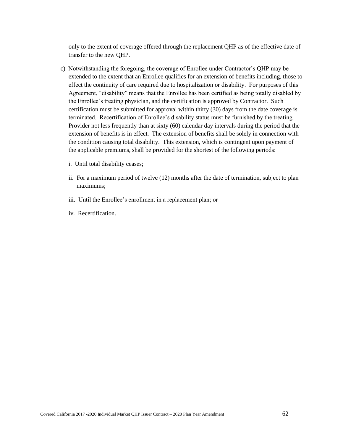only to the extent of coverage offered through the replacement QHP as of the effective date of transfer to the new QHP.

- c) Notwithstanding the foregoing, the coverage of Enrollee under Contractor's QHP may be extended to the extent that an Enrollee qualifies for an extension of benefits including, those to effect the continuity of care required due to hospitalization or disability. For purposes of this Agreement, "disability" means that the Enrollee has been certified as being totally disabled by the Enrollee's treating physician, and the certification is approved by Contractor. Such certification must be submitted for approval within thirty (30) days from the date coverage is terminated. Recertification of Enrollee's disability status must be furnished by the treating Provider not less frequently than at sixty (60) calendar day intervals during the period that the extension of benefits is in effect. The extension of benefits shall be solely in connection with the condition causing total disability. This extension, which is contingent upon payment of the applicable premiums, shall be provided for the shortest of the following periods:
	- i. Until total disability ceases;
	- ii. For a maximum period of twelve (12) months after the date of termination, subject to plan maximums;
	- iii. Until the Enrollee's enrollment in a replacement plan; or
	- iv. Recertification.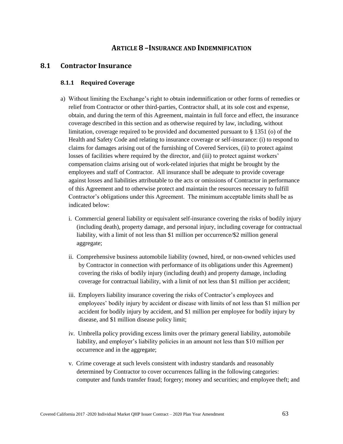### **ARTICLE 8 –INSURANCE AND INDEMNIFICATION**

### **8.1 Contractor Insurance**

### **8.1.1 Required Coverage**

- a) Without limiting the Exchange's right to obtain indemnification or other forms of remedies or relief from Contractor or other third-parties, Contractor shall, at its sole cost and expense, obtain, and during the term of this Agreement, maintain in full force and effect, the insurance coverage described in this section and as otherwise required by law, including, without limitation, coverage required to be provided and documented pursuant to § 1351 (o) of the Health and Safety Code and relating to insurance coverage or self-insurance: (i) to respond to claims for damages arising out of the furnishing of Covered Services, (ii) to protect against losses of facilities where required by the director, and (iii) to protect against workers' compensation claims arising out of work-related injuries that might be brought by the employees and staff of Contractor. All insurance shall be adequate to provide coverage against losses and liabilities attributable to the acts or omissions of Contractor in performance of this Agreement and to otherwise protect and maintain the resources necessary to fulfill Contractor's obligations under this Agreement. The minimum acceptable limits shall be as indicated below:
	- i. Commercial general liability or equivalent self-insurance covering the risks of bodily injury (including death), property damage, and personal injury, including coverage for contractual liability, with a limit of not less than \$1 million per occurrence/\$2 million general aggregate;
	- ii. Comprehensive business automobile liability (owned, hired, or non-owned vehicles used by Contractor in connection with performance of its obligations under this Agreement) covering the risks of bodily injury (including death) and property damage, including coverage for contractual liability, with a limit of not less than \$1 million per accident;
	- iii. Employers liability insurance covering the risks of Contractor's employees and employees' bodily injury by accident or disease with limits of not less than \$1 million per accident for bodily injury by accident, and \$1 million per employee for bodily injury by disease, and \$1 million disease policy limit;
	- iv. Umbrella policy providing excess limits over the primary general liability, automobile liability, and employer's liability policies in an amount not less than \$10 million per occurrence and in the aggregate;
	- v. Crime coverage at such levels consistent with industry standards and reasonably determined by Contractor to cover occurrences falling in the following categories: computer and funds transfer fraud; forgery; money and securities; and employee theft; and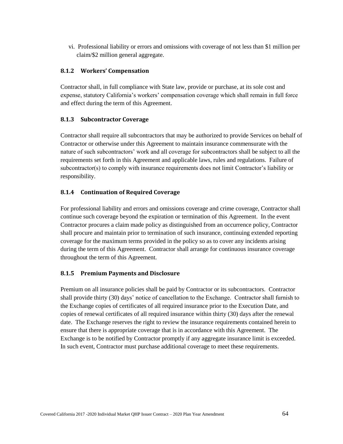vi. Professional liability or errors and omissions with coverage of not less than \$1 million per claim/\$2 million general aggregate.

### **8.1.2 Workers' Compensation**

Contractor shall, in full compliance with State law, provide or purchase, at its sole cost and expense, statutory California's workers' compensation coverage which shall remain in full force and effect during the term of this Agreement.

### **8.1.3 Subcontractor Coverage**

Contractor shall require all subcontractors that may be authorized to provide Services on behalf of Contractor or otherwise under this Agreement to maintain insurance commensurate with the nature of such subcontractors' work and all coverage for subcontractors shall be subject to all the requirements set forth in this Agreement and applicable laws, rules and regulations. Failure of subcontractor(s) to comply with insurance requirements does not limit Contractor's liability or responsibility.

### **8.1.4 Continuation of Required Coverage**

For professional liability and errors and omissions coverage and crime coverage, Contractor shall continue such coverage beyond the expiration or termination of this Agreement. In the event Contractor procures a claim made policy as distinguished from an occurrence policy, Contractor shall procure and maintain prior to termination of such insurance, continuing extended reporting coverage for the maximum terms provided in the policy so as to cover any incidents arising during the term of this Agreement. Contractor shall arrange for continuous insurance coverage throughout the term of this Agreement.

### **8.1.5 Premium Payments and Disclosure**

Premium on all insurance policies shall be paid by Contractor or its subcontractors. Contractor shall provide thirty (30) days' notice of cancellation to the Exchange. Contractor shall furnish to the Exchange copies of certificates of all required insurance prior to the Execution Date, and copies of renewal certificates of all required insurance within thirty (30) days after the renewal date. The Exchange reserves the right to review the insurance requirements contained herein to ensure that there is appropriate coverage that is in accordance with this Agreement. The Exchange is to be notified by Contractor promptly if any aggregate insurance limit is exceeded. In such event, Contractor must purchase additional coverage to meet these requirements.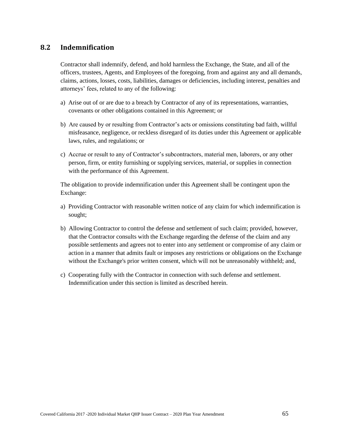## **8.2 Indemnification**

Contractor shall indemnify, defend, and hold harmless the Exchange, the State, and all of the officers, trustees, Agents, and Employees of the foregoing, from and against any and all demands, claims, actions, losses, costs, liabilities, damages or deficiencies, including interest, penalties and attorneys' fees, related to any of the following:

- a) Arise out of or are due to a breach by Contractor of any of its representations, warranties, covenants or other obligations contained in this Agreement; or
- b) Are caused by or resulting from Contractor's acts or omissions constituting bad faith, willful misfeasance, negligence, or reckless disregard of its duties under this Agreement or applicable laws, rules, and regulations; or
- c) Accrue or result to any of Contractor's subcontractors, material men, laborers, or any other person, firm, or entity furnishing or supplying services, material, or supplies in connection with the performance of this Agreement.

The obligation to provide indemnification under this Agreement shall be contingent upon the Exchange:

- a) Providing Contractor with reasonable written notice of any claim for which indemnification is sought;
- b) Allowing Contractor to control the defense and settlement of such claim; provided, however, that the Contractor consults with the Exchange regarding the defense of the claim and any possible settlements and agrees not to enter into any settlement or compromise of any claim or action in a manner that admits fault or imposes any restrictions or obligations on the Exchange without the Exchange's prior written consent, which will not be unreasonably withheld; and,
- c) Cooperating fully with the Contractor in connection with such defense and settlement. Indemnification under this section is limited as described herein.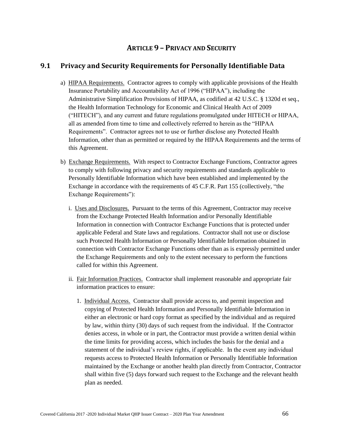# **ARTICLE 9 – PRIVACY AND SECURITY**

### **9.1 Privacy and Security Requirements for Personally Identifiable Data**

- a) HIPAA Requirements. Contractor agrees to comply with applicable provisions of the Health Insurance Portability and Accountability Act of 1996 ("HIPAA"), including the Administrative Simplification Provisions of HIPAA, as codified at 42 U.S.C. § 1320d et seq., the Health Information Technology for Economic and Clinical Health Act of 2009 ("HITECH"), and any current and future regulations promulgated under HITECH or HIPAA, all as amended from time to time and collectively referred to herein as the "HIPAA Requirements". Contractor agrees not to use or further disclose any Protected Health Information, other than as permitted or required by the HIPAA Requirements and the terms of this Agreement.
- b) Exchange Requirements. With respect to Contractor Exchange Functions, Contractor agrees to comply with following privacy and security requirements and standards applicable to Personally Identifiable Information which have been established and implemented by the Exchange in accordance with the requirements of 45 C.F.R. Part 155 (collectively, "the Exchange Requirements"):
	- i. Uses and Disclosures. Pursuant to the terms of this Agreement, Contractor may receive from the Exchange Protected Health Information and/or Personally Identifiable Information in connection with Contractor Exchange Functions that is protected under applicable Federal and State laws and regulations. Contractor shall not use or disclose such Protected Health Information or Personally Identifiable Information obtained in connection with Contractor Exchange Functions other than as is expressly permitted under the Exchange Requirements and only to the extent necessary to perform the functions called for within this Agreement.
	- ii. Fair Information Practices. Contractor shall implement reasonable and appropriate fair information practices to ensure:
		- 1. Individual Access. Contractor shall provide access to, and permit inspection and copying of Protected Health Information and Personally Identifiable Information in either an electronic or hard copy format as specified by the individual and as required by law, within thirty (30) days of such request from the individual. If the Contractor denies access, in whole or in part, the Contractor must provide a written denial within the time limits for providing access, which includes the basis for the denial and a statement of the individual's review rights, if applicable. In the event any individual requests access to Protected Health Information or Personally Identifiable Information maintained by the Exchange or another health plan directly from Contractor, Contractor shall within five (5) days forward such request to the Exchange and the relevant health plan as needed.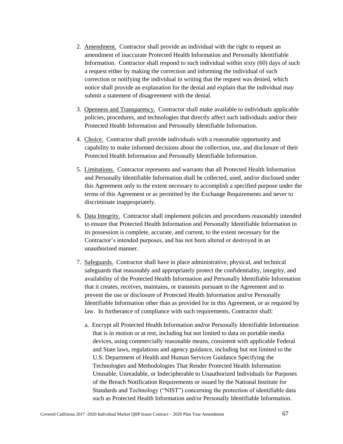- 2. Amendment. Contractor shall provide an individual with the right to request an amendment of inaccurate Protected Health Information and Personally Identifiable Information. Contractor shall respond to such individual within sixty (60) days of such a request either by making the correction and informing the individual of such correction or notifying the individual in writing that the request was denied, which notice shall provide an explanation for the denial and explain that the individual may submit a statement of disagreement with the denial.
- 3. Openness and Transparency. Contractor shall make available to individuals applicable policies, procedures, and technologies that directly affect such individuals and/or their Protected Health Information and Personally Identifiable Information.
- 4. Choice. Contractor shall provide individuals with a reasonable opportunity and capability to make informed decisions about the collection, use, and disclosure of their Protected Health Information and Personally Identifiable Information.
- 5. Limitations. Contractor represents and warrants that all Protected Health Information and Personally Identifiable Information shall be collected, used, and/or disclosed under this Agreement only to the extent necessary to accomplish a specified purpose under the terms of this Agreement or as permitted by the Exchange Requirements and never to discriminate inappropriately.
- 6. Data Integrity. Contractor shall implement policies and procedures reasonably intended to ensure that Protected Health Information and Personally Identifiable Information in its possession is complete, accurate, and current, to the extent necessary for the Contractor's intended purposes, and has not been altered or destroyed in an unauthorized manner.
- 7. Safeguards. Contractor shall have in place administrative, physical, and technical safeguards that reasonably and appropriately protect the confidentiality, integrity, and availability of the Protected Health Information and Personally Identifiable Information that it creates, receives, maintains, or transmits pursuant to the Agreement and to prevent the use or disclosure of Protected Health Information and/or Personally Identifiable Information other than as provided for in this Agreement, or as required by law. In furtherance of compliance with such requirements, Contractor shall:
	- a. Encrypt all Protected Health Information and/or Personally Identifiable Information that is in motion or at rest, including but not limited to data on portable media devices, using commercially reasonable means, consistent with applicable Federal and State laws, regulations and agency guidance, including but not limited to the U.S. Department of Health and Human Services Guidance Specifying the Technologies and Methodologies That Render Protected Health Information Unusable, Unreadable, or Indecipherable to Unauthorized Individuals for Purposes of the Breach Notification Requirements or issued by the National Institute for Standards and Technology ("NIST") concerning the protection of identifiable data such as Protected Health Information and/or Personally Identifiable Information.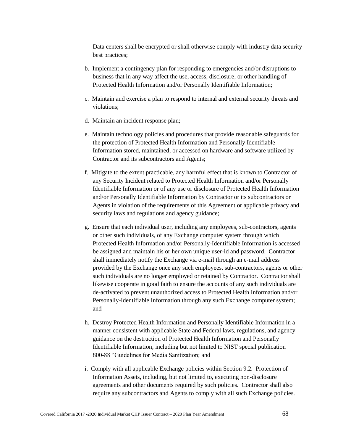Data centers shall be encrypted or shall otherwise comply with industry data security best practices;

- b. Implement a contingency plan for responding to emergencies and/or disruptions to business that in any way affect the use, access, disclosure, or other handling of Protected Health Information and/or Personally Identifiable Information;
- c. Maintain and exercise a plan to respond to internal and external security threats and violations;
- d. Maintain an incident response plan;
- e. Maintain technology policies and procedures that provide reasonable safeguards for the protection of Protected Health Information and Personally Identifiable Information stored, maintained, or accessed on hardware and software utilized by Contractor and its subcontractors and Agents;
- f. Mitigate to the extent practicable, any harmful effect that is known to Contractor of any Security Incident related to Protected Health Information and/or Personally Identifiable Information or of any use or disclosure of Protected Health Information and/or Personally Identifiable Information by Contractor or its subcontractors or Agents in violation of the requirements of this Agreement or applicable privacy and security laws and regulations and agency guidance;
- g. Ensure that each individual user, including any employees, sub-contractors, agents or other such individuals, of any Exchange computer system through which Protected Health Information and/or Personally-Identifiable Information is accessed be assigned and maintain his or her own unique user-id and password. Contractor shall immediately notify the Exchange via e-mail through an e-mail address provided by the Exchange once any such employees, sub-contractors, agents or other such individuals are no longer employed or retained by Contractor. Contractor shall likewise cooperate in good faith to ensure the accounts of any such individuals are de-activated to prevent unauthorized access to Protected Health Information and/or Personally-Identifiable Information through any such Exchange computer system; and
- h. Destroy Protected Health Information and Personally Identifiable Information in a manner consistent with applicable State and Federal laws, regulations, and agency guidance on the destruction of Protected Health Information and Personally Identifiable Information, including but not limited to NIST special publication 800-88 "Guidelines for Media Sanitization; and
- i. Comply with all applicable Exchange policies within Section 9.2. Protection of Information Assets, including, but not limited to, executing non-disclosure agreements and other documents required by such policies. Contractor shall also require any subcontractors and Agents to comply with all such Exchange policies.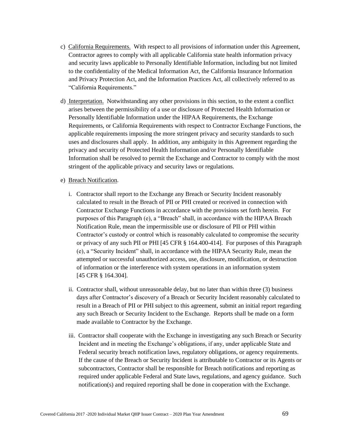- c) California Requirements. With respect to all provisions of information under this Agreement, Contractor agrees to comply with all applicable California state health information privacy and security laws applicable to Personally Identifiable Information, including but not limited to the confidentiality of the Medical Information Act, the California Insurance Information and Privacy Protection Act, and the Information Practices Act, all collectively referred to as "California Requirements."
- d) Interpretation. Notwithstanding any other provisions in this section, to the extent a conflict arises between the permissibility of a use or disclosure of Protected Health Information or Personally Identifiable Information under the HIPAA Requirements, the Exchange Requirements, or California Requirements with respect to Contractor Exchange Functions, the applicable requirements imposing the more stringent privacy and security standards to such uses and disclosures shall apply. In addition, any ambiguity in this Agreement regarding the privacy and security of Protected Health Information and/or Personally Identifiable Information shall be resolved to permit the Exchange and Contractor to comply with the most stringent of the applicable privacy and security laws or regulations.
- e) Breach Notification.
	- i. Contractor shall report to the Exchange any Breach or Security Incident reasonably calculated to result in the Breach of PII or PHI created or received in connection with Contractor Exchange Functions in accordance with the provisions set forth herein. For purposes of this Paragraph (e), a "Breach" shall, in accordance with the HIPAA Breach Notification Rule, mean the impermissible use or disclosure of PII or PHI within Contractor's custody or control which is reasonably calculated to compromise the security or privacy of any such PII or PHI [45 CFR § 164.400-414]. For purposes of this Paragraph (e), a "Security Incident" shall, in accordance with the HIPAA Security Rule, mean the attempted or successful unauthorized access, use, disclosure, modification, or destruction of information or the interference with system operations in an information system [45 CFR § 164.304].
	- ii. Contractor shall, without unreasonable delay, but no later than within three (3) business days after Contractor's discovery of a Breach or Security Incident reasonably calculated to result in a Breach of PII or PHI subject to this agreement, submit an initial report regarding any such Breach or Security Incident to the Exchange. Reports shall be made on a form made available to Contractor by the Exchange.
	- iii. Contractor shall cooperate with the Exchange in investigating any such Breach or Security Incident and in meeting the Exchange's obligations, if any, under applicable State and Federal security breach notification laws, regulatory obligations, or agency requirements. If the cause of the Breach or Security Incident is attributable to Contractor or its Agents or subcontractors, Contractor shall be responsible for Breach notifications and reporting as required under applicable Federal and State laws, regulations, and agency guidance. Such notification(s) and required reporting shall be done in cooperation with the Exchange.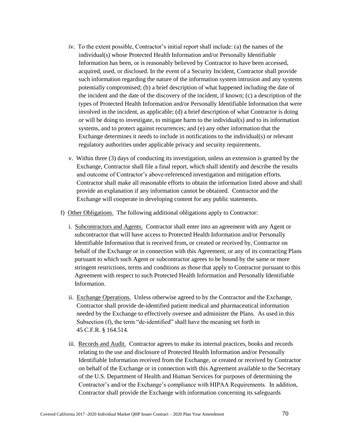- iv. To the extent possible, Contractor's initial report shall include: (a) the names of the individual(s) whose Protected Health Information and/or Personally Identifiable Information has been, or is reasonably believed by Contractor to have been accessed, acquired, used, or disclosed. In the event of a Security Incident, Contractor shall provide such information regarding the nature of the information system intrusion and any systems potentially compromised; (b) a brief description of what happened including the date of the incident and the date of the discovery of the incident, if known; (c) a description of the types of Protected Health Information and/or Personally Identifiable Information that were involved in the incident, as applicable; (d) a brief description of what Contractor is doing or will be doing to investigate, to mitigate harm to the individual(s) and to its information systems, and to protect against recurrences; and (e) any other information that the Exchange determines it needs to include in notifications to the individual(s) or relevant regulatory authorities under applicable privacy and security requirements.
- v. Within three (3) days of conducting its investigation, unless an extension is granted by the Exchange, Contractor shall file a final report, which shall identify and describe the results and outcome of Contractor's above-referenced investigation and mitigation efforts. Contractor shall make all reasonable efforts to obtain the information listed above and shall provide an explanation if any information cannot be obtained. Contractor and the Exchange will cooperate in developing content for any public statements.
- f) Other Obligations. The following additional obligations apply to Contractor:
	- i. Subcontractors and Agents. Contractor shall enter into an agreement with any Agent or subcontractor that will have access to Protected Health Information and/or Personally Identifiable Information that is received from, or created or received by, Contractor on behalf of the Exchange or in connection with this Agreement, or any of its contracting Plans pursuant to which such Agent or subcontractor agrees to be bound by the same or more stringent restrictions, terms and conditions as those that apply to Contractor pursuant to this Agreement with respect to such Protected Health Information and Personally Identifiable Information.
	- ii. Exchange Operations. Unless otherwise agreed to by the Contractor and the Exchange, Contractor shall provide de-identified patient medical and pharmaceutical information needed by the Exchange to effectively oversee and administer the Plans. As used in this Subsection (f), the term "de-identified" shall have the meaning set forth in 45 C.F.R. § 164.514.
	- iii. Records and Audit. Contractor agrees to make its internal practices, books and records relating to the use and disclosure of Protected Health Information and/or Personally Identifiable Information received from the Exchange, or created or received by Contractor on behalf of the Exchange or in connection with this Agreement available to the Secretary of the U.S. Department of Health and Human Services for purposes of determining the Contractor's and/or the Exchange's compliance with HIPAA Requirements. In addition, Contractor shall provide the Exchange with information concerning its safeguards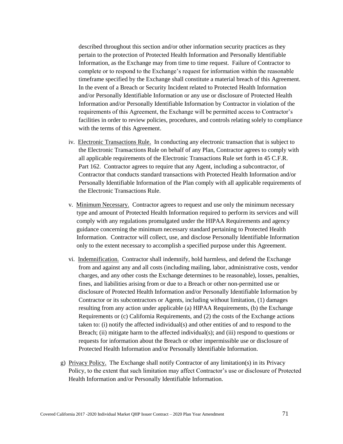described throughout this section and/or other information security practices as they pertain to the protection of Protected Health Information and Personally Identifiable Information, as the Exchange may from time to time request. Failure of Contractor to complete or to respond to the Exchange's request for information within the reasonable timeframe specified by the Exchange shall constitute a material breach of this Agreement. In the event of a Breach or Security Incident related to Protected Health Information and/or Personally Identifiable Information or any use or disclosure of Protected Health Information and/or Personally Identifiable Information by Contractor in violation of the requirements of this Agreement, the Exchange will be permitted access to Contractor's facilities in order to review policies, procedures, and controls relating solely to compliance with the terms of this Agreement.

- iv. Electronic Transactions Rule. In conducting any electronic transaction that is subject to the Electronic Transactions Rule on behalf of any Plan, Contractor agrees to comply with all applicable requirements of the Electronic Transactions Rule set forth in 45 C.F.R. Part 162. Contractor agrees to require that any Agent, including a subcontractor, of Contractor that conducts standard transactions with Protected Health Information and/or Personally Identifiable Information of the Plan comply with all applicable requirements of the Electronic Transactions Rule.
- v. Minimum Necessary. Contractor agrees to request and use only the minimum necessary type and amount of Protected Health Information required to perform its services and will comply with any regulations promulgated under the HIPAA Requirements and agency guidance concerning the minimum necessary standard pertaining to Protected Health Information. Contractor will collect, use, and disclose Personally Identifiable Information only to the extent necessary to accomplish a specified purpose under this Agreement.
- vi. Indemnification. Contractor shall indemnify, hold harmless, and defend the Exchange from and against any and all costs (including mailing, labor, administrative costs, vendor charges, and any other costs the Exchange determines to be reasonable), losses, penalties, fines, and liabilities arising from or due to a Breach or other non-permitted use or disclosure of Protected Health Information and/or Personally Identifiable Information by Contractor or its subcontractors or Agents, including without limitation, (1) damages resulting from any action under applicable (a) HIPAA Requirements, (b) the Exchange Requirements or (c) California Requirements, and (2) the costs of the Exchange actions taken to: (i) notify the affected individual(s) and other entities of and to respond to the Breach; (ii) mitigate harm to the affected individual(s); and (iii) respond to questions or requests for information about the Breach or other impermissible use or disclosure of Protected Health Information and/or Personally Identifiable Information.
- g) Privacy Policy. The Exchange shall notify Contractor of any limitation(s) in its Privacy Policy, to the extent that such limitation may affect Contractor's use or disclosure of Protected Health Information and/or Personally Identifiable Information.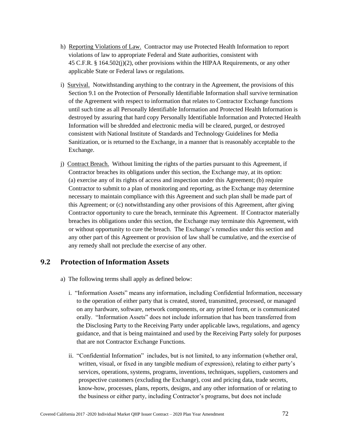- h) Reporting Violations of Law. Contractor may use Protected Health Information to report violations of law to appropriate Federal and State authorities, consistent with 45 C.F.R. § 164.502(j)(2), other provisions within the HIPAA Requirements, or any other applicable State or Federal laws or regulations.
- i) Survival. Notwithstanding anything to the contrary in the Agreement, the provisions of this Section 9.1 on the Protection of Personally Identifiable Information shall survive termination of the Agreement with respect to information that relates to Contractor Exchange functions until such time as all Personally Identifiable Information and Protected Health Information is destroyed by assuring that hard copy Personally Identifiable Information and Protected Health Information will be shredded and electronic media will be cleared, purged, or destroyed consistent with National Institute of Standards and Technology Guidelines for Media Sanitization, or is returned to the Exchange, in a manner that is reasonably acceptable to the Exchange.
- j) Contract Breach. Without limiting the rights of the parties pursuant to this Agreement, if Contractor breaches its obligations under this section, the Exchange may, at its option: (a) exercise any of its rights of access and inspection under this Agreement; (b) require Contractor to submit to a plan of monitoring and reporting, as the Exchange may determine necessary to maintain compliance with this Agreement and such plan shall be made part of this Agreement; or (c) notwithstanding any other provisions of this Agreement, after giving Contractor opportunity to cure the breach, terminate this Agreement. If Contractor materially breaches its obligations under this section, the Exchange may terminate this Agreement, with or without opportunity to cure the breach. The Exchange's remedies under this section and any other part of this Agreement or provision of law shall be cumulative, and the exercise of any remedy shall not preclude the exercise of any other.

# **9.2 Protection of Information Assets**

- a) The following terms shall apply as defined below:
	- i. "Information Assets" means any information, including Confidential Information, necessary to the operation of either party that is created, stored, transmitted, processed, or managed on any hardware, software, network components, or any printed form, or is communicated orally. "Information Assets" does not include information that has been transferred from the Disclosing Party to the Receiving Party under applicable laws, regulations, and agency guidance, and that is being maintained and used by the Receiving Party solely for purposes that are not Contractor Exchange Functions.
	- ii. "Confidential Information" includes, but is not limited, to any information (whether oral, written, visual, or fixed in any tangible medium of expression), relating to either party's services, operations, systems, programs, inventions, techniques, suppliers, customers and prospective customers (excluding the Exchange), cost and pricing data, trade secrets, know-how, processes, plans, reports, designs, and any other information of or relating to the business or either party, including Contractor's programs, but does not include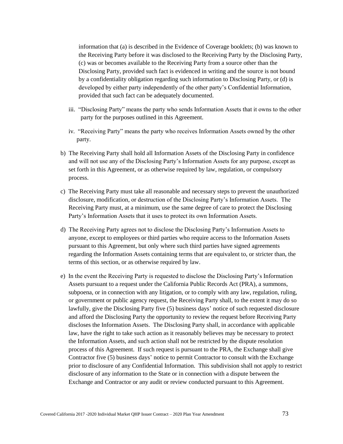information that (a) is described in the Evidence of Coverage booklets; (b) was known to the Receiving Party before it was disclosed to the Receiving Party by the Disclosing Party, (c) was or becomes available to the Receiving Party from a source other than the Disclosing Party, provided such fact is evidenced in writing and the source is not bound by a confidentiality obligation regarding such information to Disclosing Party, or (d) is developed by either party independently of the other party's Confidential Information, provided that such fact can be adequately documented.

- iii. "Disclosing Party" means the party who sends Information Assets that it owns to the other party for the purposes outlined in this Agreement.
- iv. "Receiving Party" means the party who receives Information Assets owned by the other party.
- b) The Receiving Party shall hold all Information Assets of the Disclosing Party in confidence and will not use any of the Disclosing Party's Information Assets for any purpose, except as set forth in this Agreement, or as otherwise required by law, regulation, or compulsory process.
- c) The Receiving Party must take all reasonable and necessary steps to prevent the unauthorized disclosure, modification, or destruction of the Disclosing Party's Information Assets. The Receiving Party must, at a minimum, use the same degree of care to protect the Disclosing Party's Information Assets that it uses to protect its own Information Assets.
- d) The Receiving Party agrees not to disclose the Disclosing Party's Information Assets to anyone, except to employees or third parties who require access to the Information Assets pursuant to this Agreement, but only where such third parties have signed agreements regarding the Information Assets containing terms that are equivalent to, or stricter than, the terms of this section, or as otherwise required by law.
- e) In the event the Receiving Party is requested to disclose the Disclosing Party's Information Assets pursuant to a request under the California Public Records Act (PRA), a summons, subpoena, or in connection with any litigation, or to comply with any law, regulation, ruling, or government or public agency request, the Receiving Party shall, to the extent it may do so lawfully, give the Disclosing Party five (5) business days' notice of such requested disclosure and afford the Disclosing Party the opportunity to review the request before Receiving Party discloses the Information Assets. The Disclosing Party shall, in accordance with applicable law, have the right to take such action as it reasonably believes may be necessary to protect the Information Assets, and such action shall not be restricted by the dispute resolution process of this Agreement. If such request is pursuant to the PRA, the Exchange shall give Contractor five (5) business days' notice to permit Contractor to consult with the Exchange prior to disclosure of any Confidential Information. This subdivision shall not apply to restrict disclosure of any information to the State or in connection with a dispute between the Exchange and Contractor or any audit or review conducted pursuant to this Agreement.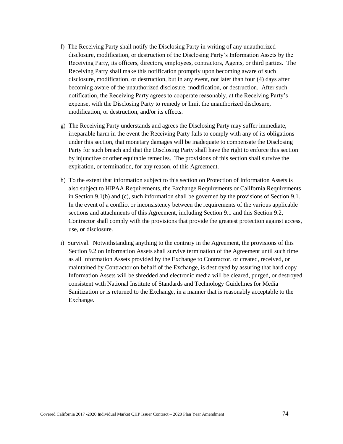- f) The Receiving Party shall notify the Disclosing Party in writing of any unauthorized disclosure, modification, or destruction of the Disclosing Party's Information Assets by the Receiving Party, its officers, directors, employees, contractors, Agents, or third parties. The Receiving Party shall make this notification promptly upon becoming aware of such disclosure, modification, or destruction, but in any event, not later than four (4) days after becoming aware of the unauthorized disclosure, modification, or destruction. After such notification, the Receiving Party agrees to cooperate reasonably, at the Receiving Party's expense, with the Disclosing Party to remedy or limit the unauthorized disclosure, modification, or destruction, and/or its effects.
- g) The Receiving Party understands and agrees the Disclosing Party may suffer immediate, irreparable harm in the event the Receiving Party fails to comply with any of its obligations under this section, that monetary damages will be inadequate to compensate the Disclosing Party for such breach and that the Disclosing Party shall have the right to enforce this section by injunctive or other equitable remedies. The provisions of this section shall survive the expiration, or termination, for any reason, of this Agreement.
- h) To the extent that information subject to this section on Protection of Information Assets is also subject to HIPAA Requirements, the Exchange Requirements or California Requirements in Section 9.1(b) and (c), such information shall be governed by the provisions of Section 9.1. In the event of a conflict or inconsistency between the requirements of the various applicable sections and attachments of this Agreement, including Section 9.1 and this Section 9.2, Contractor shall comply with the provisions that provide the greatest protection against access, use, or disclosure.
- i) Survival. Notwithstanding anything to the contrary in the Agreement, the provisions of this Section 9.2 on Information Assets shall survive termination of the Agreement until such time as all Information Assets provided by the Exchange to Contractor, or created, received, or maintained by Contractor on behalf of the Exchange, is destroyed by assuring that hard copy Information Assets will be shredded and electronic media will be cleared, purged, or destroyed consistent with National Institute of Standards and Technology Guidelines for Media Sanitization or is returned to the Exchange, in a manner that is reasonably acceptable to the Exchange.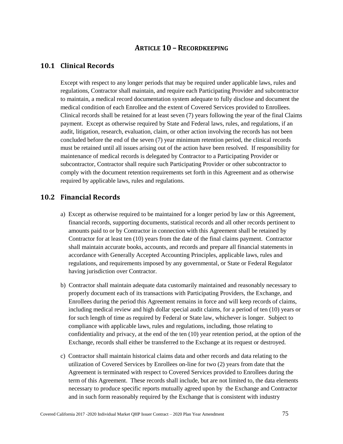### **ARTICLE 10 – RECORDKEEPING**

#### **10.1 Clinical Records**

Except with respect to any longer periods that may be required under applicable laws, rules and regulations, Contractor shall maintain, and require each Participating Provider and subcontractor to maintain, a medical record documentation system adequate to fully disclose and document the medical condition of each Enrollee and the extent of Covered Services provided to Enrollees. Clinical records shall be retained for at least seven (7) years following the year of the final Claims payment. Except as otherwise required by State and Federal laws, rules, and regulations, if an audit, litigation, research, evaluation, claim, or other action involving the records has not been concluded before the end of the seven (7) year minimum retention period, the clinical records must be retained until all issues arising out of the action have been resolved. If responsibility for maintenance of medical records is delegated by Contractor to a Participating Provider or subcontractor, Contractor shall require such Participating Provider or other subcontractor to comply with the document retention requirements set forth in this Agreement and as otherwise required by applicable laws, rules and regulations.

#### **10.2 Financial Records**

- a) Except as otherwise required to be maintained for a longer period by law or this Agreement, financial records, supporting documents, statistical records and all other records pertinent to amounts paid to or by Contractor in connection with this Agreement shall be retained by Contractor for at least ten (10) years from the date of the final claims payment. Contractor shall maintain accurate books, accounts, and records and prepare all financial statements in accordance with Generally Accepted Accounting Principles, applicable laws, rules and regulations, and requirements imposed by any governmental, or State or Federal Regulator having jurisdiction over Contractor.
- b) Contractor shall maintain adequate data customarily maintained and reasonably necessary to properly document each of its transactions with Participating Providers, the Exchange, and Enrollees during the period this Agreement remains in force and will keep records of claims, including medical review and high dollar special audit claims, for a period of ten (10) years or for such length of time as required by Federal or State law, whichever is longer. Subject to compliance with applicable laws, rules and regulations, including, those relating to confidentiality and privacy, at the end of the ten (10) year retention period, at the option of the Exchange, records shall either be transferred to the Exchange at its request or destroyed.
- c) Contractor shall maintain historical claims data and other records and data relating to the utilization of Covered Services by Enrollees on-line for two (2) years from date that the Agreement is terminated with respect to Covered Services provided to Enrollees during the term of this Agreement. These records shall include, but are not limited to, the data elements necessary to produce specific reports mutually agreed upon by the Exchange and Contractor and in such form reasonably required by the Exchange that is consistent with industry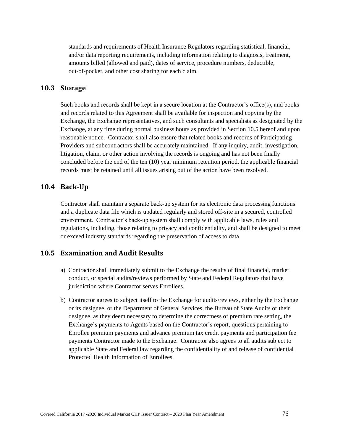standards and requirements of Health Insurance Regulators regarding statistical, financial, and/or data reporting requirements, including information relating to diagnosis, treatment, amounts billed (allowed and paid), dates of service, procedure numbers, deductible, out-of-pocket, and other cost sharing for each claim.

#### **10.3 Storage**

Such books and records shall be kept in a secure location at the Contractor's office(s), and books and records related to this Agreement shall be available for inspection and copying by the Exchange, the Exchange representatives, and such consultants and specialists as designated by the Exchange, at any time during normal business hours as provided in Section 10.5 hereof and upon reasonable notice. Contractor shall also ensure that related books and records of Participating Providers and subcontractors shall be accurately maintained. If any inquiry, audit, investigation, litigation, claim, or other action involving the records is ongoing and has not been finally concluded before the end of the ten (10) year minimum retention period, the applicable financial records must be retained until all issues arising out of the action have been resolved.

#### **10.4 Back-Up**

Contractor shall maintain a separate back-up system for its electronic data processing functions and a duplicate data file which is updated regularly and stored off-site in a secured, controlled environment. Contractor's back-up system shall comply with applicable laws, rules and regulations, including, those relating to privacy and confidentiality, and shall be designed to meet or exceed industry standards regarding the preservation of access to data.

### **10.5 Examination and Audit Results**

- a) Contractor shall immediately submit to the Exchange the results of final financial, market conduct, or special audits/reviews performed by State and Federal Regulators that have jurisdiction where Contractor serves Enrollees.
- b) Contractor agrees to subject itself to the Exchange for audits/reviews, either by the Exchange or its designee, or the Department of General Services, the Bureau of State Audits or their designee, as they deem necessary to determine the correctness of premium rate setting, the Exchange's payments to Agents based on the Contractor's report, questions pertaining to Enrollee premium payments and advance premium tax credit payments and participation fee payments Contractor made to the Exchange. Contractor also agrees to all audits subject to applicable State and Federal law regarding the confidentiality of and release of confidential Protected Health Information of Enrollees.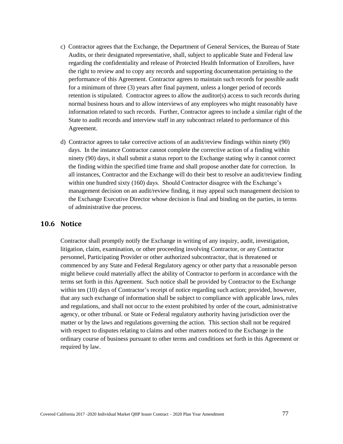- c) Contractor agrees that the Exchange, the Department of General Services, the Bureau of State Audits, or their designated representative, shall, subject to applicable State and Federal law regarding the confidentiality and release of Protected Health Information of Enrollees, have the right to review and to copy any records and supporting documentation pertaining to the performance of this Agreement. Contractor agrees to maintain such records for possible audit for a minimum of three (3) years after final payment, unless a longer period of records retention is stipulated. Contractor agrees to allow the auditor(s) access to such records during normal business hours and to allow interviews of any employees who might reasonably have information related to such records. Further, Contractor agrees to include a similar right of the State to audit records and interview staff in any subcontract related to performance of this Agreement.
- d) Contractor agrees to take corrective actions of an audit/review findings within ninety (90) days. In the instance Contractor cannot complete the corrective action of a finding within ninety (90) days, it shall submit a status report to the Exchange stating why it cannot correct the finding within the specified time frame and shall propose another date for correction. In all instances, Contractor and the Exchange will do their best to resolve an audit/review finding within one hundred sixty (160) days. Should Contractor disagree with the Exchange's management decision on an audit/review finding, it may appeal such management decision to the Exchange Executive Director whose decision is final and binding on the parties, in terms of administrative due process.

#### **10.6 Notice**

Contractor shall promptly notify the Exchange in writing of any inquiry, audit, investigation, litigation, claim, examination, or other proceeding involving Contractor, or any Contractor personnel, Participating Provider or other authorized subcontractor, that is threatened or commenced by any State and Federal Regulatory agency or other party that a reasonable person might believe could materially affect the ability of Contractor to perform in accordance with the terms set forth in this Agreement. Such notice shall be provided by Contractor to the Exchange within ten (10) days of Contractor's receipt of notice regarding such action; provided, however, that any such exchange of information shall be subject to compliance with applicable laws, rules and regulations, and shall not occur to the extent prohibited by order of the court, administrative agency, or other tribunal. or State or Federal regulatory authority having jurisdiction over the matter or by the laws and regulations governing the action. This section shall not be required with respect to disputes relating to claims and other matters noticed to the Exchange in the ordinary course of business pursuant to other terms and conditions set forth in this Agreement or required by law.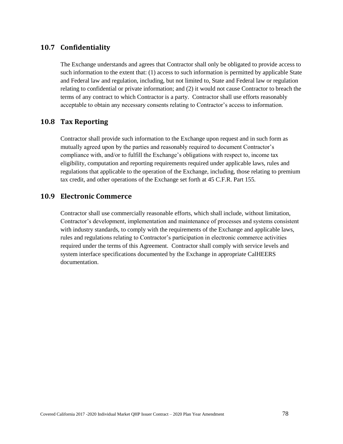# **10.7 Confidentiality**

The Exchange understands and agrees that Contractor shall only be obligated to provide access to such information to the extent that: (1) access to such information is permitted by applicable State and Federal law and regulation, including, but not limited to, State and Federal law or regulation relating to confidential or private information; and (2) it would not cause Contractor to breach the terms of any contract to which Contractor is a party. Contractor shall use efforts reasonably acceptable to obtain any necessary consents relating to Contractor's access to information.

### **10.8 Tax Reporting**

Contractor shall provide such information to the Exchange upon request and in such form as mutually agreed upon by the parties and reasonably required to document Contractor's compliance with, and/or to fulfill the Exchange's obligations with respect to, income tax eligibility, computation and reporting requirements required under applicable laws, rules and regulations that applicable to the operation of the Exchange, including, those relating to premium tax credit, and other operations of the Exchange set forth at 45 C.F.R. Part 155*.*

#### **10.9 Electronic Commerce**

Contractor shall use commercially reasonable efforts, which shall include, without limitation, Contractor's development, implementation and maintenance of processes and systems consistent with industry standards, to comply with the requirements of the Exchange and applicable laws, rules and regulations relating to Contractor's participation in electronic commerce activities required under the terms of this Agreement. Contractor shall comply with service levels and system interface specifications documented by the Exchange in appropriate CalHEERS documentation.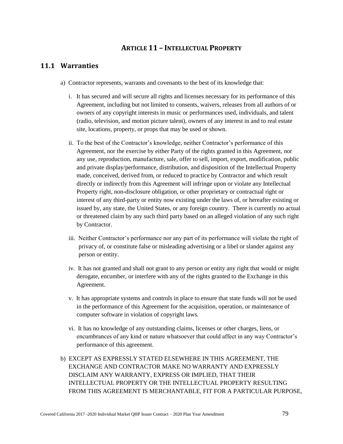# **ARTICLE 11 – INTELLECTUAL PROPERTY**

# **11.1 Warranties**

- a) Contractor represents, warrants and covenants to the best of its knowledge that:
	- i. It has secured and will secure all rights and licenses necessary for its performance of this Agreement, including but not limited to consents, waivers, releases from all authors of or owners of any copyright interests in music or performances used, individuals, and talent (radio, television, and motion picture talent), owners of any interest in and to real estate site, locations, property, or props that may be used or shown.
	- ii. To the best of the Contractor's knowledge, neither Contractor's performance of this Agreement, nor the exercise by either Party of the rights granted in this Agreement, nor any use, reproduction, manufacture, sale, offer to sell, import, export, modification, public and private display/performance, distribution, and disposition of the Intellectual Property made, conceived, derived from, or reduced to practice by Contractor and which result directly or indirectly from this Agreement will infringe upon or violate any Intellectual Property right, non-disclosure obligation, or other proprietary or contractual right or interest of any third-party or entity now existing under the laws of, or hereafter existing or issued by, any state, the United States, or any foreign country. There is currently no actual or threatened claim by any such third party based on an alleged violation of any such right by Contractor.
	- iii. Neither Contractor's performance nor any part of its performance will violate the right of privacy of, or constitute false or misleading advertising or a libel or slander against any person or entity.
	- iv. It has not granted and shall not grant to any person or entity any right that would or might derogate, encumber, or interfere with any of the rights granted to the Exchange in this Agreement.
	- v. It has appropriate systems and controls in place to ensure that state funds will not be used in the performance of this Agreement for the acquisition, operation, or maintenance of computer software in violation of copyright laws.
	- vi. It has no knowledge of any outstanding claims, licenses or other charges, liens, or encumbrances of any kind or nature whatsoever that could affect in any way Contractor's performance of this agreement.
- b) EXCEPT AS EXPRESSLY STATED ELSEWHERE IN THIS AGREEMENT, THE EXCHANGE AND CONTRACTOR MAKE NO WARRANTY AND EXPRESSLY DISCLAIM ANY WARRANTY, EXPRESS OR IMPLIED, THAT THEIR INTELLECTUAL PROPERTY OR THE INTELLECTUAL PROPERTY RESULTING FROM THIS AGREEMENT IS MERCHANTABLE, FIT FOR A PARTICULAR PURPOSE,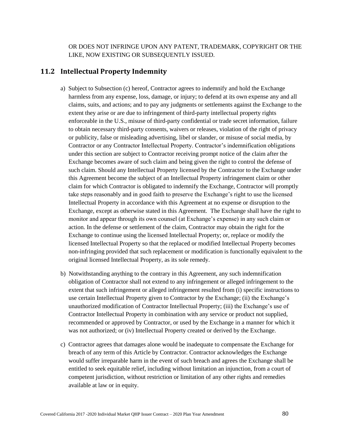OR DOES NOT INFRINGE UPON ANY PATENT, TRADEMARK, COPYRIGHT OR THE LIKE, NOW EXISTING OR SUBSEQUENTLY ISSUED.

#### **11.2 Intellectual Property Indemnity**

- a) Subject to Subsection (c) hereof, Contractor agrees to indemnify and hold the Exchange harmless from any expense, loss, damage, or injury; to defend at its own expense any and all claims, suits, and actions; and to pay any judgments or settlements against the Exchange to the extent they arise or are due to infringement of third-party intellectual property rights enforceable in the U.S., misuse of third-party confidential or trade secret information, failure to obtain necessary third-party consents, waivers or releases, violation of the right of privacy or publicity, false or misleading advertising, libel or slander, or misuse of social media, by Contractor or any Contractor Intellectual Property. Contractor's indemnification obligations under this section are subject to Contractor receiving prompt notice of the claim after the Exchange becomes aware of such claim and being given the right to control the defense of such claim. Should any Intellectual Property licensed by the Contractor to the Exchange under this Agreement become the subject of an Intellectual Property infringement claim or other claim for which Contractor is obligated to indemnify the Exchange, Contractor will promptly take steps reasonably and in good faith to preserve the Exchange's right to use the licensed Intellectual Property in accordance with this Agreement at no expense or disruption to the Exchange, except as otherwise stated in this Agreement. The Exchange shall have the right to monitor and appear through its own counsel (at Exchange's expense) in any such claim or action. In the defense or settlement of the claim, Contractor may obtain the right for the Exchange to continue using the licensed Intellectual Property; or, replace or modify the licensed Intellectual Property so that the replaced or modified Intellectual Property becomes non-infringing provided that such replacement or modification is functionally equivalent to the original licensed Intellectual Property, as its sole remedy.
- b) Notwithstanding anything to the contrary in this Agreement, any such indemnification obligation of Contractor shall not extend to any infringement or alleged infringement to the extent that such infringement or alleged infringement resulted from (i) specific instructions to use certain Intellectual Property given to Contractor by the Exchange; (ii) the Exchange's unauthorized modification of Contractor Intellectual Property; (iii) the Exchange's use of Contractor Intellectual Property in combination with any service or product not supplied, recommended or approved by Contractor, or used by the Exchange in a manner for which it was not authorized; or (iv) Intellectual Property created or derived by the Exchange.
- c) Contractor agrees that damages alone would be inadequate to compensate the Exchange for breach of any term of this Article by Contractor. Contractor acknowledges the Exchange would suffer irreparable harm in the event of such breach and agrees the Exchange shall be entitled to seek equitable relief, including without limitation an injunction, from a court of competent jurisdiction, without restriction or limitation of any other rights and remedies available at law or in equity.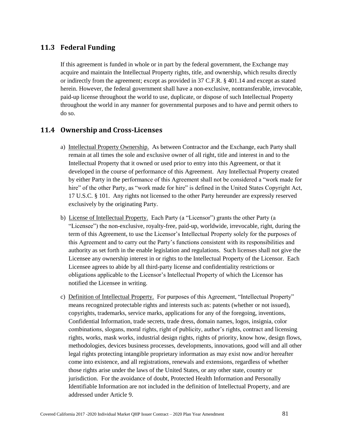### **11.3 Federal Funding**

If this agreement is funded in whole or in part by the federal government, the Exchange may acquire and maintain the Intellectual Property rights, title, and ownership, which results directly or indirectly from the agreement; except as provided in 37 C.F.R. § 401.14 and except as stated herein. However, the federal government shall have a non-exclusive, nontransferable, irrevocable, paid-up license throughout the world to use, duplicate, or dispose of such Intellectual Property throughout the world in any manner for governmental purposes and to have and permit others to do so.

#### **11.4 Ownership and Cross-Licenses**

- a) Intellectual Property Ownership. As between Contractor and the Exchange, each Party shall remain at all times the sole and exclusive owner of all right, title and interest in and to the Intellectual Property that it owned or used prior to entry into this Agreement, or that it developed in the course of performance of this Agreement. Any Intellectual Property created by either Party in the performance of this Agreement shall not be considered a "work made for hire" of the other Party, as "work made for hire" is defined in the United States Copyright Act, 17 U.S.C. § 101. Any rights not licensed to the other Party hereunder are expressly reserved exclusively by the originating Party.
- b) License of Intellectual Property. Each Party (a "Licensor") grants the other Party (a "Licensee") the non-exclusive, royalty-free, paid-up, worldwide, irrevocable, right, during the term of this Agreement, to use the Licensor's Intellectual Property solely for the purposes of this Agreement and to carry out the Party's functions consistent with its responsibilities and authority as set forth in the enable legislation and regulations. Such licenses shall not give the Licensee any ownership interest in or rights to the Intellectual Property of the Licensor. Each Licensee agrees to abide by all third-party license and confidentiality restrictions or obligations applicable to the Licensor's Intellectual Property of which the Licensor has notified the Licensee in writing.
- c) Definition of Intellectual Property. For purposes of this Agreement, "Intellectual Property" means recognized protectable rights and interests such as: patents (whether or not issued), copyrights, trademarks, service marks, applications for any of the foregoing, inventions, Confidential Information, trade secrets, trade dress, domain names, logos, insignia, color combinations, slogans, moral rights, right of publicity, author's rights, contract and licensing rights, works, mask works, industrial design rights, rights of priority, know how, design flows, methodologies, devices business processes, developments, innovations, good will and all other legal rights protecting intangible proprietary information as may exist now and/or hereafter come into existence, and all registrations, renewals and extensions, regardless of whether those rights arise under the laws of the United States, or any other state, country or jurisdiction. For the avoidance of doubt, Protected Health Information and Personally Identifiable Information are not included in the definition of Intellectual Property, and are addressed under Article 9.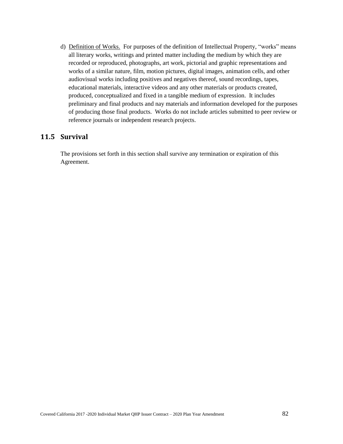d) Definition of Works. For purposes of the definition of Intellectual Property, "works" means all literary works, writings and printed matter including the medium by which they are recorded or reproduced, photographs, art work, pictorial and graphic representations and works of a similar nature, film, motion pictures, digital images, animation cells, and other audiovisual works including positives and negatives thereof, sound recordings, tapes, educational materials, interactive videos and any other materials or products created, produced, conceptualized and fixed in a tangible medium of expression. It includes preliminary and final products and nay materials and information developed for the purposes of producing those final products. Works do not include articles submitted to peer review or reference journals or independent research projects.

# **11.5 Survival**

The provisions set forth in this section shall survive any termination or expiration of this Agreement.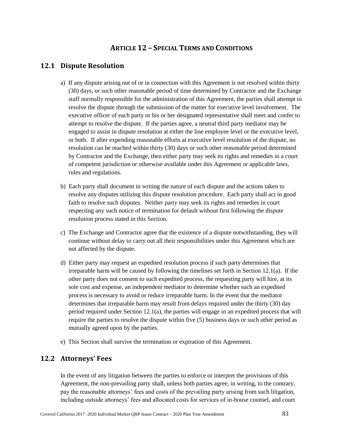# **ARTICLE 12 – SPECIAL TERMS AND CONDITIONS**

# **12.1 Dispute Resolution**

- a) If any dispute arising out of or in connection with this Agreement is not resolved within thirty (30) days, or such other reasonable period of time determined by Contractor and the Exchange staff normally responsible for the administration of this Agreement, the parties shall attempt to resolve the dispute through the submission of the matter for executive level involvement. The executive officer of each party or his or her designated representative shall meet and confer to attempt to resolve the dispute. If the parties agree, a neutral third party mediator may be engaged to assist in dispute resolution at either the line employee level or the executive level, or both. If after expending reasonable efforts at executive level resolution of the dispute, no resolution can be reached within thirty (30) days or such other reasonable period determined by Contractor and the Exchange, then either party may seek its rights and remedies in a court of competent jurisdiction or otherwise available under this Agreement or applicable laws, rules and regulations.
- b) Each party shall document in writing the nature of each dispute and the actions taken to resolve any disputes utilizing this dispute resolution procedure. Each party shall act in good faith to resolve such disputes. Neither party may seek its rights and remedies in court respecting any such notice of termination for default without first following the dispute resolution process stated in this Section.
- c) The Exchange and Contractor agree that the existence of a dispute notwithstanding, they will continue without delay to carry out all their responsibilities under this Agreement which are not affected by the dispute.
- d) Either party may request an expedited resolution process if such party determines that irreparable harm will be caused by following the timelines set forth in Section 12.1(a). If the other party does not consent to such expedited process, the requesting party will hire, at its sole cost and expense, an independent mediator to determine whether such an expedited process is necessary to avoid or reduce irreparable harm. In the event that the mediator determines that irreparable harm may result from delays required under the thirty (30) day period required under Section 12.1(a), the parties will engage in an expedited process that will require the parties to resolve the dispute within five (5) business days or such other period as mutually agreed upon by the parties.
- e) This Section shall survive the termination or expiration of this Agreement.

# **12.2 Attorneys' Fees**

In the event of any litigation between the parties to enforce or interpret the provisions of this Agreement, the non-prevailing party shall, unless both parties agree, in writing, to the contrary, pay the reasonable attorneys' fees and costs of the prevailing party arising from such litigation, including outside attorneys' fees and allocated costs for services of in-house counsel, and court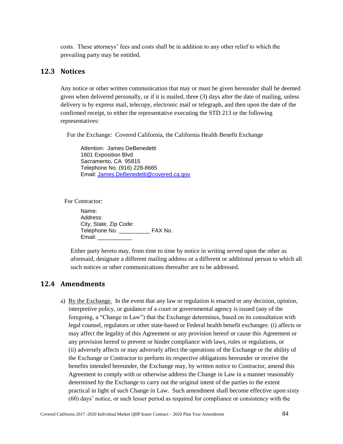costs. These attorneys' fees and costs shall be in addition to any other relief to which the prevailing party may be entitled.

### **12.3 Notices**

Any notice or other written communication that may or must be given hereunder shall be deemed given when delivered personally, or if it is mailed, three (3) days after the date of mailing, unless delivery is by express mail, telecopy, electronic mail or telegraph, and then upon the date of the confirmed receipt, to either the representative executing the STD 213 or the following representatives:

For the Exchange: Covered California, the California Health Benefit Exchange

Attention: James DeBenedetti 1601 Exposition Blvd. Sacramento, CA 95815 Telephone No. (916) 228-8665 Email: [James.DeBenedetti@covered.ca.gov](mailto:James.DeBenedetti@covered.ca.gov)

For Contractor:

Name: Address: City, State, Zip Code: Telephone No. \_\_\_\_\_\_\_\_\_\_\_\_ FAX No. Email: \_\_\_\_\_\_\_\_\_\_\_

Either party hereto may, from time to time by notice in writing served upon the other as aforesaid, designate a different mailing address or a different or additional person to which all such notices or other communications thereafter are to be addressed.

# **12.4 Amendments**

a) By the Exchange. In the event that any law or regulation is enacted or any decision, opinion, interpretive policy, or guidance of a court or governmental agency is issued (any of the foregoing, a "Change in Law") that the Exchange determines, based on its consultation with legal counsel, regulators or other state-based or Federal health benefit exchanges: (i) affects or may affect the legality of this Agreement or any provision hereof or cause this Agreement or any provision hereof to prevent or hinder compliance with laws, rules or regulations, or (ii) adversely affects or may adversely affect the operations of the Exchange or the ability of the Exchange or Contractor to perform its respective obligations hereunder or receive the benefits intended hereunder, the Exchange may, by written notice to Contractor, amend this Agreement to comply with or otherwise address the Change in Law in a manner reasonably determined by the Exchange to carry out the original intent of the parties to the extent practical in light of such Change in Law. Such amendment shall become effective upon sixty (60) days' notice, or such lesser period as required for compliance or consistency with the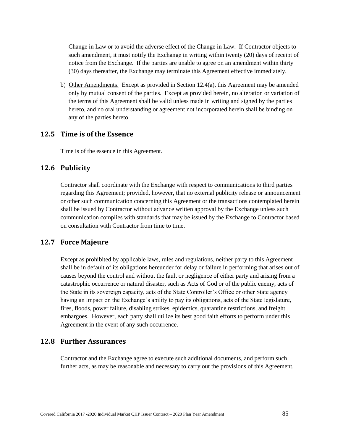Change in Law or to avoid the adverse effect of the Change in Law. If Contractor objects to such amendment, it must notify the Exchange in writing within twenty (20) days of receipt of notice from the Exchange. If the parties are unable to agree on an amendment within thirty (30) days thereafter, the Exchange may terminate this Agreement effective immediately.

b) Other Amendments. Except as provided in Section 12.4(a), this Agreement may be amended only by mutual consent of the parties. Except as provided herein, no alteration or variation of the terms of this Agreement shall be valid unless made in writing and signed by the parties hereto, and no oral understanding or agreement not incorporated herein shall be binding on any of the parties hereto.

#### **12.5 Time is of the Essence**

Time is of the essence in this Agreement.

# **12.6 Publicity**

Contractor shall coordinate with the Exchange with respect to communications to third parties regarding this Agreement; provided, however, that no external publicity release or announcement or other such communication concerning this Agreement or the transactions contemplated herein shall be issued by Contractor without advance written approval by the Exchange unless such communication complies with standards that may be issued by the Exchange to Contractor based on consultation with Contractor from time to time.

# **12.7 Force Majeure**

Except as prohibited by applicable laws, rules and regulations, neither party to this Agreement shall be in default of its obligations hereunder for delay or failure in performing that arises out of causes beyond the control and without the fault or negligence of either party and arising from a catastrophic occurrence or natural disaster, such as Acts of God or of the public enemy, acts of the State in its sovereign capacity, acts of the State Controller's Office or other State agency having an impact on the Exchange's ability to pay its obligations, acts of the State legislature, fires, floods, power failure, disabling strikes, epidemics, quarantine restrictions, and freight embargoes. However, each party shall utilize its best good faith efforts to perform under this Agreement in the event of any such occurrence.

# **12.8 Further Assurances**

Contractor and the Exchange agree to execute such additional documents, and perform such further acts, as may be reasonable and necessary to carry out the provisions of this Agreement.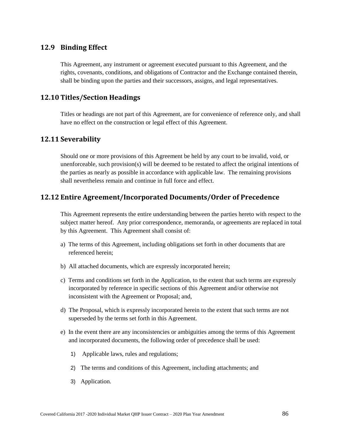### **12.9 Binding Effect**

This Agreement, any instrument or agreement executed pursuant to this Agreement, and the rights, covenants, conditions, and obligations of Contractor and the Exchange contained therein, shall be binding upon the parties and their successors, assigns, and legal representatives.

### **12.10 Titles/Section Headings**

Titles or headings are not part of this Agreement, are for convenience of reference only, and shall have no effect on the construction or legal effect of this Agreement.

#### **12.11 Severability**

Should one or more provisions of this Agreement be held by any court to be invalid, void, or unenforceable, such provision(s) will be deemed to be restated to affect the original intentions of the parties as nearly as possible in accordance with applicable law. The remaining provisions shall nevertheless remain and continue in full force and effect.

#### **12.12 Entire Agreement/Incorporated Documents/Order of Precedence**

This Agreement represents the entire understanding between the parties hereto with respect to the subject matter hereof. Any prior correspondence, memoranda, or agreements are replaced in total by this Agreement. This Agreement shall consist of:

- a) The terms of this Agreement, including obligations set forth in other documents that are referenced herein;
- b) All attached documents, which are expressly incorporated herein;
- c) Terms and conditions set forth in the Application, to the extent that such terms are expressly incorporated by reference in specific sections of this Agreement and/or otherwise not inconsistent with the Agreement or Proposal; and,
- d) The Proposal, which is expressly incorporated herein to the extent that such terms are not superseded by the terms set forth in this Agreement.
- e) In the event there are any inconsistencies or ambiguities among the terms of this Agreement and incorporated documents, the following order of precedence shall be used:
	- 1) Applicable laws, rules and regulations;
	- 2) The terms and conditions of this Agreement, including attachments; and
	- 3) Application.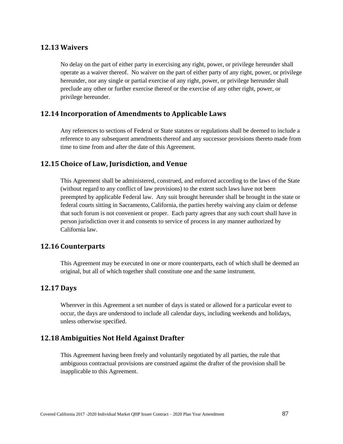# **12.13 Waivers**

No delay on the part of either party in exercising any right, power, or privilege hereunder shall operate as a waiver thereof. No waiver on the part of either party of any right, power, or privilege hereunder, nor any single or partial exercise of any right, power, or privilege hereunder shall preclude any other or further exercise thereof or the exercise of any other right, power, or privilege hereunder.

# **12.14 Incorporation of Amendments to Applicable Laws**

Any references to sections of Federal or State statutes or regulations shall be deemed to include a reference to any subsequent amendments thereof and any successor provisions thereto made from time to time from and after the date of this Agreement.

### **12.15 Choice of Law, Jurisdiction, and Venue**

This Agreement shall be administered, construed, and enforced according to the laws of the State (without regard to any conflict of law provisions) to the extent such laws have not been preempted by applicable Federal law. Any suit brought hereunder shall be brought in the state or federal courts sitting in Sacramento, California, the parties hereby waiving any claim or defense that such forum is not convenient or proper. Each party agrees that any such court shall have in person jurisdiction over it and consents to service of process in any manner authorized by California law.

#### **12.16 Counterparts**

This Agreement may be executed in one or more counterparts, each of which shall be deemed an original, but all of which together shall constitute one and the same instrument.

### **12.17 Days**

Wherever in this Agreement a set number of days is stated or allowed for a particular event to occur, the days are understood to include all calendar days, including weekends and holidays, unless otherwise specified.

#### **12.18 Ambiguities Not Held Against Drafter**

This Agreement having been freely and voluntarily negotiated by all parties, the rule that ambiguous contractual provisions are construed against the drafter of the provision shall be inapplicable to this Agreement.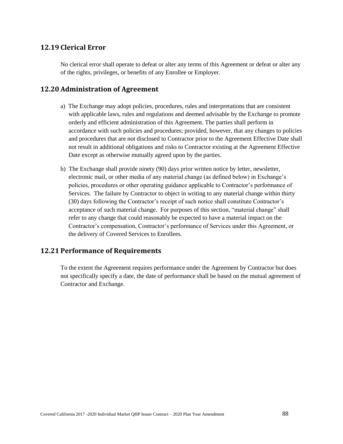# **12.19 Clerical Error**

No clerical error shall operate to defeat or alter any terms of this Agreement or defeat or alter any of the rights, privileges, or benefits of any Enrollee or Employer.

### **12.20 Administration of Agreement**

- a) The Exchange may adopt policies, procedures, rules and interpretations that are consistent with applicable laws, rules and regulations and deemed advisable by the Exchange to promote orderly and efficient administration of this Agreement. The parties shall perform in accordance with such policies and procedures; provided, however, that any changes to policies and procedures that are not disclosed to Contractor prior to the Agreement Effective Date shall not result in additional obligations and risks to Contractor existing at the Agreement Effective Date except as otherwise mutually agreed upon by the parties.
- b) The Exchange shall provide ninety (90) days prior written notice by letter, newsletter, electronic mail, or other media of any material change (as defined below) in Exchange's policies, procedures or other operating guidance applicable to Contractor's performance of Services. The failure by Contractor to object in writing to any material change within thirty (30) days following the Contractor's receipt of such notice shall constitute Contractor's acceptance of such material change. For purposes of this section, "material change" shall refer to any change that could reasonably be expected to have a material impact on the Contractor's compensation, Contractor's performance of Services under this Agreement, or the delivery of Covered Services to Enrollees.

# **12.21 Performance of Requirements**

To the extent the Agreement requires performance under the Agreement by Contractor but does not specifically specify a date, the date of performance shall be based on the mutual agreement of Contractor and Exchange.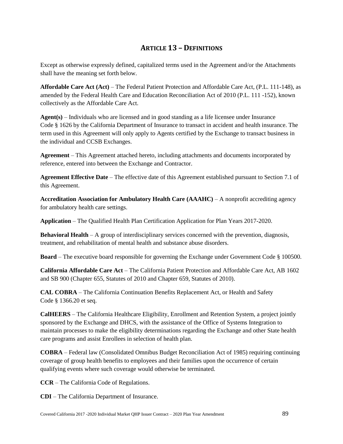# **ARTICLE 13 – DEFINITIONS**

Except as otherwise expressly defined, capitalized terms used in the Agreement and/or the Attachments shall have the meaning set forth below.

**Affordable Care Act (Act)** – The Federal Patient Protection and Affordable Care Act, (P.L. 111-148), as amended by the Federal Health Care and Education Reconciliation Act of 2010 (P.L. 111 -152), known collectively as the Affordable Care Act.

**Agent(s)** – Individuals who are licensed and in good standing as a life licensee under Insurance Code § 1626 by the California Department of Insurance to transact in accident and health insurance. The term used in this Agreement will only apply to Agents certified by the Exchange to transact business in the individual and CCSB Exchanges.

**Agreement** – This Agreement attached hereto, including attachments and documents incorporated by reference, entered into between the Exchange and Contractor.

**Agreement Effective Date** – The effective date of this Agreement established pursuant to Section 7.1 of this Agreement.

**Accreditation Association for Ambulatory Health Care (AAAHC)** – A nonprofit accrediting agency for ambulatory health care settings.

**Application** – The Qualified Health Plan Certification Application for Plan Years 2017-2020.

**Behavioral Health** – A group of interdisciplinary services concerned with the prevention, diagnosis, treatment, and rehabilitation of mental health and substance abuse disorders.

**Board** – The executive board responsible for governing the Exchange under Government Code § 100500.

**California Affordable Care Act** – The California Patient Protection and Affordable Care Act, AB 1602 and SB 900 (Chapter 655, Statutes of 2010 and Chapter 659, Statutes of 2010).

**CAL COBRA** – The California Continuation Benefits Replacement Act, or Health and Safety Code § 1366.20 et seq.

**CalHEERS** – The California Healthcare Eligibility, Enrollment and Retention System, a project jointly sponsored by the Exchange and DHCS, with the assistance of the Office of Systems Integration to maintain processes to make the eligibility determinations regarding the Exchange and other State health care programs and assist Enrollees in selection of health plan.

**COBRA** – Federal law (Consolidated Omnibus Budget Reconciliation Act of 1985) requiring continuing coverage of group health benefits to employees and their families upon the occurrence of certain qualifying events where such coverage would otherwise be terminated.

**CCR** – The California Code of Regulations.

**CDI** – The California Department of Insurance.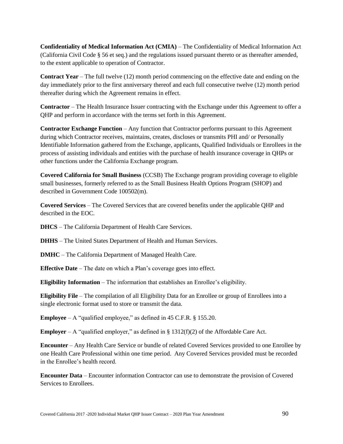**Confidentiality of Medical Information Act (CMIA)** – The Confidentiality of Medical Information Act (California Civil Code § 56 et seq.) and the regulations issued pursuant thereto or as thereafter amended, to the extent applicable to operation of Contractor.

**Contract Year** – The full twelve (12) month period commencing on the effective date and ending on the day immediately prior to the first anniversary thereof and each full consecutive twelve (12) month period thereafter during which the Agreement remains in effect.

**Contractor** – The Health Insurance Issuer contracting with the Exchange under this Agreement to offer a QHP and perform in accordance with the terms set forth in this Agreement.

**Contractor Exchange Function** – Any function that Contractor performs pursuant to this Agreement during which Contractor receives, maintains, creates, discloses or transmits PHI and/ or Personally Identifiable Information gathered from the Exchange, applicants, Qualified Individuals or Enrollees in the process of assisting individuals and entities with the purchase of health insurance coverage in QHPs or other functions under the California Exchange program.

**Covered California for Small Business** (CCSB) The Exchange program providing coverage to eligible small businesses, formerly referred to as the Small Business Health Options Program (SHOP) and described in Government Code 100502(m).

**Covered Services** – The Covered Services that are covered benefits under the applicable QHP and described in the EOC.

**DHCS** – The California Department of Health Care Services.

**DHHS** – The United States Department of Health and Human Services.

**DMHC** – The California Department of Managed Health Care.

**Effective Date** – The date on which a Plan's coverage goes into effect.

**Eligibility Information** – The information that establishes an Enrollee's eligibility.

**Eligibility File** – The compilation of all Eligibility Data for an Enrollee or group of Enrollees into a single electronic format used to store or transmit the data.

**Employee** – A "qualified employee," as defined in 45 C.F.R. § 155.20.

**Employer** – A "qualified employer," as defined in  $\S 1312(f)(2)$  of the Affordable Care Act.

**Encounter** – Any Health Care Service or bundle of related Covered Services provided to one Enrollee by one Health Care Professional within one time period. Any Covered Services provided must be recorded in the Enrollee's health record.

**Encounter Data** – Encounter information Contractor can use to demonstrate the provision of Covered Services to Enrollees.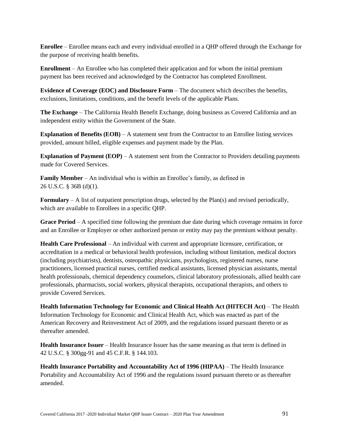**Enrollee** – Enrollee means each and every individual enrolled in a QHP offered through the Exchange for the purpose of receiving health benefits.

**Enrollment** – An Enrollee who has completed their application and for whom the initial premium payment has been received and acknowledged by the Contractor has completed Enrollment.

**Evidence of Coverage (EOC) and Disclosure Form** – The document which describes the benefits, exclusions, limitations, conditions, and the benefit levels of the applicable Plans.

**The Exchange** – The California Health Benefit Exchange, doing business as Covered California and an independent entity within the Government of the State.

**Explanation of Benefits (EOB)** – A statement sent from the Contractor to an Enrollee listing services provided, amount billed, eligible expenses and payment made by the Plan.

**Explanation of Payment (EOP)** – A statement sent from the Contractor to Providers detailing payments made for Covered Services.

**Family Member** – An individual who is within an Enrollee's family, as defined in 26 U.S.C. § 36B (d)(1).

**Formulary** – A list of outpatient prescription drugs, selected by the Plan(s) and revised periodically, which are available to Enrollees in a specific QHP.

Grace Period – A specified time following the premium due date during which coverage remains in force and an Enrollee or Employer or other authorized person or entity may pay the premium without penalty.

**Health Care Professional** – An individual with current and appropriate licensure, certification, or accreditation in a medical or behavioral health profession, including without limitation, medical doctors (including psychiatrists), dentists, osteopathic physicians, psychologists, registered nurses, nurse practitioners, licensed practical nurses, certified medical assistants, licensed physician assistants, mental health professionals, chemical dependency counselors, clinical laboratory professionals, allied health care professionals, pharmacists, social workers, physical therapists, occupational therapists, and others to provide Covered Services.

**Health Information Technology for Economic and Clinical Health Act (HITECH Act)** – The Health Information Technology for Economic and Clinical Health Act, which was enacted as part of the American Recovery and Reinvestment Act of 2009, and the regulations issued pursuant thereto or as thereafter amended.

**Health Insurance Issuer** – Health Insurance Issuer has the same meaning as that term is defined in 42 U.S.C. § 300gg-91 and 45 C.F.R. § 144.103.

**Health Insurance Portability and Accountability Act of 1996 (HIPAA)** – The Health Insurance Portability and Accountability Act of 1996 and the regulations issued pursuant thereto or as thereafter amended.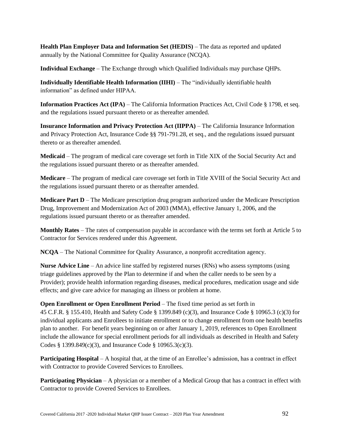**Health Plan Employer Data and Information Set (HEDIS)** – The data as reported and updated annually by the National Committee for Quality Assurance (NCQA).

**Individual Exchange** – The Exchange through which Qualified Individuals may purchase QHPs.

**Individually Identifiable Health Information (IIHI)** – The "individually identifiable health information" as defined under HIPAA.

**Information Practices Act (IPA)** – The California Information Practices Act, Civil Code § 1798, et seq. and the regulations issued pursuant thereto or as thereafter amended.

**Insurance Information and Privacy Protection Act (IIPPA)** – The California Insurance Information and Privacy Protection Act, Insurance Code §§ 791-791.28, et seq., and the regulations issued pursuant thereto or as thereafter amended.

**Medicaid** – The program of medical care coverage set forth in Title XIX of the Social Security Act and the regulations issued pursuant thereto or as thereafter amended.

**Medicare** – The program of medical care coverage set forth in Title XVIII of the Social Security Act and the regulations issued pursuant thereto or as thereafter amended.

**Medicare Part D** – The Medicare prescription drug program authorized under the Medicare Prescription Drug, Improvement and Modernization Act of 2003 (MMA), effective January 1, 2006, and the regulations issued pursuant thereto or as thereafter amended.

**Monthly Rates** – The rates of compensation payable in accordance with the terms set forth at Article 5 to Contractor for Services rendered under this Agreement.

**NCQA** – The National Committee for Quality Assurance, a nonprofit accreditation agency.

**Nurse Advice Line** – An advice line staffed by registered nurses (RNs) who assess symptoms (using triage guidelines approved by the Plan to determine if and when the caller needs to be seen by a Provider); provide health information regarding diseases, medical procedures, medication usage and side effects; and give care advice for managing an illness or problem at home.

**Open Enrollment or Open Enrollment Period** – The fixed time period as set forth in 45 C.F.R. § 155.410, Health and Safety Code § 1399.849 (c)(3), and Insurance Code § 10965.3 (c)(3) for individual applicants and Enrollees to initiate enrollment or to change enrollment from one health benefits plan to another. For benefit years beginning on or after January 1, 2019, references to Open Enrollment include the allowance for special enrollment periods for all individuals as described in Health and Safety Codes § 1399.849(c)(3), and Insurance Code § 10965.3(c)(3).

**Participating Hospital** – A hospital that, at the time of an Enrollee's admission, has a contract in effect with Contractor to provide Covered Services to Enrollees.

**Participating Physician** – A physician or a member of a Medical Group that has a contract in effect with Contractor to provide Covered Services to Enrollees.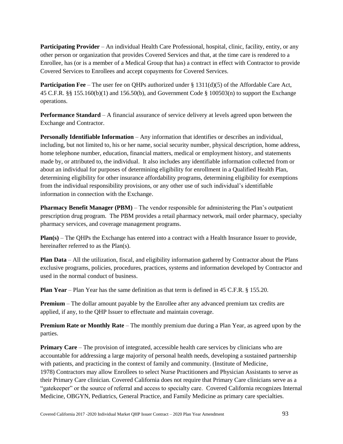**Participating Provider** – An individual Health Care Professional, hospital, clinic, facility, entity, or any other person or organization that provides Covered Services and that, at the time care is rendered to a Enrollee, has (or is a member of a Medical Group that has) a contract in effect with Contractor to provide Covered Services to Enrollees and accept copayments for Covered Services.

**Participation Fee** – The user fee on QHPs authorized under § 1311(d)(5) of the Affordable Care Act, 45 C.F.R. §§ 155.160(b)(1) and 156.50(b), and Government Code § 100503(n) to support the Exchange operations.

**Performance Standard** – A financial assurance of service delivery at levels agreed upon between the Exchange and Contractor.

**Personally Identifiable Information** – Any information that identifies or describes an individual, including, but not limited to, his or her name, social security number, physical description, home address, home telephone number, education, financial matters, medical or employment history, and statements made by, or attributed to, the individual. It also includes any identifiable information collected from or about an individual for purposes of determining eligibility for enrollment in a Qualified Health Plan, determining eligibility for other insurance affordability programs, determining eligibility for exemptions from the individual responsibility provisions, or any other use of such individual's identifiable information in connection with the Exchange.

**Pharmacy Benefit Manager (PBM)** – The vendor responsible for administering the Plan's outpatient prescription drug program. The PBM provides a retail pharmacy network, mail order pharmacy, specialty pharmacy services, and coverage management programs.

**Plan(s)** – The QHPs the Exchange has entered into a contract with a Health Insurance Issuer to provide, hereinafter referred to as the Plan(s).

**Plan Data** – All the utilization, fiscal, and eligibility information gathered by Contractor about the Plans exclusive programs, policies, procedures, practices, systems and information developed by Contractor and used in the normal conduct of business.

**Plan Year** – Plan Year has the same definition as that term is defined in 45 C.F.R. § 155.20.

**Premium** – The dollar amount payable by the Enrollee after any advanced premium tax credits are applied, if any, to the QHP Issuer to effectuate and maintain coverage.

**Premium Rate or Monthly Rate** – The monthly premium due during a Plan Year, as agreed upon by the parties.

**Primary Care** – The provision of integrated, accessible health care services by clinicians who are accountable for addressing a large majority of personal health needs, developing a sustained partnership with patients, and practicing in the context of family and community. (Institute of Medicine, 1978) Contractors may allow Enrollees to select Nurse Practitioners and Physician Assistants to serve as their Primary Care clinician. Covered California does not require that Primary Care clinicians serve as a "gatekeeper" or the source of referral and access to specialty care. Covered California recognizes Internal Medicine, OBGYN, Pediatrics, General Practice, and Family Medicine as primary care specialties.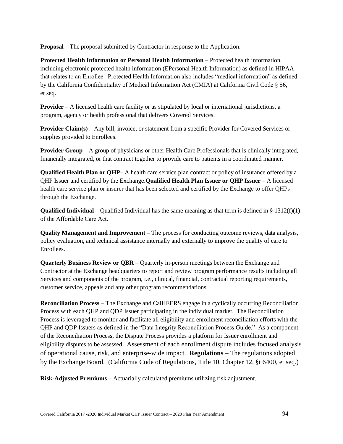**Proposal** – The proposal submitted by Contractor in response to the Application.

**Protected Health Information or Personal Health Information** – Protected health information, including electronic protected health information (EPersonal Health Information) as defined in HIPAA that relates to an Enrollee. Protected Health Information also includes "medical information" as defined by the California Confidentiality of Medical Information Act (CMIA) at California Civil Code § 56, et seq.

**Provider** – A licensed health care facility or as stipulated by local or international jurisdictions, a program, agency or health professional that delivers Covered Services.

**Provider Claim(s)** – Any bill, invoice, or statement from a specific Provider for Covered Services or supplies provided to Enrollees.

**Provider Group** – A group of physicians or other Health Care Professionals that is clinically integrated, financially integrated, or that contract together to provide care to patients in a coordinated manner.

**Qualified Health Plan or QHP**– A health care service plan contract or policy of insurance offered by a QHP Issuer and certified by the Exchange.**Qualified Health Plan Issuer or QHP Issuer** – A licensed health care service plan or insurer that has been selected and certified by the Exchange to offer QHPs through the Exchange.

**Qualified Individual** – Qualified Individual has the same meaning as that term is defined in § 1312(f)(1) of the Affordable Care Act.

**Quality Management and Improvement** – The process for conducting outcome reviews, data analysis, policy evaluation, and technical assistance internally and externally to improve the quality of care to Enrollees.

**Quarterly Business Review or QBR** – Quarterly in-person meetings between the Exchange and Contractor at the Exchange headquarters to report and review program performance results including all Services and components of the program, i.e., clinical, financial, contractual reporting requirements, customer service, appeals and any other program recommendations.

**Reconciliation Process** – The Exchange and CalHEERS engage in a cyclically occurring Reconciliation Process with each QHP and QDP Issuer participating in the individual market. The Reconciliation Process is leveraged to monitor and facilitate all eligibility and enrollment reconciliation efforts with the QHP and QDP Issuers as defined in the "Data Integrity Reconciliation Process Guide." As a component of the Reconciliation Process, the Dispute Process provides a platform for Issuer enrollment and eligibility disputes to be assessed. Assessment of each enrollment dispute includes focused analysis of operational cause, risk, and enterprise-wide impact. **Regulations** – The regulations adopted by the Exchange Board. (California Code of Regulations, Title 10, Chapter 12, §t 6400, et seq.)

**Risk-Adjusted Premiums** – Actuarially calculated premiums utilizing risk adjustment.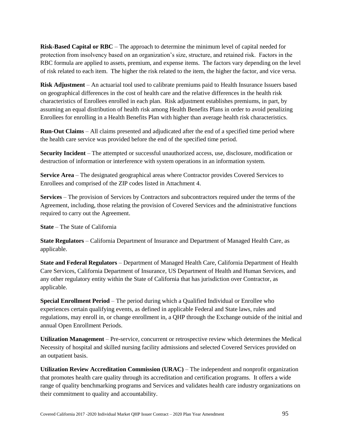**Risk-Based Capital or RBC** – The approach to determine the minimum level of capital needed for protection from insolvency based on an organization's size, structure, and retained risk. Factors in the RBC formula are applied to assets, premium, and expense items. The factors vary depending on the level of risk related to each item. The higher the risk related to the item, the higher the factor, and vice versa.

**Risk Adjustment** – An actuarial tool used to calibrate premiums paid to Health Insurance Issuers based on geographical differences in the cost of health care and the relative differences in the health risk characteristics of Enrollees enrolled in each plan. Risk adjustment establishes premiums, in part, by assuming an equal distribution of health risk among Health Benefits Plans in order to avoid penalizing Enrollees for enrolling in a Health Benefits Plan with higher than average health risk characteristics.

**Run-Out Claims** – All claims presented and adjudicated after the end of a specified time period where the health care service was provided before the end of the specified time period.

**Security Incident** – The attempted or successful unauthorized access, use, disclosure, modification or destruction of information or interference with system operations in an information system.

**Service Area** – The designated geographical areas where Contractor provides Covered Services to Enrollees and comprised of the ZIP codes listed in Attachment 4.

**Services** – The provision of Services by Contractors and subcontractors required under the terms of the Agreement, including, those relating the provision of Covered Services and the administrative functions required to carry out the Agreement.

**State** – The State of California

**State Regulators** – California Department of Insurance and Department of Managed Health Care, as applicable.

**State and Federal Regulators** – Department of Managed Health Care, California Department of Health Care Services, California Department of Insurance, US Department of Health and Human Services, and any other regulatory entity within the State of California that has jurisdiction over Contractor, as applicable.

**Special Enrollment Period** – The period during which a Qualified Individual or Enrollee who experiences certain qualifying events, as defined in applicable Federal and State laws, rules and regulations, may enroll in, or change enrollment in, a QHP through the Exchange outside of the initial and annual Open Enrollment Periods.

**Utilization Management** – Pre-service, concurrent or retrospective review which determines the Medical Necessity of hospital and skilled nursing facility admissions and selected Covered Services provided on an outpatient basis.

**Utilization Review Accreditation Commission (URAC)** – The independent and nonprofit organization that promotes health care quality through its accreditation and certification programs. It offers a wide range of quality benchmarking programs and Services and validates health care industry organizations on their commitment to quality and accountability.